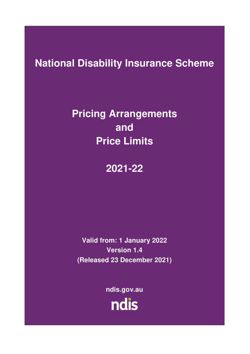# **National Disability Insurance Scheme**

# **Pricing Arrangements and Price Limits**

# **2021-22**

**Valid from: 1 January 2022 Version 1.4 (Released 23 December 2021)** 

> **ndis.gov.au** ndis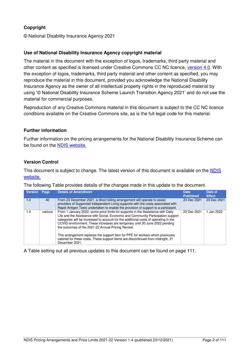## **Copyright**

© National Disability Insurance Agency 2021

## **Use of National Disability Insurance Agency copyright material**

The material in this document with the exception of logos, trademarks, third party material and other content as specified is licensed under Creative Commons CC NC licence, [version 4.0.](https://creativecommons.org/licenses/by/4.0/) With the exception of logos, trademarks, third party material and other content as specified, you may reproduce the material in this document, provided you acknowledge the National Disability Insurance Agency as the owner of all intellectual property rights in the reproduced material by using '© National Disability Insurance Scheme Launch Transition Agency 2021' and do not use the material for commercial purposes.

Reproduction of any Creative Commons material in this document is subject to the CC NC licence conditions available on the Creative Commons site, as is the full legal code for this material.

### **Further information**

Further information on the pricing arrangements for the National Disability Insurance Scheme can be found on the [NDIS website.](https://www.ndis.gov.au/providers/price-guides-and-pricing)

### **Version Control**

This document is subject to change. The latest version of this document is available on the [NDIS](https://www.ndis.gov.au/providers/price-guides-and-pricing)  [website.](https://www.ndis.gov.au/providers/price-guides-and-pricing) 

|  |  |  | The following Table provides details of the changes made in this update to the document. |
|--|--|--|------------------------------------------------------------------------------------------|
|  |  |  |                                                                                          |

| <b>Version</b> | Page    | <b>Details of Amendment</b>                                                                                                                                                                                                                                                                                                                                                                                                                                                                                                                                                                | <b>Date</b><br><b>Published</b> | Date of<br><b>Effect</b> |
|----------------|---------|--------------------------------------------------------------------------------------------------------------------------------------------------------------------------------------------------------------------------------------------------------------------------------------------------------------------------------------------------------------------------------------------------------------------------------------------------------------------------------------------------------------------------------------------------------------------------------------------|---------------------------------|--------------------------|
| 1.4            | 40      | From 23 December 2021, a direct billing arrangement will operate to assist<br>providers of Supported Independent Living supports with the costs associated with<br>Rapid Antigen Tests undertaken to enable the provision of support to a participant.                                                                                                                                                                                                                                                                                                                                     | 23 Dec 2021                     | 23 Dec 2021              |
| 1.4            | various | From 1 January 2022, some price limits for supports in the Assistance with Daily<br>Life and the Assistance with Social, Economic and Community Participation support<br>categories will be increased to account for the additional costs of operating in the<br>COVID environment. These increases are temporary until 30 June 2022 pending<br>the outcomes of the 2021-22 Annual Pricing Review.<br>This arrangement replaces the support item for PPE for workers which previously<br>catered for these costs. These support items are discontinued from midnight, 31<br>December 2021. | 23 Dec 2021                     | 1 Jan 2022               |

A Table setting out all previous updates to this document can be found on page [111.](#page-110-0)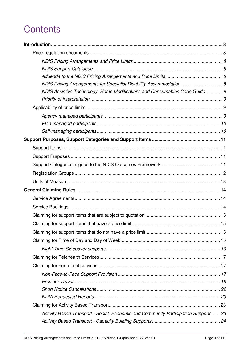# **Contents**

| NDIS Pricing Arrangements for Specialist Disability Accommodation 8                  |  |
|--------------------------------------------------------------------------------------|--|
| NDIS Assistive Technology, Home Modifications and Consumables Code Guide 9           |  |
|                                                                                      |  |
|                                                                                      |  |
|                                                                                      |  |
|                                                                                      |  |
|                                                                                      |  |
|                                                                                      |  |
|                                                                                      |  |
|                                                                                      |  |
|                                                                                      |  |
|                                                                                      |  |
|                                                                                      |  |
|                                                                                      |  |
|                                                                                      |  |
|                                                                                      |  |
|                                                                                      |  |
|                                                                                      |  |
|                                                                                      |  |
|                                                                                      |  |
|                                                                                      |  |
|                                                                                      |  |
|                                                                                      |  |
|                                                                                      |  |
|                                                                                      |  |
|                                                                                      |  |
|                                                                                      |  |
|                                                                                      |  |
| Activity Based Transport - Social, Economic and Community Participation Supports  23 |  |
|                                                                                      |  |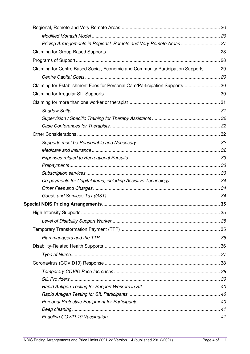| Pricing Arrangements in Regional, Remote and Very Remote Areas  27                 |  |
|------------------------------------------------------------------------------------|--|
|                                                                                    |  |
|                                                                                    |  |
| Claiming for Centre Based Social, Economic and Community Participation Supports 29 |  |
|                                                                                    |  |
| Claiming for Establishment Fees for Personal Care/Participation Supports 30        |  |
|                                                                                    |  |
|                                                                                    |  |
|                                                                                    |  |
|                                                                                    |  |
|                                                                                    |  |
|                                                                                    |  |
|                                                                                    |  |
|                                                                                    |  |
|                                                                                    |  |
|                                                                                    |  |
|                                                                                    |  |
|                                                                                    |  |
|                                                                                    |  |
|                                                                                    |  |
|                                                                                    |  |
|                                                                                    |  |
|                                                                                    |  |
|                                                                                    |  |
|                                                                                    |  |
|                                                                                    |  |
|                                                                                    |  |
|                                                                                    |  |
|                                                                                    |  |
|                                                                                    |  |
|                                                                                    |  |
|                                                                                    |  |
|                                                                                    |  |
|                                                                                    |  |
|                                                                                    |  |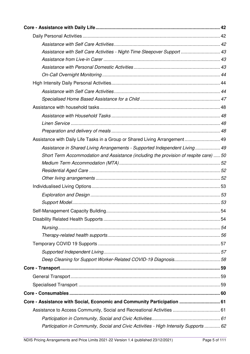| Assistance with Self Care Activities - Night-Time Sleepover Support  43               |  |
|---------------------------------------------------------------------------------------|--|
|                                                                                       |  |
|                                                                                       |  |
|                                                                                       |  |
|                                                                                       |  |
|                                                                                       |  |
|                                                                                       |  |
|                                                                                       |  |
|                                                                                       |  |
|                                                                                       |  |
|                                                                                       |  |
| Assistance with Daily Life Tasks in a Group or Shared Living Arrangement 49           |  |
| Assistance in Shared Living Arrangements - Supported Independent Living 49            |  |
| Short Term Accommodation and Assistance (including the provision of respite care)  50 |  |
|                                                                                       |  |
|                                                                                       |  |
|                                                                                       |  |
|                                                                                       |  |
|                                                                                       |  |
|                                                                                       |  |
|                                                                                       |  |
|                                                                                       |  |
|                                                                                       |  |
|                                                                                       |  |
|                                                                                       |  |
|                                                                                       |  |
| Deep Cleaning for Support Worker-Related COVID-19 Diagnosis58                         |  |
|                                                                                       |  |
|                                                                                       |  |
|                                                                                       |  |
|                                                                                       |  |
| Core - Assistance with Social, Economic and Community Participation  61               |  |
|                                                                                       |  |
|                                                                                       |  |
| Participation in Community, Social and Civic Activities - High Intensity Supports  62 |  |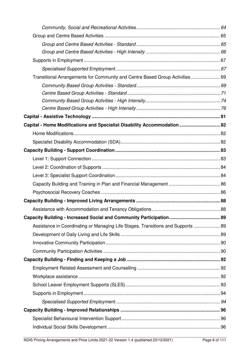| Transitional Arrangements for Community and Centre Based Group Activities  69    |  |
|----------------------------------------------------------------------------------|--|
|                                                                                  |  |
|                                                                                  |  |
|                                                                                  |  |
|                                                                                  |  |
|                                                                                  |  |
| Capital - Home Modifications and Specialist Disability Accommodation  82         |  |
|                                                                                  |  |
|                                                                                  |  |
|                                                                                  |  |
|                                                                                  |  |
|                                                                                  |  |
|                                                                                  |  |
|                                                                                  |  |
|                                                                                  |  |
|                                                                                  |  |
|                                                                                  |  |
|                                                                                  |  |
| Assistance in Coordinating or Managing Life Stages, Transitions and Supports  89 |  |
|                                                                                  |  |
|                                                                                  |  |
|                                                                                  |  |
|                                                                                  |  |
|                                                                                  |  |
|                                                                                  |  |
|                                                                                  |  |
|                                                                                  |  |
|                                                                                  |  |
|                                                                                  |  |
|                                                                                  |  |
|                                                                                  |  |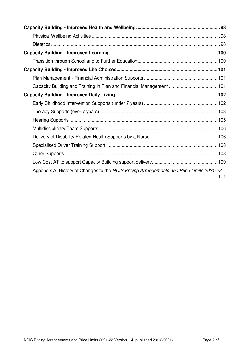| Capacity Building and Training in Plan and Financial Management  101                     |
|------------------------------------------------------------------------------------------|
|                                                                                          |
|                                                                                          |
|                                                                                          |
|                                                                                          |
|                                                                                          |
|                                                                                          |
|                                                                                          |
|                                                                                          |
|                                                                                          |
| Appendix A: History of Changes to the NDIS Pricing Arrangements and Price Limits 2021-22 |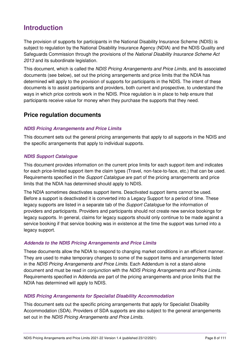## <span id="page-7-0"></span>**Introduction**

The provision of supports for participants in the National Disability Insurance Scheme (NDIS) is subject to regulation by the National Disability Insurance Agency (NDIA) and the NDIS Quality and Safeguards Commission through the provisions of the National Disability Insurance Scheme Act 2013 and its subordinate legislation.

This document, which is called the NDIS Pricing Arrangements and Price Limits, and its associated documents (see below), set out the pricing arrangements and price limits that the NDIA has determined will apply to the provision of supports for participants in the NDIS. The intent of these documents is to assist participants and providers, both current and prospective, to understand the ways in which price controls work in the NDIS. Price regulation is in place to help ensure that participants receive value for money when they purchase the supports that they need.

## <span id="page-7-1"></span>**Price regulation documents**

### <span id="page-7-2"></span>**NDIS Pricing Arrangements and Price Limits**

This document sets out the general pricing arrangements that apply to all supports in the NDIS and the specific arrangements that apply to individual supports.

### <span id="page-7-3"></span>**NDIS Support Catalogue**

This document provides information on the current price limits for each support item and indicates for each price-limited support item the claim types (Travel, non-face-to-face, etc.) that can be used. Requirements specified in the *Support Catalogue* are part of the pricing arrangements and price limits that the NDIA has determined should apply to NDIS.

The NDIA sometimes deactivates support items. Deactivated support items cannot be used. Before a support is deactivated it is converted into a Legacy Support for a period of time. These legacy supports are listed in a separate tab of the Support Catalogue for the information of providers and participants. Providers and participants should not create new service bookings for legacy supports. In general, claims for legacy supports should only continue to be made against a service booking if that service booking was in existence at the time the support was turned into a legacy support.

### <span id="page-7-4"></span>**Addenda to the NDIS Pricing Arrangements and Price Limits**

These documents allow the NDIA to respond to changing market conditions in an efficient manner. They are used to make temporary changes to some of the support items and arrangements listed in the NDIS Pricing Arrangements and Price Limits. Each Addendum is not a stand-alone document and must be read in conjunction with the NDIS Pricing Arrangements and Price Limits. Requirements specified in Addenda are part of the pricing arrangements and price limits that the NDIA has determined will apply to NDIS.

### <span id="page-7-5"></span>**NDIS Pricing Arrangements for Specialist Disability Accommodation**

This document sets out the specific pricing arrangements that apply for Specialist Disability Accommodation (SDA). Providers of SDA supports are also subject to the general arrangements set out in the NDIS Pricing Arrangements and Price Limits.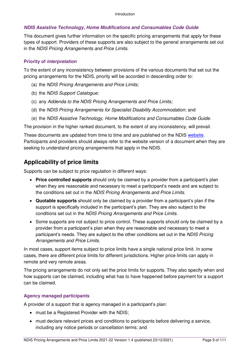### <span id="page-8-0"></span>**NDIS Assistive Technology, Home Modifications and Consumables Code Guide**

This document gives further information on the specific pricing arrangements that apply for these types of support. Providers of these supports are also subject to the general arrangements set out in the NDIS Pricing Arrangements and Price Limits.

### <span id="page-8-1"></span>**Priority of interpretation**

To the extent of any inconsistency between provisions of the various documents that set out the pricing arrangements for the NDIS, priority will be accorded in descending order to:

- (a) the NDIS Pricing Arrangements and Price Limits;
- (b) the NDIS Support Catalogue;
- (c) any Addenda to the NDIS Pricing Arrangements and Price Limits;
- (d) the NDIS Pricing Arrangements for Specialist Disability Accommodation; and
- (e) the NDIS Assistive Technology, Home Modifications and Consumables Code Guide.

The provision in the higher ranked document, to the extent of any inconsistency, will prevail.

These documents are updated from time to time and are published on the NDIS [website.](https://www.ndis.gov.au/providers/price-guides-and-pricing) Participants and providers should always refer to the website version of a document when they are seeking to understand pricing arrangements that apply in the NDIS.

## <span id="page-8-2"></span>**Applicability of price limits**

Supports can be subject to price regulation in different ways:

- **Price controlled supports** should only be claimed by a provider from a participant's plan when they are reasonable and necessary to meet a participant's needs and are subject to the conditions set out in the NDIS Pricing Arrangements and Price Limits.
- **Quotable supports** should only be claimed by a provider from a participant's plan if the support is specifically included in the participant's plan. They are also subject to the conditions set out in the NDIS Pricing Arrangements and Price Limits.
- Some supports are not subject to price control. These supports should only be claimed by a provider from a participant's plan when they are reasonable and necessary to meet a participant's needs. They are subject to the other conditions set out in the NDIS Pricing Arrangements and Price Limits.

In most cases, support items subject to price limits have a single national price limit. In some cases, there are different price limits for different jurisdictions. Higher price limits can apply in remote and very remote areas.

The pricing arrangements do not only set the price limits for supports. They also specify when and how supports can be claimed, including what has to have happened before payment for a support can be claimed.

### <span id="page-8-3"></span>**Agency managed participants**

A provider of a support that is agency managed in a participant's plan:

- must be a Registered Provider with the NDIS;
- must declare relevant prices and conditions to participants before delivering a service, including any notice periods or cancellation terms; and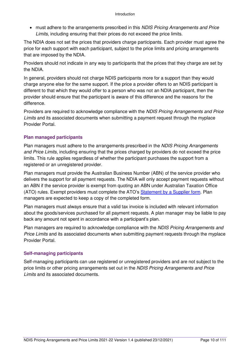• must adhere to the arrangements prescribed in this NDIS Pricing Arrangements and Price Limits, including ensuring that their prices do not exceed the price limits.

The NDIA does not set the prices that providers charge participants. Each provider must agree the price for each support with each participant, subject to the price limits and pricing arrangements that are imposed by the NDIA.

Providers should not indicate in any way to participants that the prices that they charge are set by the NDIA.

In general, providers should not charge NDIS participants more for a support than they would charge anyone else for the same support. If the price a provider offers to an NDIS participant is different to that which they would offer to a person who was not an NDIA participant, then the provider should ensure that the participant is aware of this difference and the reasons for the difference.

Providers are required to acknowledge compliance with the NDIS Pricing Arrangements and Price Limits and its associated documents when submitting a payment request through the myplace Provider Portal.

### <span id="page-9-0"></span>**Plan managed participants**

Plan managers must adhere to the arrangements prescribed in the NDIS Pricing Arrangements and Price Limits, including ensuring that the prices charged by providers do not exceed the price limits. This rule applies regardless of whether the participant purchases the support from a registered or an unregistered provider.

Plan managers must provide the Australian Business Number (ABN) of the service provider who delivers the support for all payment requests. The NDIA will only accept payment requests without an ABN if the service provider is exempt from quoting an ABN under Australian Taxation Office (ATO) rules. Exempt providers must complete the ATO's [Statement by a Supplier form.](https://www.ato.gov.au/uploadedFiles/Content/MEI/downloads/Statement%20by%20a%20supplier.pdf) Plan managers are expected to keep a copy of the completed form.

Plan managers must always ensure that a valid tax invoice is included with relevant information about the goods/services purchased for all payment requests. A plan manager may be liable to pay back any amount not spent in accordance with a participant's plan.

Plan managers are required to acknowledge compliance with the NDIS Pricing Arrangements and Price Limits and its associated documents when submitting payment requests through the myplace Provider Portal.

### <span id="page-9-1"></span>**Self-managing participants**

Self-managing participants can use registered or unregistered providers and are not subject to the price limits or other pricing arrangements set out in the NDIS Pricing Arrangements and Price Limits and its associated documents.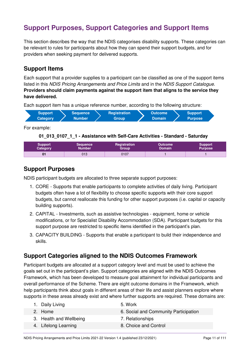## <span id="page-10-0"></span>**Support Purposes, Support Categories and Support Items**

This section describes the way that the NDIS categorises disability supports. These categories can be relevant to rules for participants about how they can spend their support budgets, and for providers when seeking payment for delivered supports.

## <span id="page-10-1"></span>**Support Items**

Each support that a provider supplies to a participant can be classified as one of the support items listed in this NDIS Pricing Arrangements and Price Limits and in the NDIS Support Catalogue. **Providers should claim payments against the support item that aligns to the service they have delivered.**

Each support item has a unique reference number, according to the following structure:

| 'Support,       | Sequence <sup>1</sup> | <b>Registration</b> | <b>Outcome</b> | <b>Support</b> |  |
|-----------------|-----------------------|---------------------|----------------|----------------|--|
| <b>Category</b> | <b>Number</b>         | <b>Group</b>        | <b>Domain</b>  | <b>Purpose</b> |  |

For example:

### **01\_013\_0107\_1\_1 - Assistance with Self-Care Activities - Standard - Saturday**

| <b>Support</b> | <b>Sequence</b> | Registration | <b>Outcome</b> | <b>Support</b> |
|----------------|-----------------|--------------|----------------|----------------|
| Category       | <b>Number</b>   | Group        | <b>Domain</b>  | <b>Purpose</b> |
| 01             | 013             | 0107         |                |                |

## <span id="page-10-2"></span>**Support Purposes**

NDIS participant budgets are allocated to three separate support purposes:

- 1. CORE Supports that enable participants to complete activities of daily living. Participant budgets often have a lot of flexibility to choose specific supports with their core support budgets, but cannot reallocate this funding for other support purposes (i.e. capital or capacity building supports).
- 2. CAPITAL Investments, such as assistive technologies equipment, home or vehicle modifications, or for Specialist Disability Accommodation (SDA). Participant budgets for this support purpose are restricted to specific items identified in the participant's plan.
- 3. CAPACITY BUILDING Supports that enable a participant to build their independence and skills.

## <span id="page-10-3"></span>**Support Categories aligned to the NDIS Outcomes Framework**

Participant budgets are allocated at a support category level and must be used to achieve the goals set out in the participant's plan. Support categories are aligned with the NDIS Outcomes Framework, which has been developed to measure goal attainment for individual participants and overall performance of the Scheme. There are eight outcome domains in the Framework, which help participants think about goals in different areas of their life and assist planners explore where supports in these areas already exist and where further supports are required. These domains are:

| 1. Daily Living         | 5. Work                               |
|-------------------------|---------------------------------------|
| 2. Home                 | 6. Social and Community Participation |
| 3. Health and Wellbeing | 7. Relationships                      |
| 4. Lifelong Learning    | 8. Choice and Control                 |
|                         |                                       |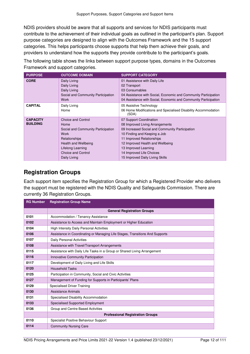NDIS providers should be aware that all supports and services for NDIS participants must contribute to the achievement of their individual goals as outlined in the participant's plan. Support purpose categories are designed to align with the Outcomes Framework and the 15 support categories. This helps participants choose supports that help them achieve their goals, and providers to understand how the supports they provide contribute to the participant's goals.

The following table shows the links between support purpose types, domains in the Outcomes Framework and support categories.

| <b>PURPOSE</b>                     | <b>OUTCOME DOMAIN</b>                                                                                                                                                                      | <b>SUPPORT CATEGORY</b>                                                                                                                                                                                                                                                                               |
|------------------------------------|--------------------------------------------------------------------------------------------------------------------------------------------------------------------------------------------|-------------------------------------------------------------------------------------------------------------------------------------------------------------------------------------------------------------------------------------------------------------------------------------------------------|
| <b>CORE</b>                        | Daily Living<br>Daily Living<br>Daily Living<br>Social and Community Participation<br>Work                                                                                                 | 01 Assistance with Daily Life<br>02 Transport<br>03 Consumables<br>04 Assistance with Social, Economic and Community Participation<br>04 Assistance with Social, Economic and Community Participation                                                                                                 |
| <b>CAPITAL</b>                     | Daily Living<br>Home                                                                                                                                                                       | 05 Assistive Technology<br>06 Home Modifications and Specialised Disability Accommodation<br>(SDA)                                                                                                                                                                                                    |
| <b>CAPACITY</b><br><b>BUILDING</b> | <b>Choice and Control</b><br>Home<br>Social and Community Participation<br>Work<br>Relationships<br>Health and Wellbeing<br>Lifelong Learning<br><b>Choice and Control</b><br>Daily Living | 07 Support Coordination<br>08 Improved Living Arrangements<br>09 Increased Social and Community Participation<br>10 Finding and Keeping a Job<br>11 Improved Relationships<br>12 Improved Health and Wellbeing<br>13 Improved Learning<br>14 Improved Life Choices<br>15 Improved Daily Living Skills |

## <span id="page-11-0"></span>**Registration Groups**

Each support item specifies the Registration Group for which a Registered Provider who delivers the support must be registered with the NDIS Quality and Safeguards Commission. There are currently 36 Registration Groups.

| <b>RG Number</b> | <b>Registration Group Name</b>                                               |  |  |
|------------------|------------------------------------------------------------------------------|--|--|
|                  | <b>General Registration Groups</b>                                           |  |  |
| 0101             | Accommodation / Tenancy Assistance                                           |  |  |
| 0102             | Assistance to Access and Maintain Employment or Higher Education             |  |  |
| 0104             | <b>High Intensity Daily Personal Activities</b>                              |  |  |
| 0106             | Assistance in Coordinating or Managing Life Stages, Transitions And Supports |  |  |
| 0107             | <b>Daily Personal Activities</b>                                             |  |  |
| 0108             | Assistance with Travel/Transport Arrangements                                |  |  |
| 0115             | Assistance with Daily Life Tasks in a Group or Shared Living Arrangement     |  |  |
| 0116             | Innovative Community Participation                                           |  |  |
| 0117             | Development of Daily Living and Life Skills                                  |  |  |
| 0120             | <b>Household Tasks</b>                                                       |  |  |
| 0125             | Participation in Community, Social and Civic Activities                      |  |  |
| 0127             | Management of Funding for Supports in Participants' Plans                    |  |  |
| 0129             | <b>Specialised Driver Training</b>                                           |  |  |
| 0130             | Assistance Animals                                                           |  |  |
| 0131             | Specialised Disability Accommodation                                         |  |  |
| 0133             | <b>Specialised Supported Employment</b>                                      |  |  |
| 0136             | Group and Centre Based Activities                                            |  |  |
|                  | <b>Professional Registration Groups</b>                                      |  |  |
| 0110             | Specialist Positive Behaviour Support                                        |  |  |
| 0114             | <b>Community Nursing Care</b>                                                |  |  |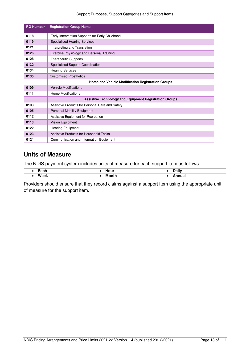### Support Purposes, Support Categories and Support Items

| <b>RG Number</b> | <b>Registration Group Name</b>                                |
|------------------|---------------------------------------------------------------|
| 0118             | Early Intervention Supports for Early Childhood               |
| 0119             | <b>Specialised Hearing Services</b>                           |
| 0121             | Interpreting and Translation                                  |
| 0126             | <b>Exercise Physiology and Personal Training</b>              |
| 0128             | <b>Therapeutic Supports</b>                                   |
| 0132             | <b>Specialised Support Coordination</b>                       |
| 0134             | <b>Hearing Services</b>                                       |
| 0135             | <b>Customised Prosthetics</b>                                 |
|                  | Home and Vehicle Modification Registration Groups             |
| 0109             | <b>Vehicle Modifications</b>                                  |
| 0111             | Home Modifications                                            |
|                  | <b>Assistive Technology and Equipment Registration Groups</b> |
| 0103             | Assistive Products for Personal Care and Safety               |
| 0105             | <b>Personal Mobility Equipment</b>                            |
| 0112             | Assistive Equipment for Recreation                            |
| 0113             | <b>Vision Equipment</b>                                       |
| 0122             | <b>Hearing Equipment</b>                                      |
| 0123             | Assistive Products for Household Tasks                        |
| 0124             | Communication and Information Equipment                       |

## <span id="page-12-0"></span>**Units of Measure**

The NDIS payment system includes units of measure for each support item as follows:

| ---<br>Laull | .<br>noui       | <b>Doily</b><br>Dall           |
|--------------|-----------------|--------------------------------|
| <b>Wook</b>  | М<br>.<br>_____ | $\overline{\phantom{a}}$<br>JО |

Providers should ensure that they record claims against a support item using the appropriate unit of measure for the support item.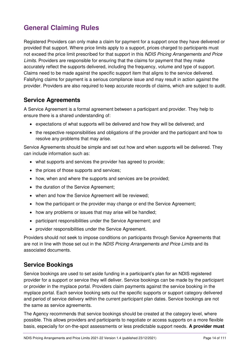## <span id="page-13-0"></span>**General Claiming Rules**

Registered Providers can only make a claim for payment for a support once they have delivered or provided that support. Where price limits apply to a support, prices charged to participants must not exceed the price limit prescribed for that support in this NDIS Pricing Arrangements and Price Limits. Providers are responsible for ensuring that the claims for payment that they make accurately reflect the supports delivered, including the frequency, volume and type of support. Claims need to be made against the specific support item that aligns to the service delivered. Falsifying claims for payment is a serious compliance issue and may result in action against the provider. Providers are also required to keep accurate records of claims, which are subject to audit.

## <span id="page-13-1"></span>**Service Agreements**

A Service Agreement is a formal agreement between a participant and provider. They help to ensure there is a shared understanding of:

- expectations of what supports will be delivered and how they will be delivered; and
- the respective responsibilities and obligations of the provider and the participant and how to resolve any problems that may arise.

Service Agreements should be simple and set out how and when supports will be delivered. They can include information such as:

- what supports and services the provider has agreed to provide;
- the prices of those supports and services;
- how, when and where the supports and services are be provided;
- the duration of the Service Agreement;
- when and how the Service Agreement will be reviewed;
- how the participant or the provider may change or end the Service Agreement;
- how any problems or issues that may arise will be handled;
- participant responsibilities under the Service Agreement; and
- provider responsibilities under the Service Agreement.

Providers should not seek to impose conditions on participants through Service Agreements that are not in line with those set out in the NDIS Pricing Arrangements and Price Limits and its associated documents.

## <span id="page-13-2"></span>**Service Bookings**

Service bookings are used to set aside funding in a participant's plan for an NDIS registered provider for a support or service they will deliver. Service bookings can be made by the participant or provider in the myplace portal. Providers claim payments against the service booking in the myplace portal. Each service booking sets out the specific supports or support category delivered and period of service delivery within the current participant plan dates. Service bookings are not the same as service agreements.

The Agency recommends that service bookings should be created at the category level, where possible. This allows providers and participants to negotiate or access supports on a more flexible basis, especially for on-the-spot assessments or less predictable support needs. **A provider must**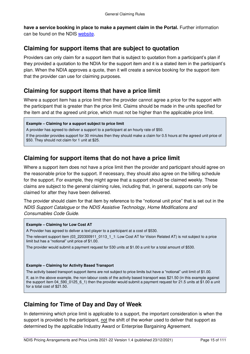have a service booking in place to make a payment claim in the Portal. Further information can be found on the NDIS [website.](https://www.ndis.gov.au/providers/working-provider/myplace-provider-portal-and-resources)

## <span id="page-14-0"></span>**Claiming for support items that are subject to quotation**

Providers can only claim for a support item that is subject to quotation from a participant's plan if they provided a quotation to the NDIA for the support item and it is a stated item in the participant's plan. When the NDIA approves a quote, then it will create a service booking for the support item that the provider can use for claiming purposes.

## <span id="page-14-1"></span>**Claiming for support items that have a price limit**

Where a support item has a price limit then the provider cannot agree a price for the support with the participant that is greater than the price limit. Claims should be made in the units specified for the item and at the agreed unit price, which must not be higher than the applicable price limit.

#### **Example – Claiming for a support subject to price limit**

A provider has agreed to deliver a support to a participant at an hourly rate of \$50.

If the provider provides support for 30 minutes then they should make a claim for 0.5 hours at the agreed unit price of \$50. They should not claim for 1 unit at \$25.

## <span id="page-14-2"></span>**Claiming for support items that do not have a price limit**

Where a support item does not have a price limit then the provider and participant should agree on the reasonable price for the support. If necessary, they should also agree on the billing schedule for the support. For example, they might agree that a support should be claimed weekly. These claims are subject to the general claiming rules, including that, in general, supports can only be claimed for after they have been delivered.

The provider should claim for that item by reference to the "notional unit price" that is set out in the NDIS Support Catalogue or the NDIS Assistive Technology, Home Modifications and Consumables Code Guide.

#### **Example – Claiming for Low Cost AT**

A Provider has agreed to deliver a text player to a participant at a cost of \$530.

The relevant support item (03 220300911 0113 1 1: Low Cost AT for Vision Related AT) is not subject to a price limit but has a "notional" unit price of \$1.00.

The provider would submit a payment request for 530 units at \$1.00 a unit for a total amount of \$530.

#### **Example – Claiming for Activity Based Transport**

The activity based transport support items are not subject to price limits but have a "notional" unit limit of \$1.00.

If, as in the above example, the non-labour costs of the activity based transport was \$21.50 (in this example against the support item 04\_590\_0125\_6\_1) then the provider would submit a payment request for 21.5 units at \$1.00 a unit for a total cost of \$21.50.

## <span id="page-14-3"></span>**Claiming for Time of Day and Day of Week**

In determining which price limit is applicable to a support, the important consideration is when the support is provided to the participant, not the shift of the worker used to deliver that support as determined by the applicable Industry Award or Enterprise Bargaining Agreement.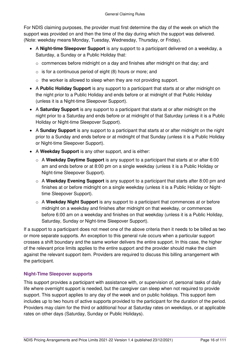For NDIS claiming purposes, the provider must first determine the day of the week on which the support was provided on and then the time of the day during which the support was delivered. (Note: weekday means Monday, Tuesday, Wednesday, Thursday, or Friday).

- A **Night-time Sleepover Support** is any support to a participant delivered on a weekday, a Saturday, a Sunday or a Public Holiday that:
	- $\circ$  commences before midnight on a day and finishes after midnight on that day; and
	- $\circ$  is for a continuous period of eight (8) hours or more; and
	- o the worker is allowed to sleep when they are not providing support.
- A **Public Holiday Support** is any support to a participant that starts at or after midnight on the night prior to a Public Holiday and ends before or at midnight of that Public Holiday (unless it is a Night-time Sleepover Support).
- A **Saturday Support** is any support to a participant that starts at or after midnight on the night prior to a Saturday and ends before or at midnight of that Saturday (unless it is a Public Holiday or Night-time Sleepover Support).
- A **Sunday Support** is any support to a participant that starts at or after midnight on the night prior to a Sunday and ends before or at midnight of that Sunday (unless it is a Public Holiday or Night-time Sleepover Support).
- A **Weekday Support** is any other support, and is either:
	- o A **Weekday Daytime Support** is any support to a participant that starts at or after 6:00 am and ends before or at 8:00 pm on a single weekday (unless it is a Public Holiday or Night-time Sleepover Support).
	- o A **Weekday Evening Support** is any support to a participant that starts after 8:00 pm and finishes at or before midnight on a single weekday (unless it is a Public Holiday or Nighttime Sleepover Support).
	- o A **Weekday Night Support** is any support to a participant that commences at or before midnight on a weekday and finishes after midnight on that weekday, or commences before 6:00 am on a weekday and finishes on that weekday (unless it is a Public Holiday, Saturday, Sunday or Night-time Sleepover Support).

If a support to a participant does not meet one of the above criteria then it needs to be billed as two or more separate supports. An exception to this general rule occurs when a particular support crosses a shift boundary and the same worker delivers the entire support. In this case, the higher of the relevant price limits applies to the entire support and the provider should make the claim against the relevant support item. Providers are required to discuss this billing arrangement with the participant.

## <span id="page-15-0"></span>**Night-Time Sleepover supports**

This support provides a participant with assistance with, or supervision of, personal tasks of daily life where overnight support is needed, but the caregiver can sleep when not required to provide support. This support applies to any day of the week and on public holidays. This support item includes up to two hours of active supports provided to the participant for the duration of the period. Providers may claim for the third or additional hour at Saturday rates on weekdays, or at applicable rates on other days (Saturday, Sunday or Public Holidays).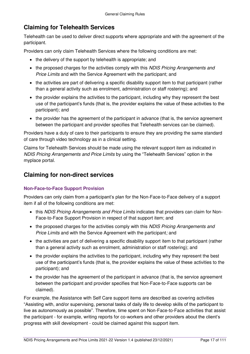## <span id="page-16-0"></span>**Claiming for Telehealth Services**

Telehealth can be used to deliver direct supports where appropriate and with the agreement of the participant.

Providers can only claim Telehealth Services where the following conditions are met:

- the delivery of the support by telehealth is appropriate; and
- the proposed charges for the activities comply with this NDIS Pricing Arrangements and Price Limits and with the Service Agreement with the participant; and
- the activities are part of delivering a specific disability support item to that participant (rather than a general activity such as enrolment, administration or staff rostering); and
- the provider explains the activities to the participant, including why they represent the best use of the participant's funds (that is, the provider explains the value of these activities to the participant); and
- the provider has the agreement of the participant in advance (that is, the service agreement between the participant and provider specifies that Telehealth services can be claimed).

Providers have a duty of care to their participants to ensure they are providing the same standard of care through video technology as in a clinical setting.

Claims for Telehealth Services should be made using the relevant support item as indicated in NDIS Pricing Arrangements and Price Limits by using the "Telehealth Services" option in the myplace portal.

## <span id="page-16-1"></span>**Claiming for non-direct services**

## <span id="page-16-2"></span>**Non-Face-to-Face Support Provision**

Providers can only claim from a participant's plan for the Non-Face-to-Face delivery of a support item if all of the following conditions are met:

- this NDIS Pricing Arrangements and Price Limits indicates that providers can claim for Non-Face-to-Face Support Provision in respect of that support item; and
- the proposed charges for the activities comply with this NDIS Pricing Arrangements and Price Limits and with the Service Agreement with the participant; and
- the activities are part of delivering a specific disability support item to that participant (rather than a general activity such as enrolment, administration or staff rostering); and
- the provider explains the activities to the participant, including why they represent the best use of the participant's funds (that is, the provider explains the value of these activities to the participant); and
- the provider has the agreement of the participant in advance (that is, the service agreement between the participant and provider specifies that Non-Face-to-Face supports can be claimed).

For example, the Assistance with Self Care support items are described as covering activities "Assisting with, and/or supervising, personal tasks of daily life to develop skills of the participant to live as autonomously as possible". Therefore, time spent on Non-Face-to-Face activities that assist the participant - for example, writing reports for co-workers and other providers about the client's progress with skill development - could be claimed against this support item.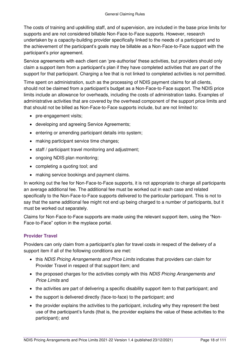The costs of training and upskilling staff, and of supervision, are included in the base price limits for supports and are not considered billable Non-Face-to-Face supports. However, research undertaken by a capacity-building provider specifically linked to the needs of a participant and to the achievement of the participant's goals may be billable as a Non-Face-to-Face support with the participant's prior agreement.

Service agreements with each client can 'pre-authorise' these activities, but providers should only claim a support item from a participant's plan if they have completed activities that are part of the support for that participant. Charging a fee that is not linked to completed activities is not permitted.

Time spent on administration, such as the processing of NDIS payment claims for all clients, should not be claimed from a participant's budget as a Non-Face-to-Face support. The NDIS price limits include an allowance for overheads, including the costs of administration tasks. Examples of administrative activities that are covered by the overhead component of the support price limits and that should not be billed as Non-Face-to-Face supports include, but are not limited to:

- pre-engagement visits;
- developing and agreeing Service Agreements;
- entering or amending participant details into system;
- making participant service time changes;
- staff / participant travel monitoring and adjustment;
- ongoing NDIS plan monitoring;
- completing a quoting tool; and
- making service bookings and payment claims.

In working out the fee for Non-Face-to-Face supports, it is not appropriate to charge all participants an average additional fee. The additional fee must be worked out in each case and related specifically to the Non-Face-to-Face supports delivered to the particular participant. This is not to say that the same additional fee might not end up being charged to a number of participants, but it must be worked out separately.

Claims for Non-Face-to-Face supports are made using the relevant support item, using the "Non-Face-to-Face" option in the myplace portal.

### <span id="page-17-0"></span>**Provider Travel**

Providers can only claim from a participant's plan for travel costs in respect of the delivery of a support item if all of the following conditions are met:

- this NDIS Pricing Arrangements and Price Limits indicates that providers can claim for Provider Travel in respect of that support item; and
- the proposed charges for the activities comply with this NDIS Pricing Arrangements and Price Limits and
- the activities are part of delivering a specific disability support item to that participant; and
- the support is delivered directly (face-to-face) to the participant; and
- the provider explains the activities to the participant, including why they represent the best use of the participant's funds (that is, the provider explains the value of these activities to the participant); and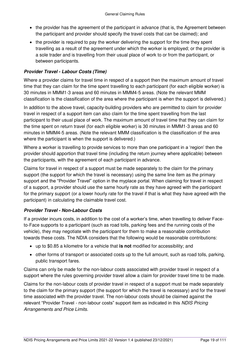- the provider has the agreement of the participant in advance (that is, the Agreement between the participant and provider should specify the travel costs that can be claimed); and
- the provider is required to pay the worker delivering the support for the time they spent travelling as a result of the agreement under which the worker is employed; or the provider is a sole trader and is travelling from their usual place of work to or from the participant, or between participants.

## **Provider Travel - Labour Costs (Time)**

Where a provider claims for travel time in respect of a support then the maximum amount of travel time that they can claim for the time spent travelling to each participant (for each eligible worker) is 30 minutes in MMM1-3 areas and 60 minutes in MMM4-5 areas. (Note the relevant MMM classification is the classification of the area where the participant is when the support is delivered.)

In addition to the above travel, capacity-building providers who are permitted to claim for provider travel in respect of a support item can also claim for the time spent travelling from the last participant to their usual place of work. The maximum amount of travel time that they can claim for the time spent on return travel (for each eligible worker) is 30 minutes in MMM1-3 areas and 60 minutes in MMM4-5 areas. (Note the relevant MMM classification is the classification of the area where the participant is when the support is delivered.)

Where a worker is travelling to provide services to more than one participant in a 'region' then the provider should apportion that travel time (including the return journey where applicable) between the participants, with the agreement of each participant in advance.

Claims for travel in respect of a support must be made separately to the claim for the primary support (the support for which the travel is necessary) using the same line item as the primary support and the "Provider Travel" option in the myplace portal. When claiming for travel in respect of a support, a provider should use the same hourly rate as they have agreed with the participant for the primary support (or a lower hourly rate for the travel if that is what they have agreed with the participant) in calculating the claimable travel cost.

## **Provider Travel - Non-Labour Costs**

If a provider incurs costs, in addition to the cost of a worker's time, when travelling to deliver Faceto-Face supports to a participant (such as road tolls, parking fees and the running costs of the vehicle), they may negotiate with the participant for them to make a reasonable contribution towards these costs. The NDIA considers that the following would be reasonable contributions:

- up to \$0.85 a kilometre for a vehicle that **is not** modified for accessibility; and
- other forms of transport or associated costs up to the full amount, such as road tolls, parking, public transport fares.

Claims can only be made for the non-labour costs associated with provider travel in respect of a support where the rules governing provider travel allow a claim for provider travel time to be made.

Claims for the non-labour costs of provider travel in respect of a support must be made separately to the claim for the primary support (the support for which the travel is necessary) and for the travel time associated with the provider travel. The non-labour costs should be claimed against the relevant "Provider Travel - non-labour costs" support item as indicated in this NDIS Pricing Arrangements and Price Limits.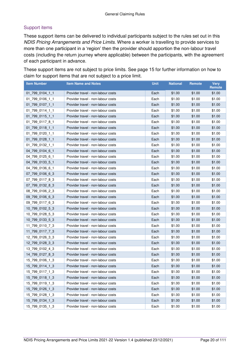## Support items

These support items can be delivered to individual participants subject to the rules set out in this NDIS Pricing Arrangements and Price Limits. Where a worker is travelling to provide services to more than one participant in a 'region' then the provider should apportion the non-labour travel costs (including the return journey where applicable) between the participants, with the agreement of each participant in advance.

These support items are not subject to price limits. See page [15](#page-14-0) for further information on how to claim for support items that are not subject to a price limit.

| <b>Item Number</b> | <b>Item Name and Notes</b>         | <b>Unit</b> | <b>National</b> | <b>Remote</b> | Very<br>Remote |
|--------------------|------------------------------------|-------------|-----------------|---------------|----------------|
| 01_799_0104_1_1    | Provider travel - non-labour costs | Each        | \$1.00          | \$1.00        | \$1.00         |
| 01_799_0106_1_1    | Provider travel - non-labour costs | Each        | \$1.00          | \$1.00        | \$1.00         |
| 01_799_0107_1_1    | Provider travel - non-labour costs | Each        | \$1.00          | \$1.00        | \$1.00         |
| 01_799_0114_1_1    | Provider travel - non-labour costs | Each        | \$1.00          | \$1.00        | \$1.00         |
| 01_799_0115_1_1    | Provider travel - non-labour costs | Each        | \$1.00          | \$1.00        | \$1.00         |
| 01_799_0117_8_1    | Provider travel - non-labour costs | Each        | \$1.00          | \$1.00        | \$1.00         |
| 01_799_0118_1_1    | Provider travel - non-labour costs | Each        | \$1.00          | \$1.00        | \$1.00         |
| 01_799_0120_1_1    | Provider travel - non-labour costs | Each        | \$1.00          | \$1.00        | \$1.00         |
| 01_799_0128_1_1    | Provider travel - non-labour costs | Each        | \$1.00          | \$1.00        | \$1.00         |
| 01_799_0132_1_1    | Provider travel - non-labour costs | Each        | \$1.00          | \$1.00        | \$1.00         |
| 04_799_0104_6_1    | Provider travel - non-labour costs | Each        | \$1.00          | \$1.00        | \$1.00         |
| 04 799 0125 6 1    | Provider travel - non-labour costs | Each        | \$1.00          | \$1.00        | \$1.00         |
| 04 799 0133 5 1    | Provider travel - non-labour costs | Each        | \$1.00          | \$1.00        | \$1.00         |
| 04 799 0136 6 1    | Provider travel - non-labour costs | Each        | \$1.00          | \$1.00        | \$1.00         |
| 07 799 0106 6 3    | Provider travel - non-labour costs | Each        | \$1.00          | \$1.00        | \$1.00         |
| 07 799 0117 8 3    | Provider travel - non-labour costs | Each        | \$1.00          | \$1.00        | \$1.00         |
| 07 799 0132 8 3    | Provider travel - non-labour costs | Each        | \$1.00          | \$1.00        | \$1.00         |
| 08_799_0106_2_3    | Provider travel - non-labour costs | Each        | \$1.00          | \$1.00        | \$1.00         |
| 09 799 0106 6 3    | Provider travel - non-labour costs | Each        | \$1.00          | \$1.00        | \$1.00         |
| 09_799_0117_6_3    | Provider travel - non-labour costs | Each        | \$1.00          | \$1.00        | \$1.00         |
| 10 799 0102 5 3    | Provider travel - non-labour costs | Each        | \$1.00          | \$1.00        | \$1.00         |
| 10_799_0128_5_3    | Provider travel - non-labour costs | Each        | \$1.00          | \$1.00        | \$1.00         |
| 10 799 0133 5 3    | Provider travel - non-labour costs | Each        | \$1.00          | \$1.00        | \$1.00         |
| 11_799_0110_7_3    | Provider travel - non-labour costs | Each        | \$1.00          | \$1.00        | \$1.00         |
| 11_799_0117_7_3    | Provider travel - non-labour costs | Each        | \$1.00          | \$1.00        | \$1.00         |
| 12 799 0126 3 3    | Provider travel - non-labour costs | Each        | \$1.00          | \$1.00        | \$1.00         |
| 12_799_0128_3_3    | Provider travel - non-labour costs | Each        | \$1.00          | \$1.00        | \$1.00         |
| 13_799_0102_4_3    | Provider travel - non-labour costs | Each        | \$1.00          | \$1.00        | \$1.00         |
| 14_799_0127_8_3    | Provider travel - non-labour costs | Each        | \$1.00          | \$1.00        | \$1.00         |
| 15 799 0106 1 3    | Provider travel - non-labour costs | Each        | \$1.00          | \$1.00        | \$1.00         |
| 15_799_0114_1_3    | Provider travel - non-labour costs | Each        | \$1.00          | \$1.00        | \$1.00         |
| 15 799 0117 1 3    | Provider travel - non-labour costs | Each        | \$1.00          | \$1.00        | \$1.00         |
| 15_799_0118_1_3    | Provider travel - non-labour costs | Each        | \$1.00          | \$1.00        | \$1.00         |
| 15_799_0119_1_3    | Provider travel - non-labour costs | Each        | \$1.00          | \$1.00        | \$1.00         |
| 15_799_0126_1_3    | Provider travel - non-labour costs | Each        | \$1.00          | \$1.00        | \$1.00         |
| 15_799_0128_1_3    | Provider travel - non-labour costs | Each        | \$1.00          | \$1.00        | \$1.00         |
| 15 799 0134 1 3    | Provider travel - non-labour costs | Each        | \$1.00          | \$1.00        | \$1.00         |
| 15_799_0135_1_3    | Provider travel - non-labour costs | Each        | \$1.00          | \$1.00        | \$1.00         |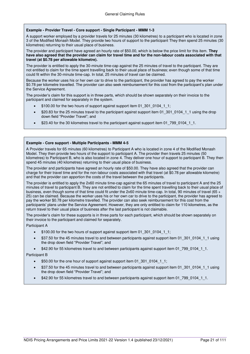#### **Example - Provider Travel - Core support - Single Participant - MMM 1-3**

A support worker employed by a provider travels for 25 minutes (30 kilometres) to a participant who is located in zone 3 of the Modified Monash Model. They provide two hours of support to the participant They then spend 25 minutes (30 kilometres) returning to their usual place of business.

The provider and participant have agreed an hourly rate of \$50.00, which is below the price limit for this item. **They have also agreed that the provider can claim for travel time and for the non-labour costs associated with that travel (at \$0.78 per allowable kilometre).**

The provider is entitled to apply the 30-minute time-cap against the 25 minutes of travel to the participant. They are not entitled to claim for the time spent travelling back to their usual place of business; even though some of that time could fit within the 30-minute time-cap. In total, 25 minutes of travel can be claimed.

Because the worker uses his or her own car to drive to the participant, the provider has agreed to pay the worker \$0.78 per kilometre travelled. The provider can also seek reimbursement for this cost from the participant's plan under the Service Agreement.

The provider's claim for this support is in three parts, which should be shown separately on their invoice to the participant and claimed for separately in the system.

- \$100.00 for the two hours of support against support item 01\_301\_0104\_1\_1;
- \$20.83 for the 25 minutes travel to the participant against support item 01\_301\_0104\_1\_1 using the drop down field "Provider Travel"; and
- \$23.40 for the 30 kilometres travel to the participant against support item 01 799 0104 1 1.

#### **Example - Core support - Multiple Participants - MMM 4-5**

A Provider travels for 65 minutes (60 kilometres) to Participant A who is located in zone 4 of the Modified Monash Model. They then provide two hours of the support to participant A. The provider then travels 25 minutes (50 kilometres) to Participant B, who is also located in zone 4. They deliver one hour of support to participant B. They then spend 45 minutes (40 kilometres) returning to their usual place of business.

The provider and participants have agreed an hourly rate of \$50.00. They have also agreed that the provider can charge for their travel time and for the non-labour costs associated with that travel (at \$0.78 per allowable kilometre) and that the provider can apportion the costs of the travel between the participants.

The provider is entitled to apply the 2x60 minute time-cap against the 65 minutes of travel to participant A and the 25 minutes of travel to participant B. They are not entitled to claim for the time spent travelling back to their usual place of business, even though some of that time could fit under the 2x60 minute time-cap. In total, 90 minutes of travel (65 + 25) can be claimed. Because the worker uses his or her own car to drive to the participant, the provider has agreed to pay the worker \$0.78 per kilometre travelled. The provider can also seek reimbursement for this cost from the participants' plans under the Service Agreement. However, they are only entitled to claim for 110 kilometres, as the return travel to their usual place of business after the last participant is not claimable.

The provider's claim for these supports is in three parts for each participant, which should be shown separately on their invoice to the participant and claimed for separately.

Participant A

- \$100.00 for the two hours of support against support item 01\_301\_0104\_1\_1;
- \$37.50 for the 45 minutes travel to and between participants against support item 01\_301\_0104\_1\_1 using the drop down field "Provider Travel"; and
- \$42.90 for 55 kilometres travel to and between participants against support item 01\_799\_0104\_1\_1.

Participant B

- \$50.00 for the one hour of support against support item 01\_301\_0104\_1\_1;
- \$37.50 for the 45 minutes travel to and between participants against support item 01\_301\_0104\_1\_1 using the drop down field "Provider Travel"; and
- \$42.90 for 55 kilometres travel to and between participants against support item 01\_799\_0104\_1\_1.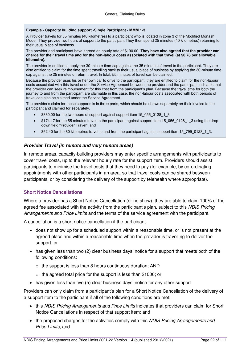#### **Example - Capacity building support -Single Participant - MMM 1-3**

A Provider travels for 35 minutes (40 kilometres) to a participant who is located in zone 3 of the Modified Monash Model. They provide two hours of support to the participant They then spend 25 minutes (40 kilometres) returning to their usual place of business.

The provider and participant have agreed an hourly rate of \$190.00. **They have also agreed that the provider can charge for their travel time and for the non-labour costs associated with that travel (at \$0.78 per allowable kilometre).**

The provider is entitled to apply the 30-minute time-cap against the 35 minutes of travel to the participant. They are also entitled to claim for the time spent travelling back to their usual place of business by applying the 30-minute timecap against the 25 minutes of return travel. In total, 55 minutes of travel can be claimed.

Because the provider uses his or her own car to drive to the participant, they are entitled to claim for the non-labour costs associated with this travel under the Service Agreement between the provider and the participant indicates that the provider can seek reimbursement for this cost from the participant's plan. Because the travel time for both the journey to and from the participant are claimable in this case, the non-labour costs associated with both periods of travel can also be claimed under the Service Agreement.

The provider's claim for these supports is in three parts, which should be shown separately on their invoice to the participant and claimed for separately.

- \$380.00 for the two hours of support against support item 15\_056\_0128\_1\_3
- \$174.17 for the 55 minutes travel to the participant against support item 15\_056\_0128\_1\_3 using the drop down field "Provider Travel"; and
- \$62.40 for the 80 kilometres travel to and from the participant against support item 15\_799\_0128\_1\_3.

#### **Provider Travel (in remote and very remote areas)**

In remote areas, capacity-building providers may enter specific arrangements with participants to cover travel costs, up to the relevant hourly rate for the support item. Providers should assist participants to minimise the travel costs that they need to pay (for example, by co-ordinating appointments with other participants in an area, so that travel costs can be shared between participants, or by considering the delivery of the support by telehealth where appropriate).

#### <span id="page-21-0"></span>**Short Notice Cancellations**

Where a provider has a Short Notice Cancellation (or no show), they are able to claim 100% of the agreed fee associated with the activity from the participant's plan, subject to this NDIS Pricing Arrangements and Price Limits and the terms of the service agreement with the participant.

A cancellation is a short notice cancellation if the participant:

- does not show up for a scheduled support within a reasonable time, or is not present at the agreed place and within a reasonable time when the provider is travelling to deliver the support; or
- $\bullet$  has given less than two (2) clear business days' notice for a support that meets both of the following conditions:
	- $\circ$  the support is less than 8 hours continuous duration; AND
	- $\circ$  the agreed total price for the support is less than \$1000; or
- has given less than five (5) clear business days' notice for any other support.

Providers can only claim from a participant's plan for a Short Notice Cancellation of the delivery of a support item to the participant if all of the following conditions are met:

- this NDIS Pricing Arrangements and Price Limits indicates that providers can claim for Short Notice Cancellations in respect of that support item; and
- the proposed charges for the activities comply with this NDIS Pricing Arrangements and Price Limits; and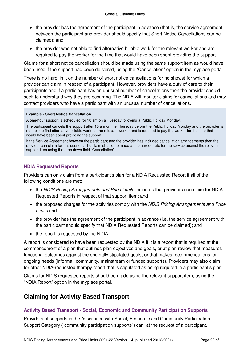- the provider has the agreement of the participant in advance (that is, the service agreement between the participant and provider should specify that Short Notice Cancellations can be claimed); and
- the provider was not able to find alternative billable work for the relevant worker and are required to pay the worker for the time that would have been spent providing the support.

Claims for a short notice cancellation should be made using the same support item as would have been used if the support had been delivered, using the "Cancellation" option in the myplace portal.

There is no hard limit on the number of short notice cancellations (or no shows) for which a provider can claim in respect of a participant. However, providers have a duty of care to their participants and if a participant has an unusual number of cancellations then the provider should seek to understand why they are occurring. The NDIA will monitor claims for cancellations and may contact providers who have a participant with an unusual number of cancellations.

#### **Example - Short Notice Cancellation**

A one-hour support is scheduled for 10 am on a Tuesday following a Public Holiday Monday.

The participant cancels the support after 10 am on the Thursday before the Public Holiday Monday and the provider is not able to find alternative billable work for the relevant worker and is required to pay the worker for the time that would have been spent providing the support.

If the Service Agreement between the participant and the provider has included cancellation arrangements then the provider can claim for this support. The claim should be made at the agreed rate for the service against the relevant support item using the drop down field "Cancellation".

### <span id="page-22-0"></span>**NDIA Requested Reports**

Providers can only claim from a participant's plan for a NDIA Requested Report if all of the following conditions are met:

- the NDIS Pricing Arrangements and Price Limits indicates that providers can claim for NDIA Requested Reports in respect of that support item; and
- the proposed charges for the activities comply with the NDIS Pricing Arrangements and Price Limits and
- the provider has the agreement of the participant in advance (i.e. the service agreement with the participant should specify that NDIA Requested Reports can be claimed); and
- the report is requested by the NDIA.

A report is considered to have been requested by the NDIA if it is a report that is required at the commencement of a plan that outlines plan objectives and goals, or at plan review that measures functional outcomes against the originally stipulated goals, or that makes recommendations for ongoing needs (informal, community, mainstream or funded supports). Providers may also claim for other NDIA-requested therapy report that is stipulated as being required in a participant's plan.

Claims for NDIS requested reports should be made using the relevant support item, using the "NDIA Report" option in the myplace portal.

## <span id="page-22-1"></span>**Claiming for Activity Based Transport**

### <span id="page-22-2"></span>**Activity Based Transport - Social, Economic and Community Participation Supports**

Providers of supports in the Assistance with Social, Economic and Community Participation Support Category ("community participation supports") can, at the request of a participant,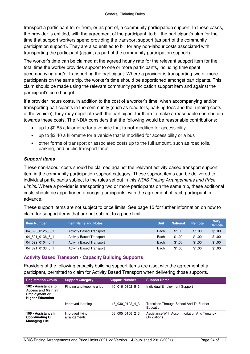transport a participant to, or from, or as part of, a community participation support. In these cases, the provider is entitled, with the agreement of the participant, to bill the participant's plan for the time that support workers spend providing the transport support (as part of the community participation support). They are also entitled to bill for any non-labour costs associated with transporting the participant (again, as part of the community participation support).

The worker's time can be claimed at the agreed hourly rate for the relevant support item for the total time the worker provides support to one or more participants, including time spent accompanying and/or transporting the participant. Where a provider is transporting two or more participants on the same trip, the worker's time should be apportioned amongst participants. This claim should be made using the relevant community participation support item and against the participant's core budget.

If a provider incurs costs, in addition to the cost of a worker's time, when accompanying and/or transporting participants in the community (such as road tolls, parking fees and the running costs of the vehicle), they may negotiate with the participant for them to make a reasonable contribution towards these costs. The NDIA considers that the following would be reasonable contributions:

- up to \$0.85 a kilometre for a vehicle that **is not** modified for accessibility
- up to \$2.40 a kilometre for a vehicle that is modified for accessibility or a bus
- other forms of transport or associated costs up to the full amount, such as road tolls, parking, and public transport fares.

### **Support items**

These non-labour costs should be claimed against the relevant activity based transport support item in the community participation support category. These support items can be delivered to individual participants subject to the rules set out in this NDIS Pricing Arrangements and Price Limits. Where a provider is transporting two or more participants on the same trip, these additional costs should be apportioned amongst participants, with the agreement of each participant in advance.

These support items are not subject to price limits. See page [15](#page-14-0) for further information on how to claim for support items that are not subject to a price limit.

| <b>Item Number</b> | <b>Item Name and Notes</b>      | Unit | <b>National</b> | Remote | <b>Very</b><br><b>Remote</b> |
|--------------------|---------------------------------|------|-----------------|--------|------------------------------|
| 04 590 0125 6 1    | <b>Activity Based Transport</b> | Each | \$1.00          | \$1.00 | \$1.00                       |
| 04 591 0136 6 1    | <b>Activity Based Transport</b> | Each | \$1.00          | \$1.00 | \$1.00                       |
| 04 592 0104 6 1    | <b>Activity Based Transport</b> | Each | \$1.00          | \$1.00 | \$1.00                       |
| 04 821 0133 6 1    | <b>Activity Based Transport</b> | Each | \$1.00          | \$1.00 | \$1.00                       |

### <span id="page-23-0"></span>**Activity Based Transport - Capacity Building Supports**

Providers of the following capacity building support items are also, with the agreement of a participant, permitted to claim for Activity Based Transport when delivering those supports.

| <b>Registration Group</b>                                                                            | <b>Support Category</b>         | <b>Support Number</b> | <b>Support Name</b>                                      |
|------------------------------------------------------------------------------------------------------|---------------------------------|-----------------------|----------------------------------------------------------|
| 102 - Assistance to<br><b>Access and Maintain</b><br><b>Employment or</b><br><b>Higher Education</b> | Finding and keeping a job       | 10 016 0102 5 3       | Individual Employment Support                            |
|                                                                                                      | Improved learning               | 13 030 0102 4 3       | Transition Through School And To Further<br>Education    |
| 106 - Assistance In<br><b>Coordinating Or</b><br><b>Managing Life</b>                                | Improved living<br>arrangements | 08 005 0106 2 3       | Assistance With Accommodation And Tenancy<br>Obligations |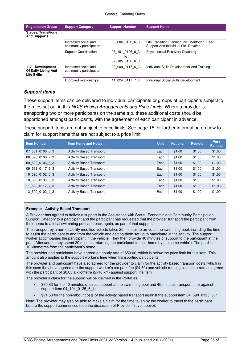| <b>Registration Group</b>                                      | <b>Support Category</b>                         | <b>Support Number</b>                    | <b>Support Name</b>                                                                     |
|----------------------------------------------------------------|-------------------------------------------------|------------------------------------------|-----------------------------------------------------------------------------------------|
| <b>Stages, Transitions</b><br><b>And Supports</b>              |                                                 |                                          |                                                                                         |
|                                                                | Increased social and<br>community participation | 09 006 0106 6 3                          | Life Transition Planning Incl. Mentoring, Peer-<br>Support And Individual Skill Develop |
|                                                                | <b>Support Coordination</b>                     | 07 101 0106 6 3<br>to<br>07 105 0106 6 3 | Psychosocial Recovery Coaching                                                          |
| 117 - Development<br>Of Daily Living And<br><b>Life Skills</b> | Increased social and<br>community participation | 09 009 0117 6 3                          | Individual Skills Development And Training                                              |
|                                                                | Improved relationships                          | 11 024 0117 7 3                          | Individual Social Skills Development                                                    |

#### **Support items**

These support items can be delivered to individual participants or groups of participants subject to the rules set out in this NDIS Pricing Arrangements and Price Limits. Where a provider is transporting two or more participants on the same trip, these additional costs should be apportioned amongst participants, with the agreement of each participant in advance.

These support items are not subject to price limits. See page [15](#page-14-0) for further information on how to claim for support items that are not subject to a price limit.

| <b>Item Number</b> | <b>Item Name and Notes</b>      | <b>Unit</b> | <b>National</b> | Remote | <b>Verv</b><br>Remote |
|--------------------|---------------------------------|-------------|-----------------|--------|-----------------------|
| 07 501 0106 6 3    | <b>Activity Based Transport</b> | Each        | \$1.00          | \$1.00 | \$1.00                |
| 08 590 0106 2 3    | <b>Activity Based Transport</b> | Each        | \$1.00          | \$1.00 | \$1.00                |
| 09 590 0106 6 3    | <b>Activity Based Transport</b> | Each        | \$1.00          | \$1.00 | \$1.00                |
| 09 591 0117 6 3    | <b>Activity Based Transport</b> | Each        | \$1.00          | \$1.00 | \$1.00                |
| 10 590 0102 5 3    | <b>Activity Based Transport</b> | Each        | \$1.00          | \$1.00 | \$1.00                |
| 10 590 0133 5 3    | <b>Activity Based Transport</b> | Each        | \$1.00          | \$1.00 | \$1.00                |
| 11 590 0117 7 3    | <b>Activity Based Transport</b> | Each        | \$1.00          | \$1.00 | \$1.00                |
| 13 590 0102 4 3    | <b>Activity Based Transport</b> | Each        | \$1.00          | \$1.00 | \$1.00                |

#### **Example - Activity Based Transport**

A Provider has agreed to deliver a support in the Assistance with Social, Economic and Community Participation Support Category to a participant and the participant has requested that the provider transport the participant from their home to a local swimming pool and back again, as part of that support.

The transport by a non-disability modified vehicle takes 25 minutes to arrive at the swimming pool, including the time to assist the participant to and from the vehicle and getting them set up to participate in the activity. The support worker accompanies the participant in the vehicle. They then provide 40 minutes of support to the participant at the pool. Afterwards, they spend 20 minutes returning the participant to their home by the same vehicle. The pool is 10 kilometres from the participant's home.

The provider and participant have agreed an hourly rate of \$50.00, which is below the price limit for this item. This amount also applies to the support worker's time when transporting participants.

The provider and participant have also agreed for the provider to claim for the activity based transport costs, which in this case they have agreed are the support worker's car park fee (\$4.50) and vehicle running costs at a rate as agreed with the participant of \$0.85 a kilometre (2x10 km) against support line item

The provider's claim for the support will be claimed in the Portal as:

- \$70.83 for the 40 minutes of direct support at the swimming pool and 45 minutes transport time against support item 04 104 0125 6 1;
- \$21.50 for the non-labour costs of the activity based transport against the support item 04 590 0125 6 1.

Note: The provider may also be able to make a claim for the time taken by the worker to travel to the participant before the support commences (see the discussion of Provider Travel above).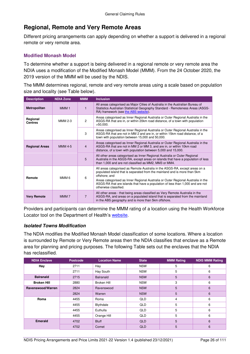## <span id="page-25-0"></span>**Regional, Remote and Very Remote Areas**

Different pricing arrangements can apply depending on whether a support is delivered in a regional remote or very remote area.

### <span id="page-25-1"></span>**Modified Monash Model**

To determine whether a support is being delivered in a regional remote or very remote area the NDIA uses a modification of the Modified Monash Model (MMM). From the 24 October 2020, the 2019 version of the MMM will be used by the NDIS.

The MMM determines regional, remote and very remote areas using a scale based on population size and locality (see Table below).

| <b>Description</b>         | <b>NDIA Zone</b> | <b>MMM</b>     | <b>Inclusion</b>                                                                                                                                                                                                                                                                                                                                                         |
|----------------------------|------------------|----------------|--------------------------------------------------------------------------------------------------------------------------------------------------------------------------------------------------------------------------------------------------------------------------------------------------------------------------------------------------------------------------|
| Metropolitan               | MMM <sub>1</sub> | 1              | All areas categorised as Major Cities of Australia in the Australian Bureau of<br>Statistics Australian Statistical Geography Standard - Remoteness Areas (ASGS-<br>RA) framework (see the ABS website).                                                                                                                                                                 |
| Regional<br><b>Centres</b> | <b>MMM 2-3</b>   | 2              | Areas categorised as Inner Regional Australia or Outer Regional Australia in the<br>ASGS-RA that are in, or within 20km road distance, of a town with population<br>$>50,000$ .                                                                                                                                                                                          |
|                            |                  | 3              | Areas categorised as Inner Regional Australia or Outer Regional Australia in the<br>ASGS-RA that are not in MM 2 and are in, or within 15km road distance, of a<br>town with population between 15,000 and 50,000.                                                                                                                                                       |
| <b>Regional Areas</b>      | <b>MMM 4-5</b>   | $\overline{4}$ | Areas categorised as Inner Regional Australia or Outer Regional Australia in the<br>ASGS-RA that are not in MM 2 or MM 3, and are in, or within 10km road<br>distance, of a town with population between 5,000 and 15,000.                                                                                                                                               |
|                            |                  | 5              | All other areas categorised as Inner Regional Australia or Outer Regional<br>Australia in the ASGS-RA, except areas on islands that have a population of less<br>than 1,000 and are not classified as MM2, MM3 or MM4.                                                                                                                                                   |
| Remote                     | MMM <sub>6</sub> | 6              | All areas categorised as Remote Australia in the ASGS-RA, except areas on a<br>populated island that is separated from the mainland and is more than 5km<br>offshore: and<br>Areas categorised as Inner Regional Australia or Outer Regional Australia in the<br>ASGS-RA that are islands that have a population of less than 1,000 and are not<br>otherwise classified. |
| <b>Very Remote</b>         | MMM <sub>7</sub> | $\overline{7}$ | All other areas - that being areas classified as Very Remote Australia in the<br>ASGS-RA, and areas on a populated island that is separated from the mainland<br>in the ABS geography and is more than 5km offshore.                                                                                                                                                     |

Providers and participants can determine the MMM rating of a location using the Health Workforce Locator tool on the Department of Health's [website.](https://www.health.gov.au/resources/apps-and-tools/health-workforce-locator/health-workforce-locator#hwc-map)

## **Isolated Towns Modification**

The NDIA modifies the Modified Monash Model classification of some locations. Where a location is surrounded by Remote or Very Remote areas then the NDIA classifies that enclave as a Remote area for planning and pricing purposes. The following Table sets out the enclaves that the NDIA has reclassified.

| <b>NDIA Enclave</b> | <b>Postcode</b> | <b>Location Name</b> | <b>State</b> | <b>MMM Rating</b> | <b>NDIS MMM Rating</b> |
|---------------------|-----------------|----------------------|--------------|-------------------|------------------------|
| Hay                 | 2711            | Hay                  | <b>NSW</b>   | 5                 | 6                      |
|                     | 2711            | Hay South            | <b>NSW</b>   | 5                 | 6                      |
| <b>Balranald</b>    | 2715            | <b>Balranald</b>     | <b>NSW</b>   | 5                 | $6\phantom{1}6$        |
| <b>Broken Hill</b>  | 2880            | <b>Broken Hill</b>   | <b>NSW</b>   | 3                 | 6                      |
| Ravenswood/Warren   | 2824            | Ravenswood           | <b>NSW</b>   | 5                 | $6\phantom{1}6$        |
|                     | 2824            | Warren               | <b>NSW</b>   | 5                 | 6                      |
| Roma                | 4455            | Roma                 | <b>QLD</b>   | 4                 | 6                      |
|                     | 4455            | Blythdale            | <b>QLD</b>   | 5                 | 6                      |
|                     | 4455            | Euthulla             | QLD          | 5                 | 6                      |
|                     | 4455            | Orange Hill          | <b>QLD</b>   | 5                 | 6                      |
| <b>Emerald</b>      | 4702            | <b>Bluff</b>         | <b>QLD</b>   | 5                 | $6\phantom{1}6$        |
|                     | 4702            | Comet                | <b>QLD</b>   | 5                 | $6\phantom{1}6$        |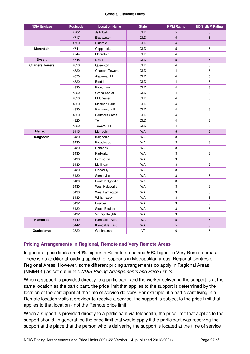#### General Claiming Rules

| <b>NDIA Enclave</b>    | <b>Postcode</b> | <b>Location Name</b>   | <b>State</b> | <b>MMM Rating</b> | <b>NDIS MMM Rating</b> |
|------------------------|-----------------|------------------------|--------------|-------------------|------------------------|
|                        | 4702            | Jellinbah              | <b>QLD</b>   | 5                 | 6                      |
|                        | 4717            | <b>Blackwater</b>      | <b>QLD</b>   | 5                 | 6                      |
|                        | 4720            | Emerald                | <b>QLD</b>   | 4                 | 6                      |
| Moranbah               | 4741            | Coppabella             | QLD          | 5                 | 6                      |
|                        | 4744            | Moranbah               | QLD          | 4                 | 6                      |
| <b>Dysart</b>          | 4745            | <b>Dysart</b>          | <b>QLD</b>   | 5                 | 6                      |
| <b>Charters Towers</b> | 4820            | Queenton               | QLD          | 4                 | 6                      |
|                        | 4820            | <b>Charters Towers</b> | QLD          | 4                 | 6                      |
|                        | 4820            | Alabama Hill           | QLD          | 4                 | 6                      |
|                        | 4820            | Breddan                | QLD          | 4                 | 6                      |
|                        | 4820            | Broughton              | QLD          | $\overline{4}$    | 6                      |
|                        | 4820            | <b>Grand Secret</b>    | QLD          | 4                 | 6                      |
|                        | 4820            | Millchester            | QLD          | 4                 | 6                      |
|                        | 4820            | Mosman Park            | QLD          | 4                 | 6                      |
|                        | 4820            | Richmond Hill          | QLD          | 4                 | 6                      |
|                        | 4820            | Southern Cross         | QLD          | 4                 | 6                      |
|                        | 4820            | Toll                   | QLD          | 4                 | 6                      |
|                        | 4820            | <b>Towers Hill</b>     | QLD          | 4                 | 6                      |
| <b>Merredin</b>        | 6415            | Merredin               | <b>WA</b>    | 5                 | 6                      |
| Kalgoorlie             | 6430            | Kalgoorlie             | <b>WA</b>    | 3                 | 6                      |
|                        | 6430            | Broadwood              | <b>WA</b>    | 3                 | 6                      |
|                        | 6430            | Hannans                | <b>WA</b>    | 3                 | 6                      |
|                        | 6430            | Karlkurla              | WA           | 3                 | 6                      |
|                        | 6430            | Lamington              | <b>WA</b>    | 3                 | 6                      |
|                        | 6430            | Mullingar              | WA           | 3                 | 6                      |
|                        | 6430            | Piccadilly             | WA           | 3                 | 6                      |
|                        | 6430            | Somerville             | WA           | 3                 | 6                      |
|                        | 6430            | South Kalgoorlie       | <b>WA</b>    | 3                 | 6                      |
|                        | 6430            | West Kalgoorlie        | WA           | 3                 | 6                      |
|                        | 6430            | West Lamington         | <b>WA</b>    | 3                 | 6                      |
|                        | 6430            | Williamstown           | <b>WA</b>    | 3                 | 6                      |
|                        | 6432            | <b>Boulder</b>         | WA           | 3                 | 6                      |
|                        | 6432            | South Boulder          | <b>WA</b>    | 3                 | 6                      |
|                        | 6432            | <b>Victory Heights</b> | <b>WA</b>    | 3                 | 6                      |
| <b>Kambalda</b>        | 6442            | Kambalda West          | <b>WA</b>    | 5                 | 6                      |
|                        | 6442            | Kambalda East          | <b>WA</b>    | 5                 | 6                      |
| Gunbalanya             | 0822            | Gunbalanya             | <b>NT</b>    | 6                 | $\overline{7}$         |

### <span id="page-26-0"></span>**Pricing Arrangements in Regional, Remote and Very Remote Areas**

In general, price limits are 40% higher in Remote areas and 50% higher in Very Remote areas. There is no additional loading applied for supports in Metropolitan areas, Regional Centres or Regional Areas. However, some different pricing arrangements do apply in Regional Areas (MMM4-5) as set out in this NDIS Pricing Arrangements and Price Limits.

When a support is provided directly to a participant, and the worker delivering the support is at the same location as the participant, the price limit that applies to the support is determined by the location of the participant at the time of service delivery. For example, if a participant living in a Remote location visits a provider to receive a service, the support is subject to the price limit that applies to that location - not the Remote price limit.

When a support is provided directly to a participant via telehealth, the price limit that applies to the support should, in general, be the price limit that would apply if the participant was receiving the support at the place that the person who is delivering the support is located at the time of service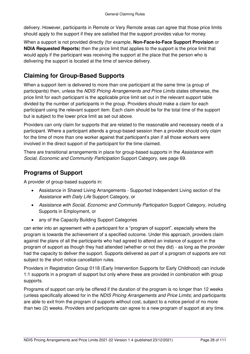delivery. However, participants in Remote or Very Remote areas can agree that those price limits should apply to the support if they are satisfied that the support provides value for money.

When a support is not provided directly (for example, **[Non-Face-to-Face Support Provision](#page-16-2)** or **[NDIA Requested Reports](#page-22-0)**) then the price limit that applies to the support is the price limit that would apply if the participant was receiving the support at the place that the person who is delivering the support is located at the time of service delivery.

## <span id="page-27-0"></span>**Claiming for Group-Based Supports**

When a support item is delivered to more than one participant at the same time (a group of participants) then, unless the NDIS Pricing Arrangements and Price Limits states otherwise, the price limit for each participant is the applicable price limit set out in the relevant support table divided by the number of participants in the group. Providers should make a claim for each participant using the relevant support item. Each claim should be for the total time of the support but is subject to the lower price limit as set out above.

Providers can only claim for supports that are related to the reasonable and necessary needs of a participant. Where a participant attends a group-based session then a provider should only claim for the time of more than one worker against that participant's plan if all those workers were involved in the direct support of the participant for the time claimed.

There are transitional arrangements in place for group-based supports in the Assistance with Social, Economic and Community Participation Support Category, see page [69.](#page-68-0)

## <span id="page-27-1"></span>**Programs of Support**

A provider of group-based supports in:

- Assistance in Shared Living Arrangements Supported Independent Living section of the Assistance with Daily Life Support Category, or
- Assistance with Social, Economic and Community Participation Support Category, including Supports in Employment, or
- any of the Capacity Building Support Categories

can enter into an agreement with a participant for a "program of support", especially where the program is towards the achievement of a specified outcome. Under this approach, providers claim against the plans of all the participants who had agreed to attend an instance of support in the program of support as though they had attended (whether or not they did) - as long as the provider had the capacity to deliver the support. Supports delivered as part of a program of supports are not subject to the short notice cancellation rules.

Providers in Registration Group 0118 (Early Intervention Supports for Early Childhood) can include 1:1 supports in a program of support but only where these are provided in combination with group supports.

Programs of support can only be offered if the duration of the program is no longer than 12 weeks (unless specifically allowed for in the NDIS Pricing Arrangements and Price Limits; and participants are able to exit from the program of supports without cost, subject to a notice period of no more than two (2) weeks. Providers and participants can agree to a new program of support at any time.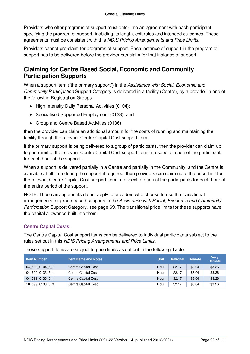Providers who offer programs of support must enter into an agreement with each participant specifying the program of support, including its length, exit rules and intended outcomes. These agreements must be consistent with this NDIS Pricing Arrangements and Price Limits.

Providers cannot pre-claim for programs of support. Each instance of support in the program of support has to be delivered before the provider can claim for that instance of support.

## <span id="page-28-0"></span>**Claiming for Centre Based Social, Economic and Community Participation Supports**

When a support item ("the primary support") in the Assistance with Social, Economic and Community Participation Support Category is delivered in a facility (Centre), by a provider in one of the following Registration Groups:

- High Intensity Daily Personal Activities (0104);
- Specialised Supported Employment (0133); and
- Group and Centre Based Activities (0136)

then the provider can claim an additional amount for the costs of running and maintaining the facility through the relevant Centre Capital Cost support item.

If the primary support is being delivered to a group of participants, then the provider can claim up to price limit of the relevant Centre Capital Cost support item in respect of each of the participants for each hour of the support.

When a support is delivered partially in a Centre and partially in the Community, and the Centre is available at all time during the support if required, then providers can claim up to the price limit for the relevant Centre Capital Cost support item in respect of each of the participants for each hour of the entire period of the support.

NOTE: These arrangements do not apply to providers who choose to use the transitional arrangements for group-based supports in the Assistance with Social, Economic and Community Participation Support Category, see page [69.](#page-68-0) The transitional price limits for these supports have the capital allowance built into them.

### <span id="page-28-1"></span>**Centre Capital Costs**

The Centre Capital Cost support items can be delivered to individual participants subject to the rules set out in this NDIS Pricing Arrangements and Price Limits.

These support items are subject to price limits as set out in the following Table.

| <b>Item Number</b> | <b>Item Name and Notes</b> | Unit | <b>National</b> | Remote | <b>Very</b><br><b>Remote</b> |
|--------------------|----------------------------|------|-----------------|--------|------------------------------|
| 04 599 0104 6 1    | <b>Centre Capital Cost</b> | Hour | \$2.17          | \$3.04 | \$3.26                       |
| 04 599 0133 5 1    | <b>Centre Capital Cost</b> | Hour | \$2.17          | \$3.04 | \$3.26                       |
| 04 599 0136 6 1    | <b>Centre Capital Cost</b> | Hour | \$2.17          | \$3.04 | \$3.26                       |
| 10 599 0133 5 3    | <b>Centre Capital Cost</b> | Hour | \$2.17          | \$3.04 | \$3.26                       |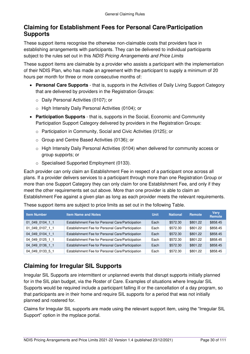## <span id="page-29-0"></span>**Claiming for Establishment Fees for Personal Care/Participation Supports**

These support items recognise the otherwise non-claimable costs that providers face in establishing arrangements with participants. They can be delivered to individual participants subject to the rules set out in this NDIS Pricing Arrangements and Price Limits

These support items are claimable by a provider who assists a participant with the implementation of their NDIS Plan, who has made an agreement with the participant to supply a minimum of 20 hours per month for three or more consecutive months of:

- **Personal Care Supports** that is, supports in the Activities of Daily Living Support Category that are delivered by providers in the Registration Groups:
	- o Daily Personal Activities (0107); or
	- o High Intensity Daily Personal Activities (0104); or
- **Participation Supports** that is, supports in the Social, Economic and Community Participation Support Category delivered by providers in the Registration Groups:
	- o Participation in Community, Social and Civic Activities (0125); or
	- o Group and Centre Based Activities (0136); or
	- $\circ$  High Intensity Daily Personal Activities (0104) when delivered for community access or group supports; or
	- o Specialised Supported Employment (0133).

Each provider can only claim an Establishment Fee in respect of a participant once across all plans. If a provider delivers services to a participant through more than one Registration Group or more than one Support Category they can only claim for one Establishment Fee, and only if they meet the other requirements set out above. More than one provider is able to claim an Establishment Fee against a given plan as long as each provider meets the relevant requirements.

**Item Number Item Name and Notes Unit National Remote Very Remote**  01\_049\_0104\_1\_1 Establishment Fee for Personal Care/Participation Each \$572.30 \$801.22 \$858.45 01\_049\_0107\_1\_1 | Establishment Fee for Personal Care/Participation | Each | \$572.30 | \$801.22 | \$858.45 04\_049\_0104\_1\_1 Establishment Fee for Personal Care/Participation Each \$572.30 \$801.22 \$858.45 04 049 0125 1 1 Establishment Fee for Personal Care/Participation Each \$572.30 \$801.22 \$858.45 04\_049\_0136\_1\_1 Establishment Fee for Personal Care/Participation Each \$572.30 \$801.22 \$858.45 04 049 0133 5 1 Establishment Fee for Personal Care/Participation Each \$572.30 \$801.22 \$858.45

These support items are subject to price limits as set out in the following Table.

## <span id="page-29-1"></span>**Claiming for Irregular SIL Supports**

Irregular SIL Supports are intermittent or unplanned events that disrupt supports initially planned for in the SIL plan budget, via the Roster of Care. Examples of situations where Irregular SIL Supports would be required include a participant falling ill or the cancellation of a day program, so that participants are in their home and require SIL supports for a period that was not initially planned and rostered for.

Claims for Irregular SIL supports are made using the relevant support item, using the "Irregular SIL Support" option in the myplace portal.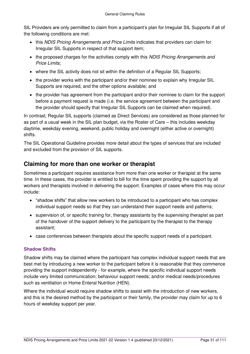SIL Providers are only permitted to claim from a participant's plan for Irregular SIL Supports if all of the following conditions are met:

- this NDIS Pricing Arrangements and Price Limits indicates that providers can claim for Irregular SIL Supports in respect of that support item;
- the proposed charges for the activities comply with this NDIS Pricing Arrangements and Price Limits;
- where the SIL activity does not sit within the definition of a Regular SIL Supports;
- the provider works with the participant and/or their nominee to explain why Irregular SIL Supports are required, and the other options available; and
- the provider has agreement from the participant and/or their nominee to claim for the support before a payment request is made (i.e. the service agreement between the participant and the provider should specify that Irregular SIL Supports can be claimed when required).

In contrast, Regular SIL supports (claimed as Direct Services) are considered as those planned for as part of a usual week in the SIL plan budget, via the Roster of Care – this includes weekday daytime, weekday evening, weekend, public holiday and overnight (either active or overnight) shifts.

The SIL Operational Guideline provides more detail about the types of services that are included and excluded from the provision of SIL supports.

## <span id="page-30-0"></span>**Claiming for more than one worker or therapist**

Sometimes a participant requires assistance from more than one worker or therapist at the same time. In these cases, the provider is entitled to bill for the time spent providing the support by all workers and therapists involved in delivering the support. Examples of cases where this may occur include:

- "shadow shifts" that allow new workers to be introduced to a participant who has complex individual support needs so that they can understand their support needs and patterns;
- supervision of, or specific training for, therapy assistants by the supervising therapist as part of the handover of the support delivery to the participant by the therapist to the therapy assistant;
- case conferences between therapists about the specific support needs of a participant.

## <span id="page-30-1"></span>**Shadow Shifts**

Shadow shifts may be claimed where the participant has complex individual support needs that are best met by introducing a new worker to the participant before it is reasonable that they commence providing the support independently - for example, where the specific individual support needs include very limited communication; behaviour support needs; and/or medical needs/procedures such as ventilation or Home Enteral Nutrition (HEN).

Where the individual would require shadow shifts to assist with the introduction of new workers, and this is the desired method by the participant or their family, the provider may claim for up to 6 hours of weekday support per year.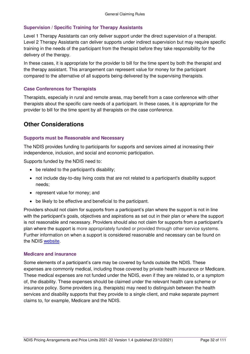### <span id="page-31-0"></span>**Supervision / Specific Training for Therapy Assistants**

Level 1 Therapy Assistants can only deliver support under the direct supervision of a therapist. Level 2 Therapy Assistants can deliver supports under indirect supervision but may require specific training in the needs of the participant from the therapist before they take responsibility for the delivery of the therapy.

In these cases, it is appropriate for the provider to bill for the time spent by both the therapist and the therapy assistant. This arrangement can represent value for money for the participant compared to the alternative of all supports being delivered by the supervising therapists.

### <span id="page-31-1"></span>**Case Conferences for Therapists**

Therapists, especially in rural and remote areas, may benefit from a case conference with other therapists about the specific care needs of a participant. In these cases, it is appropriate for the provider to bill for the time spent by all therapists on the case conference.

## <span id="page-31-2"></span>**Other Considerations**

### <span id="page-31-3"></span>**Supports must be Reasonable and Necessary**

The NDIS provides funding to participants for supports and services aimed at increasing their independence, inclusion, and social and economic participation.

Supports funded by the NDIS need to:

- be related to the participant's disability:
- not include day-to-day living costs that are not related to a participant's disability support needs;
- represent value for money; and
- be likely to be effective and beneficial to the participant.

Providers should not claim for supports from a participant's plan where the support is not in line with the participant's goals, objectives and aspirations as set out in their plan or where the support is not reasonable and necessary. Providers should also not claim for supports from a participant's plan where the support is more appropriately funded or provided through other service systems. Further information on when a support is considered reasonable and necessary can be found on the NDIS [website.](https://www.ndis.gov.au/providers/becoming-ndis-provider/am-i-ready/supports-and-services-funded-ndis)

#### <span id="page-31-4"></span>**Medicare and insurance**

Some elements of a participant's care may be covered by funds outside the NDIS. These expenses are commonly medical, including those covered by private health insurance or Medicare. These medical expenses are not funded under the NDIS, even if they are related to, or a symptom of, the disability. These expenses should be claimed under the relevant health care scheme or insurance policy. Some providers (e.g. therapists) may need to distinguish between the health services and disability supports that they provide to a single client, and make separate payment claims to, for example, Medicare and the NDIS.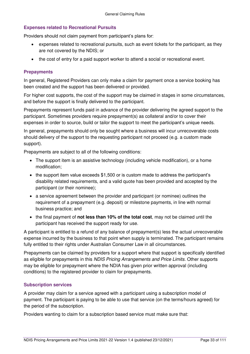### <span id="page-32-0"></span>**Expenses related to Recreational Pursuits**

Providers should not claim payment from participant's plans for:

- expenses related to recreational pursuits, such as event tickets for the participant, as they are not covered by the NDIS; or
- the cost of entry for a paid support worker to attend a social or recreational event.

### <span id="page-32-1"></span>**Prepayments**

In general, Registered Providers can only make a claim for payment once a service booking has been created and the support has been delivered or provided.

For higher cost supports, the cost of the support may be claimed in stages in some circumstances, and before the support is finally delivered to the participant.

Prepayments represent funds paid in advance of the provider delivering the agreed support to the participant. Sometimes providers require prepayment(s) as collateral and/or to cover their expenses in order to source, build or tailor the support to meet the participant's unique needs.

In general, prepayments should only be sought where a business will incur unrecoverable costs should delivery of the support to the requesting participant not proceed (e.g. a custom made support).

Prepayments are subject to all of the following conditions:

- The support item is an assistive technology (including vehicle modification), or a home modification;
- the support item value exceeds \$1,500 or is custom made to address the participant's disability related requirements, and a valid quote has been provided and accepted by the participant (or their nominee);
- a service agreement between the provider and participant (or nominee) outlines the requirement of a prepayment (e.g. deposit) or milestone payments, in line with normal business practice; and
- the final payment of **not less than 10% of the total cost**, may not be claimed until the participant has received the support ready for use.

A participant is entitled to a refund of any balance of prepayment(s) less the actual unrecoverable expense incurred by the business to that point when supply is terminated. The participant remains fully entitled to their rights under Australian Consumer Law in all circumstances.

Prepayments can be claimed by providers for a support where that support is specifically identified as eligible for prepayments in this NDIS Pricing Arrangements and Price Limits. Other supports may be eligible for prepayment where the NDIA has given prior written approval (including conditions) to the registered provider to claim for prepayments.

### <span id="page-32-2"></span>**Subscription services**

A provider may claim for a service agreed with a participant using a subscription model of payment. The participant is paying to be able to use that service (on the terms/hours agreed) for the period of the subscription.

Providers wanting to claim for a subscription based service must make sure that: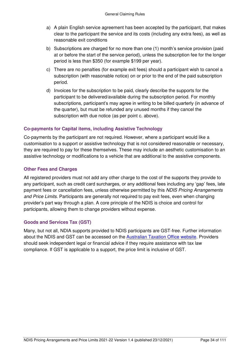- a) A plain English service agreement has been accepted by the participant, that makes clear to the participant the service and its costs (including any extra fees), as well as reasonable exit conditions
- b) Subscriptions are charged for no more than one (1) month's service provision (paid at or before the start of the service period), unless the subscription fee for the longer period is less than \$350 (for example \$199 per year).
- c) There are no penalties (for example exit fees) should a participant wish to cancel a subscription (with reasonable notice) on or prior to the end of the paid subscription period.
- d) Invoices for the subscription to be paid, clearly describe the supports for the participant to be delivered/available during the subscription period. For monthly subscriptions, participant's may agree in writing to be billed quarterly (in advance of the quarter), but must be refunded any unused months if they cancel the subscription with due notice (as per point c. above).

### <span id="page-33-0"></span>**Co-payments for Capital items, including Assistive Technology**

Co-payments by the participant are not required. However, where a participant would like a customisation to a support or assistive technology that is not considered reasonable or necessary, they are required to pay for these themselves. These may include an aesthetic customisation to an assistive technology or modifications to a vehicle that are additional to the assistive components.

### <span id="page-33-1"></span>**Other Fees and Charges**

All registered providers must not add any other charge to the cost of the supports they provide to any participant, such as credit card surcharges, or any additional fees including any 'gap' fees, late payment fees or cancellation fees, unless otherwise permitted by this NDIS Pricing Arrangements and Price Limits. Participants are generally not required to pay exit fees, even when changing provider's part way through a plan. A core principle of the NDIS is choice and control for participants, allowing them to change providers without expense.

### <span id="page-33-2"></span>**Goods and Services Tax (GST)**

Many, but not all, NDIA supports provided to NDIS participants are GST-free. Further information about the NDIS and GST can be accessed on the [Australian Taxation Office website.](https://www.ato.gov.au/business/gst/in-detail/your-industry/gst-and-health/?page=6#National_Disability_Insurance_Scheme) Providers should seek independent legal or financial advice if they require assistance with tax law compliance. If GST is applicable to a support, the price limit is inclusive of GST.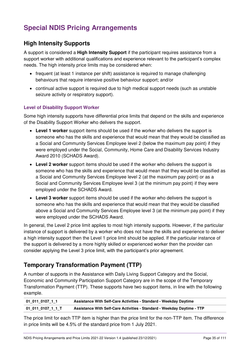## <span id="page-34-0"></span>**Special NDIS Pricing Arrangements**

## <span id="page-34-1"></span>**High Intensity Supports**

A support is considered a **High Intensity Support** if the participant requires assistance from a support worker with additional qualifications and experience relevant to the participant's complex needs. The high intensity price limits may be considered when:

- frequent (at least 1 instance per shift) assistance is required to manage challenging behaviours that require intensive positive behaviour support; and/or
- continual active support is required due to high medical support needs (such as unstable seizure activity or respiratory support).

### <span id="page-34-2"></span>**Level of Disability Support Worker**

Some high intensity supports have differential price limits that depend on the skills and experience of the Disability Support Worker who delivers the support.

- **Level 1 worker** support items should be used if the worker who delivers the support is someone who has the skills and experience that would mean that they would be classified as a Social and Community Services Employee level 2 (below the maximum pay point) if they were employed under the Social, Community, Home Care and Disability Services Industry Award 2010 (SCHADS Award).
- **Level 2 worker** support items should be used if the worker who delivers the support is someone who has the skills and experience that would mean that they would be classified as a Social and Community Services Employee level 2 (at the maximum pay point) or as a Social and Community Services Employee level 3 (at the minimum pay point) if they were employed under the SCHADS Award.
- **Level 3 worker** support items should be used if the worker who delivers the support is someone who has the skills and experience that would mean that they would be classified above a Social and Community Services Employee level 3 (at the minimum pay point) if they were employed under the SCHADS Award.

In general, the Level 2 price limit applies to most high intensity supports. However, if the particular instance of support is delivered by a worker who does not have the skills and experience to deliver a high intensity support then the Level 1 price limit should be applied. If the particular instance of the support is delivered by a more highly skilled or experienced worker then the provider can consider applying the Level 3 price limit, with the participant's prior agreement.

## <span id="page-34-3"></span>**Temporary Transformation Payment (TTP)**

A number of supports in the Assistance with Daily Living Support Category and the Social, Economic and Community Participation Support Category are in the scope of the Temporary Transformation Payment (TTP). These supports have two support items, in line with the following example.

| 01 011 0107 1 1   | Assistance With Self-Care Activities - Standard - Weekday Daytime       |
|-------------------|-------------------------------------------------------------------------|
| 01 011 0107 1 1 T | Assistance With Self-Care Activities - Standard - Weekday Daytime - TTP |

The price limit for each TTP item is higher than the price limit for the non-TTP item. The difference in price limits will be 4.5% of the standard price from 1 July 2021.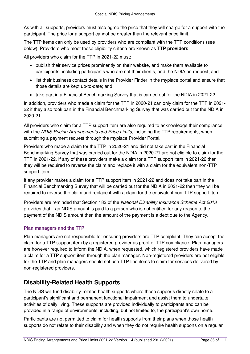As with all supports, providers must also agree the price that they will charge for a support with the participant. The price for a support cannot be greater than the relevant price limit.

The TTP items can only be used by providers who are compliant with the TTP conditions (see below). Providers who meet these eligibility criteria are known as **TTP providers**.

All providers who claim for the TTP in 2021-22 must:

- publish their service prices prominently on their website, and make them available to participants, including participants who are not their clients, and the NDIA on request; and
- list their business contact details in the Provider Finder in the myplace portal and ensure that those details are kept up-to-date; and
- take part in a Financial Benchmarking Survey that is carried out for the NDIA in 2021-22.

In addition, providers who made a claim for the TTP in 2020-21 can only claim for the TTP in 2021- 22 if they also took part in the Financial Benchmarking Survey that was carried out for the NDIA in 2020-21.

All providers who claim for a TTP support item are also required to acknowledge their compliance with the NDIS Pricing Arrangements and Price Limits, including the TTP requirements, when submitting a payment request through the myplace Provider Portal.

Providers who made a claim for the TTP in 2020-21 and did not take part in the Financial Benchmarking Survey that was carried out for the NDIA in 2020-21 are not eligible to claim for the TTP in 2021-22. If any of these providers make a claim for a TTP support item in 2021-22 then they will be required to reverse the claim and replace it with a claim for the equivalent non-TTP support item.

If any provider makes a claim for a TTP support item in 2021-22 and does not take part in the Financial Benchmarking Survey that will be carried out for the NDIA in 2021-22 then they will be required to reverse the claim and replace it with a claim for the equivalent non-TTP support item.

Providers are reminded that Section 182 of the National Disability Insurance Scheme Act 2013 provides that if an NDIS amount is paid to a person who is not entitled for any reason to the payment of the NDIS amount then the amount of the payment is a debt due to the Agency.

## <span id="page-35-0"></span>**Plan managers and the TTP**

Plan managers are not responsible for ensuring providers are TTP compliant. They can accept the claim for a TTP support item by a registered provider as proof of TTP compliance. Plan managers are however required to inform the NDIA, when requested, which registered providers have made a claim for a TTP support item through the plan manager. Non-registered providers are not eligible for the TTP and plan managers should not use TTP line items to claim for services delivered by non-registered providers.

## <span id="page-35-1"></span>**Disability-Related Health Supports**

The NDIS will fund disability-related health supports where these supports directly relate to a participant's significant and permanent functional impairment and assist them to undertake activities of daily living. These supports are provided individually to participants and can be provided in a range of environments, including, but not limited to, the participant's own home.

Participants are not permitted to claim for health supports from their plans when those health supports do not relate to their disability and when they do not require health supports on a regular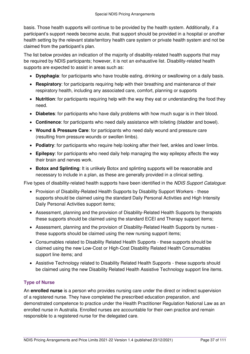basis. Those health supports will continue to be provided by the health system. Additionally, if a participant's support needs become acute, that support should be provided in a hospital or another health setting by the relevant state/territory health care system or private health system and not be claimed from the participant's plan.

The list below provides an indication of the majority of disability-related health supports that may be required by NDIS participants; however, it is not an exhaustive list. Disability-related health supports are expected to assist in areas such as:

- **Dysphagia**: for participants who have trouble eating, drinking or swallowing on a daily basis.
- **Respiratory**: for participants requiring help with their breathing and maintenance of their respiratory health, including any associated care, comfort, planning or supports
- **Nutrition**: for participants requiring help with the way they eat or understanding the food they need.
- **Diabetes**: for participants who have daily problems with how much sugar is in their blood.
- **Continence**: for participants who need daily assistance with toileting (bladder and bowel).
- **Wound & Pressure Care**: for participants who need daily wound and pressure care (resulting from pressure wounds or swollen limbs).
- **Podiatry**: for participants who require help looking after their feet, ankles and lower limbs.
- **Epilepsy**: for participants who need daily help managing the way epilepsy affects the way their brain and nerves work.
- **Botox and Splinting**: It is unlikely Botox and splinting supports will be reasonable and necessary to include in a plan, as these are generally provided in a clinical setting.

Five types of disability-related health supports have been identified in the NDIS Support Catalogue:

- Provision of Disability-Related Health Supports by Disability Support Workers these supports should be claimed using the standard Daily Personal Activities and High Intensity Daily Personal Activities support items;
- Assessment, planning and the provision of Disability-Related Health Supports by therapists these supports should be claimed using the standard ECEI and Therapy support items;
- Assessment, planning and the provision of Disability-Related Health Supports by nurses these supports should be claimed using the new nursing support items;
- Consumables related to Disability Related Health Supports these supports should be claimed using the new Low-Cost or High-Cost Disability Related Health Consumables support line items; and
- Assistive Technology related to Disability Related Health Supports these supports should be claimed using the new Disability Related Health Assistive Technology support line items.

### <span id="page-36-0"></span>**Type of Nurse**

An **enrolled nurse** is a person who provides nursing care under the direct or indirect supervision of a registered nurse. They have completed the prescribed education preparation, and demonstrated competence to practice under the Health Practitioner Regulation National Law as an enrolled nurse in Australia. Enrolled nurses are accountable for their own practice and remain responsible to a registered nurse for the delegated care.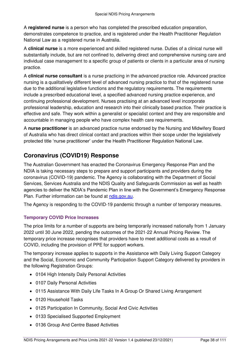A **registered nurse** is a person who has completed the prescribed education preparation, demonstrates competence to practice, and is registered under the Health Practitioner Regulation National Law as a registered nurse in Australia.

A **clinical nurse** is a more experienced and skilled registered nurse. Duties of a clinical nurse will substantially include, but are not confined to, delivering direct and comprehensive nursing care and individual case management to a specific group of patients or clients in a particular area of nursing practice.

A **clinical nurse consultant** is a nurse practicing in the advanced practice role. Advanced practice nursing is a qualitatively different level of advanced nursing practice to that of the registered nurse due to the additional legislative functions and the regulatory requirements. The requirements include a prescribed educational level, a specified advanced nursing practice experience, and continuing professional development. Nurses practising at an advanced level incorporate professional leadership, education and research into their clinically based practice. Their practice is effective and safe. They work within a generalist or specialist context and they are responsible and accountable in managing people who have complex health care requirements.

A **nurse practitioner** is an advanced practice nurse endorsed by the Nursing and Midwifery Board of Australia who has direct clinical contact and practices within their scope under the legislatively protected title 'nurse practitioner' under the Health Practitioner Regulation National Law.

# **Coronavirus (COVID19) Response**

The Australian Government has enacted the Coronavirus Emergency Response Plan and the NDIA is taking necessary steps to prepare and support participants and providers during the coronavirus (COVID-19) pandemic. The Agency is collaborating with the Department of Social Services, Services Australia and the NDIS Quality and Safeguards Commission as well as health agencies to deliver the NDIA's Pandemic Plan in line with the Government's Emergency Response Plan. Further information can be found at [ndis.gov.au.](https://www.ndis.gov.au/coronavirus)

The Agency is responding to the COVID-19 pandemic through a number of temporary measures.

### **Temporary COVID Price Increases**

The price limits for a number of supports are being temporarily increased nationally from 1 January 2022 until 30 June 2022, pending the outcomes of the 2021-22 Annual Pricing Review. The temporary price increase recognises that providers have to meet additional costs as a result of COVID, including the provision of PPE for support workers.

The temporary increase applies to supports in the Assistance with Daily Living Support Category and the Social, Economic and Community Participation Support Category delivered by providers in the following Registration Groups:

- 0104 High Intensity Daily Personal Activities
- 0107 Daily Personal Activities
- 0115 Assistance With Daily Life Tasks In A Group Or Shared Living Arrangement
- 0120 Household Tasks
- 0125 Participation In Community, Social And Civic Activities
- 0133 Specialised Supported Employment
- 0136 Group And Centre Based Activities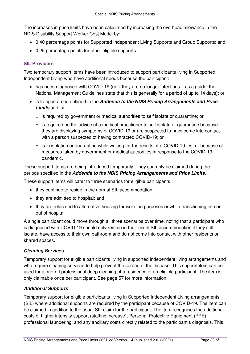The increases in price limits have been calculated by increasing the overhead allowance in the NDIS Disability Support Worker Cost Model by:

- 0.40 percentage points for Supported Independent Living Supports and Group Supports; and
- 0.25 percentage points for other eligible supports.

### **SIL Providers**

Two temporary support items have been introduced to support participants living in Supported Independent Living who have additional needs because the participant:

- $\bullet$  has been diagnosed with COVID-19 (until they are no longer infectious as a guide, the National Management Guidelines state that this is generally for a period of up to 14 days); or
- is living in areas outlined in the **[Addenda to the NDIS Pricing Arrangements and Price](#page-7-0)  [Limits](#page-7-0)** and is**:**
	- $\circ$  is required by government or medical authorities to self isolate or quarantine; or
	- $\circ$  is required on the advice of a medical practitioner to self isolate or quarantine because they are displaying symptoms of COVID-19 or are suspected to have come into contact with a person suspected of having contracted COVID-19; or
	- $\circ$  is in isolation or quarantine while waiting for the results of a COVID-19 test or because of measures taken by government or medical authorities in response to the COVID-19 pandemic.

These support items are being introduced temporarily. They can only be claimed during the periods specified in the **[Addenda to the NDIS Pricing Arrangements and Price Limits](#page-7-0)**.

These support items will cater to three scenarios for eligible participants:

- they continue to reside in the normal SIL accommodation:
- they are admitted to hospital; and
- they are relocated to alternative housing for isolation purposes or while transitioning into or out of hospital.

A single participant could move through all three scenarios over time, noting that a participant who is diagnosed with COVID-19 should only remain in their usual SIL accommodation if they selfisolate, have access to their own bathroom and do not come into contact with other residents or shared spaces.

### **Cleaning Services**

Temporary support for eligible participants living in supported independent living arrangements and who require cleaning services to help prevent the spread of the disease. This support item can be used for a one-off professional deep cleaning of a residence of an eligible participant. The item is only claimable once per participant. See page [57](#page-56-0) for more information.

### **Additional Supports**

Temporary support for eligible participants living in Supported Independent Living arrangements (SIL) where additional supports are required by the participant because of COVID-19. The item can be claimed in addition to the usual SIL claim for the participant. The item recognises the additional costs of higher intensity support (staffing increase), Personal Protective Equipment (PPE), professional laundering, and any ancillary costs directly related to the participant's diagnosis. This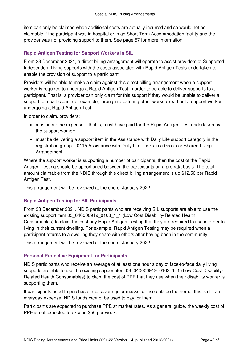item can only be claimed when additional costs are actually incurred and so would not be claimable if the participant was in hospital or in an Short Term Accommodation facility and the provider was not providing support to them. See page [57](#page-56-0) for more information.

### **Rapid Antigen Testing for Support Workers in SIL**

From 23 December 2021, a direct billing arrangement will operate to assist providers of Supported Independent Living supports with the costs associated with Rapid Antigen Tests undertaken to enable the provision of support to a participant.

Providers will be able to make a claim against this direct billing arrangement when a support worker is required to undergo a Rapid Antigen Test in order to be able to deliver supports to a participant. That is, a provider can only claim for this support if they would be unable to deliver a support to a participant (for example, through rerostering other workers) without a support worker undergoing a Rapid Antigen Test.

In order to claim, providers:

- must incur the expense that is, must have paid for the Rapid Antigen Test undertaken by the support worker;
- must be delivering a support item in the Assistance with Daily Life support category in the registration group – 0115 Assistance with Daily Life Tasks in a Group or Shared Living Arrangement.

Where the support worker is supporting a number of participants, then the cost of the Rapid Antigen Testing should be apportioned between the participants on a pro rata basis. The total amount claimable from the NDIS through this direct billing arrangement is up \$12.50 per Rapid Antigen Test.

This arrangement will be reviewed at the end of January 2022.

### **Rapid Antigen Testing for SIL Participants**

From 23 December 2021, NDIS participants who are receiving SIL supports are able to use the existing support item 03\_040000919\_0103\_1\_1 (Low Cost Disability-Related Health Consumables) to claim the cost any Rapid Antigen Testing that they are required to use in order to living in their current dwelling. For example, Rapid Antigen Testing may be required when a participant returns to a dwelling they share with others after having been in the community.

This arrangement will be reviewed at the end of January 2022.

### **Personal Protective Equipment for Participants**

NDIS participants who receive an average of at least one hour a day of face-to-face daily living supports are able to use the existing support item 03 040000919 0103 1 1 (Low Cost Disability-Related Health Consumables) to claim the cost of PPE that they use when their disability worker is supporting them.

If participants need to purchase face coverings or masks for use outside the home, this is still an everyday expense. NDIS funds cannot be used to pay for them.

Participants are expected to purchase PPE at market rates. As a general guide, the weekly cost of PPE is not expected to exceed \$50 per week.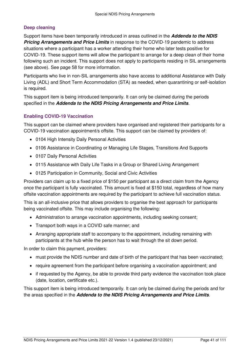### **Deep cleaning**

Support items have been temporarily introduced in areas outlined in the **[Addenda to the NDIS](#page-7-0)  [Pricing Arrangements and Price Limits](#page-7-0)** in response to the COVID-19 pandemic to address situations where a participant has a worker attending their home who later tests positive for COVID-19. These support items will allow the participant to arrange for a deep clean of their home following such an incident. This support does not apply to participants residing in SIL arrangements (see above). See page [58](#page-57-0) for more information.

Participants who live in non-SIL arrangements also have access to additional Assistance with Daily Living (ADL) and Short Term Accommodation (STA) as needed, when quarantining or self-isolation is required.

This support item is being introduced temporarily. It can only be claimed during the periods specified in the **[Addenda to the NDIS Pricing Arrangements and Price Limits](#page-7-0)**.

### **Enabling COVID-19 Vaccination**

This support can be claimed where providers have organised and registered their participants for a COVID-19 vaccination appointment/s offsite. This support can be claimed by providers of:

- 0104 High Intensity Daily Personal Activities
- 0106 Assistance in Coordinating or Managing Life Stages, Transitions And Supports
- 0107 Daily Personal Activities
- 0115 Assistance with Daily Life Tasks in a Group or Shared Living Arrangement
- 0125 Participation in Community, Social and Civic Activities

Providers can claim up to a fixed price of \$150 per participant as a direct claim from the Agency once the participant is fully vaccinated. This amount is fixed at \$150 total, regardless of how many offsite vaccination appointments are required by the participant to achieve full vaccination status.

This is an all-inclusive price that allows providers to organise the best approach for participants being vaccinated offsite. This may include organising the following:

- Administration to arrange vaccination appointments, including seeking consent;
- Transport both ways in a COVID safe manner; and
- Arranging appropriate staff to accompany to the appointment, including remaining with participants at the hub while the person has to wait through the sit down period.

In order to claim this payment, providers:

- must provide the NDIS number and date of birth of the participant that has been vaccinated;
- require agreement from the participant before organising a vaccination appointment; and
- if requested by the Agency, be able to provide third party evidence the vaccination took place (date, location, certificate etc.).

This support item is being introduced temporarily. It can only be claimed during the periods and for the areas specified in the **[Addenda to the NDIS Pricing Arrangements and Price Limits](#page-7-0)**.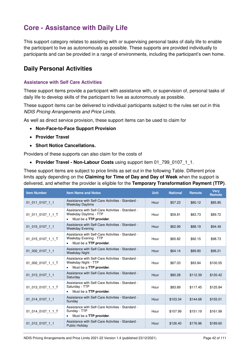# **Core - Assistance with Daily Life**

This support category relates to assisting with or supervising personal tasks of daily life to enable the participant to live as autonomously as possible. These supports are provided individually to participants and can be provided in a range of environments, including the participant's own home.

### **Daily Personal Activities**

#### **Assistance with Self Care Activities**

These support items provide a participant with assistance with, or supervision of, personal tasks of daily life to develop skills of the participant to live as autonomously as possible.

These support items can be delivered to individual participants subject to the rules set out in this NDIS Pricing Arrangements and Price Limits.

As well as direct service provision, these support items can be used to claim for

- **[Non-Face-to-Face Support Provision](#page-16-0)**
- **[Provider Travel](#page-17-0)**
- **[Short Notice Cancellations.](#page-21-0)**

Providers of these supports can also claim for the costs of

**[Provider Travel - Non-Labour Costs](#page-18-0)** using support item 01\_799\_0107\_1\_1.

These support items are subject to price limits as set out in the following Table. Different price limits apply depending on the **[Claiming for Time of Day and Day of Week](#page-14-0)** when the support is delivered, and whether the provider is eligible for the **[Temporary Transformation Payment \(TTP\)](#page-34-0)**.

| <b>Item Number</b> | <b>Item Name and Notes</b>                                                                                         | <b>Unit</b> | <b>National</b> | <b>Remote</b> | <b>Verv</b><br><b>Remote</b> |
|--------------------|--------------------------------------------------------------------------------------------------------------------|-------------|-----------------|---------------|------------------------------|
| 01 011 0107 1 1    | Assistance with Self-Care Activities - Standard -<br><b>Weekday Daytime</b>                                        | Hour        | \$57.23         | \$80.12       | \$85.85                      |
| 01_011_0107_1_1_T  | Assistance with Self-Care Activities - Standard -<br>Weekday Daytime - TTP<br>Must be a TTP provider.<br>$\bullet$ | Hour        | \$59.81         | \$83.73       | \$89.72                      |
| 01 015 0107 1 1    | Assistance with Self-Care Activities - Standard -<br><b>Weekday Evening</b>                                        | Hour        | \$62.99         | \$88.19       | \$94.49                      |
| 01 015 0107 1 1 T  | Assistance with Self-Care Activities - Standard -<br>Weekday Evening - TTP<br>Must be a TTP provider.<br>$\bullet$ | Hour        | \$65.82         | \$92.15       | \$98.73                      |
| 01 002 0107 1 1    | Assistance with Self-Care Activities - Standard -<br><b>Weekday Night</b>                                          | Hour        | \$64.14         | \$89.80       | \$96.21                      |
| 01 002 0107 1 1 T  | Assistance with Self-Care Activities - Standard -<br>Weekday Night - TTP<br>Must be a TTP provider.<br>$\bullet$   | Hour        | \$67.03         | \$93.84       | \$100.55                     |
| 01 013 0107 1 1    | Assistance with Self-Care Activities - Standard -<br>Saturday                                                      | Hour        | \$80.28         | \$112.39      | \$120.42                     |
| 01 013 0107 1 1 T  | Assistance with Self-Care Activities - Standard -<br>Saturday - TTP<br>Must be a TTP provider.                     | Hour        | \$83.89         | \$117.45      | \$125.84                     |
| 01_014_0107_1_1    | Assistance with Self-Care Activities - Standard -<br>Sunday                                                        | Hour        | \$103.34        | \$144.68      | \$155.01                     |
| 01_014_0107_1_1_T  | Assistance with Self-Care Activities - Standard -<br>Sunday - TTP<br>Must be a TTP provider.<br>$\bullet$          | Hour        | \$107.99        | \$151.19      | \$161.99                     |
| 01 012 0107 1 1    | Assistance with Self-Care Activities - Standard -<br><b>Public Holiday</b>                                         | Hour        | \$126.40        | \$176.96      | \$189.60                     |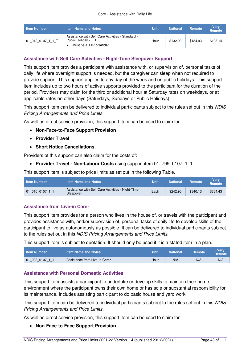| <b>Item Number</b> | <b>Item Name and Notes</b>                                                                           | Unit | <b>National</b> | <b>Remote</b> | <b>Verv</b><br><b>Remote</b> |
|--------------------|------------------------------------------------------------------------------------------------------|------|-----------------|---------------|------------------------------|
| .01 012 0107 1 1 T | Assistance with Self-Care Activities - Standard -<br>Public Holiday - TTP<br>Must be a TTP provider. | Hour | \$132.09        | \$184.93      | \$198.14                     |

### **Assistance with Self Care Activities - Night-Time Sleepover Support**

This support item provides a participant with assistance with, or supervision of, personal tasks of daily life where overnight support is needed, but the caregiver can sleep when not required to provide support. This support applies to any day of the week and on public holidays. This support item includes up to two hours of active supports provided to the participant for the duration of the period. Providers may claim for the third or additional hour at Saturday rates on weekdays, or at applicable rates on other days (Saturdays, Sundays or Public Holidays).

This support item can be delivered to individual participants subject to the rules set out in this NDIS Pricing Arrangements and Price Limits.

As well as direct service provision, this support item can be used to claim for

- **[Non-Face-to-Face Support Provision](#page-16-0)**
- **[Provider Travel](#page-17-0)**
- **[Short Notice Cancellations.](#page-21-0)**

Providers of this support can also claim for the costs of:

• [Provider Travel - Non-Labour Costs](#page-18-0) using support item 01 799 0107 1 1.

This support item is subject to price limits as set out in the following Table.

| <b>Item Number</b> | <b>Item Name and Notes</b>                                     | Unit | <b>National</b> | Remote   | Verv<br><b>Remote</b> |
|--------------------|----------------------------------------------------------------|------|-----------------|----------|-----------------------|
| 01 010 0107 1 1    | Assistance with Self-Care Activities - Night-Time<br>Sleepover | Each | \$242.95        | \$340.13 | \$364.43              |

#### **Assistance from Live-in Carer**

This support item provides for a person who lives in the house of, or travels with the participant and provides assistance with, and/or supervision of, personal tasks of daily life to develop skills of the participant to live as autonomously as possible. It can be delivered to individual participants subject to the rules set out in this NDIS Pricing Arrangements and Price Limits.

This support item is subject to quotation. It should only be used if it is a stated item in a plan.

| <b>Item Number</b> | Item Name and Notes           | Unit | <b>National</b> | Remote | Verv<br><b>Remote</b> |
|--------------------|-------------------------------|------|-----------------|--------|-----------------------|
| 01 003 0107 1 1    | Assistance from Live-In Carer | Hour | N/A             | N/A    | N/A                   |

#### **Assistance with Personal Domestic Activities**

This support item assists a participant to undertake or develop skills to maintain their home environment where the participant owns their own home or has sole or substantial responsibility for its maintenance. Includes assisting participant to do basic house and yard work.

This support item can be delivered to individual participants subject to the rules set out in this NDIS Pricing Arrangements and Price Limits.

As well as direct service provision, this support item can be used to claim for

#### **[Non-Face-to-Face Support Provision](#page-16-0)**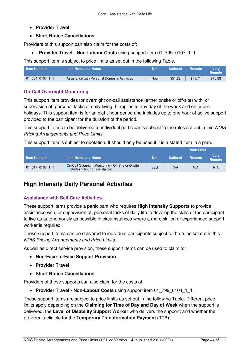- **[Provider Travel](#page-17-0)**
- **[Short Notice Cancellations.](#page-21-0)**

Providers of this support can also claim for the costs of:

**• Provider Travel - Non-Labour Costs** using support item 01 799 0107 1 1.

This support item is subject to price limits as set out in the following Table.

| <b>Item Number</b> | <b>Item Name and Notes</b>                   | Unit | <b>National</b> | <b>Remote</b> | Verv<br><b>Remote</b> |
|--------------------|----------------------------------------------|------|-----------------|---------------|-----------------------|
| 01004010711        | Assistance with Personal Domestic Activities | Hour | \$51.22         | \$71.71       | \$76.83               |

### **On-Call Overnight Monitoring**

This support item provides for overnight on-call assistance (either onsite or off-site) with, or supervision of, personal tasks of daily living. It applies to any day of the week and on public holidays. This support item is for an eight-hour period and includes up to one hour of active support provided to the participant for the duration of the period.

This support item can be delivered to individual participants subject to the rules set out in this NDIS Pricing Arrangements and Price Limits.

This support item is subject to quotation. It should only be used if it is a stated item in a plan.

|                    |                                                                                      |             | <b>Price Limit</b> |        |                       |
|--------------------|--------------------------------------------------------------------------------------|-------------|--------------------|--------|-----------------------|
| <b>Item Number</b> | <b>Item Name and Notes</b>                                                           | <b>Unit</b> | <b>National</b>    | Remote | <b>Verv</b><br>Remote |
| 01 017 0107 1 1    | On-Call Overnight Monitoring - Off Site or Onsite<br>(Includes 1 hour of assistance) | Each        | N/A                | N/A    | N/A                   |

# **High Intensity Daily Personal Activities**

### **Assistance with Self Care Activities**

These support items provide a participant who requires **[High Intensity Supports](#page-34-1)** to provide assistance with, or supervision of, personal tasks of daily life to develop the skills of the participant to live as autonomously as possible in circumstances where a more skilled or experienced support worker is required.

These support items can be delivered to individual participants subject to the rules set out in this NDIS Pricing Arrangements and Price Limits.

As well as direct service provision, these support items can be used to claim for

- **[Non-Face-to-Face Support Provision](#page-16-0)**
- **[Provider Travel](#page-17-0)**
- **[Short Notice Cancellations.](#page-21-0)**

Providers of these supports can also claim for the costs of:

**• [Provider Travel - Non-Labour Costs](#page-18-0)** using support item 01 799 0104 1 1.

These support items are subject to price limits as set out in the following Table. Different price limits apply depending on the **[Claiming for Time of Day and Day of Week](#page-14-0)** when the support is delivered; the **[Level of Disability Support Worker](#page-34-2)** who delivers the support; and whether the provider is eligible for the **[Temporary Transformation Payment \(TTP\)](#page-34-0)**.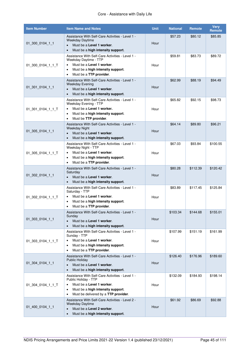| <b>Item Number</b> | <b>Item Name and Notes</b>                                                                                                                                                                                    | <b>Unit</b> | <b>National</b> | Remote   | <b>Very</b><br>Remote |
|--------------------|---------------------------------------------------------------------------------------------------------------------------------------------------------------------------------------------------------------|-------------|-----------------|----------|-----------------------|
| 01 300 0104 1 1    | Assistance With Self-Care Activities - Level 1 -<br>Weekday Daytime<br>Must be a Level 1 worker.<br>$\bullet$<br>Must be a high intensity support.<br>$\bullet$                                               | Hour        | \$57.23         | \$80.12  | \$85.85               |
| 01 300 0104 1 1 T  | Assistance With Self-Care Activities - Level 1 -<br>Weekday Daytime - TTP<br>Must be a Level 1 worker.<br>$\bullet$<br>Must be a high intensity support.<br>$\bullet$<br>Must be a TTP provider.<br>$\bullet$ | Hour        | \$59.81         | \$83.73  | \$89.72               |
| $01$ 301 0104 1 1  | Assistance With Self-Care Activities - Level 1 -<br><b>Weekday Evening</b><br>Must be a Level 1 worker.<br>$\bullet$<br>Must be a high intensity support.                                                     | Hour        | \$62.99         | \$88.19  | \$94.49               |
| 01_301_0104_1_1_T  | Assistance With Self-Care Activities - Level 1 -<br>Weekday Evening - TTP<br>Must be a Level 1 worker.<br>$\bullet$<br>Must be a high intensity support.<br>٠<br>Must be TTP provider.<br>$\bullet$           | Hour        | \$65.82         | \$92.15  | \$98.73               |
| 01_305_0104_1_1    | Assistance With Self-Care Activities - Level 1 -<br><b>Weekday Night</b><br>Must be a Level 1 worker.<br>$\bullet$<br>Must be a high intensity support.<br>$\bullet$                                          | Hour        | \$64.14         | \$89.80  | \$96.21               |
| 01_305_0104_1_1_T  | Assistance With Self-Care Activities - Level 1 -<br>Weekday Night - TTP<br>Must be a Level 1 worker.<br>$\bullet$<br>Must be a high intensity support.<br>$\bullet$<br>Must be a TTP provider.<br>٠           | Hour        | \$67.03         | \$93.84  | \$100.55              |
| 01_302_0104_1_1    | Assistance With Self-Care Activities - Level 1 -<br>Saturday<br>Must be a Level 1 worker.<br>$\bullet$<br>Must be a high intensity support.                                                                   | Hour        | \$80.28         | \$112.39 | \$120.42              |
| 01 302 0104 1 1 T  | Assistance With Self-Care Activities - Level 1 -<br>Saturday - TTP<br>Must be a Level 1 worker.<br>$\bullet$<br>Must be a high intensity support.<br>٠<br>Must be a TTP provider.<br>٠                        | Hour        | \$83.89         | \$117.45 | \$125.84              |
| 01_303_0104_1_1    | Assistance With Self-Care Activities - Level 1 -<br>Sunday<br>Must be a Level 1 worker.<br>$\bullet$<br>Must be a high intensity support.<br>$\bullet$                                                        | Hour        | \$103.34        | \$144.68 | \$155.01              |
| 01 303 0104 1 1 T  | Assistance With Self-Care Activities - Level 1 -<br>Sunday - TTP<br>Must be a Level 1 worker.<br>٠<br>Must be a high intensity support.<br>٠<br>Must be a TTP provider.<br>٠                                  | Hour        | \$107.99        | \$151.19 | \$161.99              |
| 01 304 0104 1 1    | Assistance With Self-Care Activities - Level 1 -<br><b>Public Holiday</b><br>Must be a Level 1 worker.<br>$\bullet$<br>Must be a high intensity support.<br>$\bullet$                                         | Hour        | \$126.40        | \$176.96 | \$189.60              |
| 01 304 0104 1 1 T  | Assistance With Self-Care Activities - Level 1 -<br>Public Holiday - TTP<br>Must be a Level 1 worker.<br>٠<br>Must be a high intensity support.<br>٠<br>Must be delivered by a TTP provider.<br>$\bullet$     | Hour        | \$132.09        | \$184.93 | \$198.14              |
| 01 400 0104 1 1    | Assistance With Self-Care Activities - Level 2 -<br>Weekday Daytime<br>Must be a Level 2 worker.<br>$\bullet$<br>Must be a high intensity support.<br>$\bullet$                                               | Hour        | \$61.92         | \$86.69  | \$92.88               |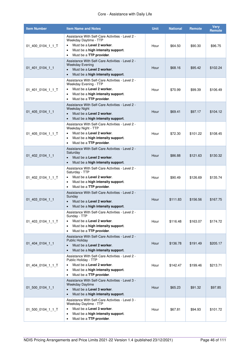### Core - Assistance with Daily Life

| <b>Item Number</b> | <b>Item Name and Notes</b>                                                                                                                                                                                    | <b>Unit</b> | <b>National</b> | <b>Remote</b> | <b>Very</b><br>Remote |
|--------------------|---------------------------------------------------------------------------------------------------------------------------------------------------------------------------------------------------------------|-------------|-----------------|---------------|-----------------------|
| 01_400_0104_1_1_T  | Assistance With Self-Care Activities - Level 2 -<br>Weekday Daytime - TTP<br>Must be a Level 2 worker.<br>$\bullet$<br>Must be a high intensity support.<br>$\bullet$<br>Must be a TTP provider.<br>$\bullet$ | Hour        | \$64.50         | \$90.30       | \$96.75               |
| 01_401_0104_1_1    | Assistance With Self-Care Activities - Level 2 -<br><b>Weekday Evening</b><br>Must be a Level 2 worker.<br>$\bullet$<br>Must be a high intensity support.<br>$\bullet$                                        | Hour        | \$68.16         | \$95.42       | \$102.24              |
| 01_401_0104_1_1_T  | Assistance With Self-Care Activities - Level 2 -<br>Weekday Evening - TTP<br>Must be a Level 2 worker.<br>$\bullet$<br>Must be a high intensity support.<br>$\bullet$<br>Must be a TTP provider.<br>$\bullet$ | Hour        | \$70.99         | \$99.39       | \$106.49              |
| 01_405_0104_1_1    | Assistance With Self-Care Activities - Level 2 -<br><b>Weekday Night</b><br>Must be a Level 2 worker.<br>$\bullet$<br>Must be a high intensity support.<br>$\bullet$                                          | Hour        | \$69.41         | \$97.17       | \$104.12              |
| 01_405_0104_1_1_T  | Assistance With Self-Care Activities - Level 2 -<br>Weekday Night - TTP<br>Must be a Level 2 worker.<br>$\bullet$<br>Must be a high intensity support.<br>$\bullet$<br>Must be a TTP provider.<br>$\bullet$   | Hour        | \$72.30         | \$101.22      | \$108.45              |
| 01_402_0104_1_1    | Assistance With Self-Care Activities - Level 2 -<br>Saturday<br>Must be a Level 2 worker.<br>$\bullet$<br>Must be a high intensity support.<br>$\bullet$                                                      | Hour        | \$86.88         | \$121.63      | \$130.32              |
| 01_402_0104_1_1_T  | Assistance With Self-Care Activities - Level 2 -<br>Saturday - TTP<br>Must be a Level 2 worker.<br>$\bullet$<br>Must be a high intensity support.<br>$\bullet$<br>Must be a TTP provider.<br>$\bullet$        | Hour        | \$90.49         | \$126.69      | \$135.74              |
| 01_403_0104_1_1    | Assistance With Self-Care Activities - Level 2 -<br>Sunday<br>Must be a Level 2 worker.<br>$\bullet$<br>Must be a high intensity support.<br>$\bullet$                                                        | Hour        | \$111.83        | \$156.56      | \$167.75              |
| 01_403_0104_1_1_T  | Assistance With Self-Care Activities - Level 2 -<br>Sunday - TTP<br>Must be a Level 2 worker.<br>$\bullet$<br>Must be a high intensity support.<br>$\bullet$<br>Must be a TTP provider.<br>٠                  | Hour        | \$116.48        | \$163.07      | \$174.72              |
| 01_404_0104_1_1    | Assistance With Self-Care Activities - Level 2 -<br><b>Public Holiday</b><br>Must be a Level 2 worker.<br>$\bullet$<br>Must be a high intensity support.<br>$\bullet$                                         | Hour        | \$136.78        | \$191.49      | \$205.17              |
| 01 404 0104 1 1 T  | Assistance With Self-Care Activities - Level 2 -<br>Public Holiday - TTP<br>Must be a Level 2 worker.<br>$\bullet$<br>Must be a high intensity support.<br>$\bullet$<br>Must be a TTP provider.<br>$\bullet$  | Hour        | \$142.47        | \$199.46      | \$213.71              |
| 01 500 0104 1 1    | Assistance With Self-Care Activities - Level 3 -<br>Weekday Daytime<br>Must be a Level 3 worker.<br>$\bullet$<br>Must be a high intensity support.<br>$\bullet$                                               | Hour        | \$65.23         | \$91.32       | \$97.85               |
| 01 500 0104 1 1 T  | Assistance With Self-Care Activities - Level 3 -<br>Weekday Daytime - TTP<br>Must be a Level 3 worker.<br>$\bullet$<br>Must be a high intensity support.<br>$\bullet$<br>Must be a TTP provider.<br>$\bullet$ | Hour        | \$67.81         | \$94.93       | \$101.72              |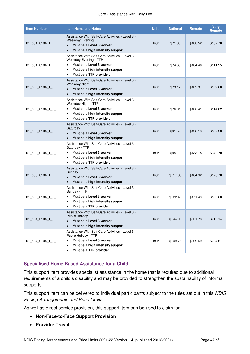| <b>Item Number</b> | <b>Item Name and Notes</b>                                                                                                                                                                                  | <b>Unit</b> | <b>National</b> | <b>Remote</b> | <b>Very</b><br><b>Remote</b> |
|--------------------|-------------------------------------------------------------------------------------------------------------------------------------------------------------------------------------------------------------|-------------|-----------------|---------------|------------------------------|
| 01_501_0104_1_1    | Assistance With Self-Care Activities - Level 3 -<br><b>Weekday Evening</b><br>Must be a Level 3 worker.<br>$\bullet$<br>Must be a high intensity support.<br>$\bullet$                                      | Hour        | \$71.80         | \$100.52      | \$107.70                     |
| 01 501 0104 1 1 T  | Assistance With Self-Care Activities - Level 3 -<br>Weekday Evening - TTP<br>Must be a Level 3 worker.<br>$\bullet$<br>Must be a high intensity support.<br>٠<br>Must be a TTP provider.<br>$\bullet$       | Hour        | \$74.63         | \$104.48      | \$111.95                     |
| 01_505_0104_1_1    | Assistance With Self-Care Activities - Level 3 -<br><b>Weekday Night</b><br>Must be a Level 3 worker.<br>$\bullet$<br>Must be a high intensity support.<br>$\bullet$                                        | Hour        | \$73.12         | \$102.37      | \$109.68                     |
| 01_505_0104_1_1_T  | Assistance With Self-Care Activities - Level 3 -<br>Weekday Night - TTP<br>Must be a Level 3 worker.<br>$\bullet$<br>Must be a high intensity support.<br>$\bullet$<br>Must be a TTP provider.<br>$\bullet$ | Hour        | \$76.01         | \$106.41      | \$114.02                     |
| 01_502_0104_1_1    | Assistance With Self-Care Activities - Level 3 -<br>Saturday<br>Must be a Level 3 worker.<br>$\bullet$<br>Must be a high intensity support.<br>$\bullet$                                                    | Hour        | \$91.52         | \$128.13      | \$137.28                     |
| 01_502_0104_1_1_T  | Assistance With Self-Care Activities - Level 3 -<br>Saturday - TTP<br>Must be a Level 3 worker.<br>٠<br>Must be a high intensity support.<br>٠<br>Must be a TTP provider.<br>$\bullet$                      | Hour        | \$95.13         | \$133.18      | \$142.70                     |
| 01 503 0104 1 1    | Assistance With Self-Care Activities - Level 3 -<br>Sunday<br>Must be a Level 3 worker.<br>$\bullet$<br>Must be a high intensity support.<br>$\bullet$                                                      | Hour        | \$117.80        | \$164.92      | \$176.70                     |
| 01_503_0104_1_1_T  | Assistance With Self-Care Activities - Level 3 -<br>Sunday - TTP<br>Must be a Level 3 worker.<br>$\bullet$<br>Must be a high intensity support.<br>$\bullet$<br>Must be a TTP provider.<br>٠                | Hour        | \$122.45        | \$171.43      | \$183.68                     |
| 01_504_0104_1_1    | Assistance With Self-Care Activities - Level 3 -<br><b>Public Holiday</b><br>Must be a Level 3 worker.<br>$\bullet$<br>Must be a high intensity support.<br>$\bullet$                                       | Hour        | \$144.09        | \$201.73      | \$216.14                     |
| 01 504 0104 1 1 T  | Assistance With Self-Care Activities - Level 3 -<br>Public Holiday - TTP<br>Must be a Level 3 worker.<br>$\bullet$<br>Must be a high intensity support.<br>Must be a TTP provider.<br>$\bullet$             | Hour        | \$149.78        | \$209.69      | \$224.67                     |

### **Specialised Home Based Assistance for a Child**

This support item provides specialist assistance in the home that is required due to additional requirements of a child's disability and may be provided to strengthen the sustainability of informal supports.

This support item can be delivered to individual participants subject to the rules set out in this NDIS Pricing Arrangements and Price Limits.

As well as direct service provision, this support item can be used to claim for

- **[Non-Face-to-Face Support Provision](#page-16-0)**
- **[Provider Travel](#page-17-0)**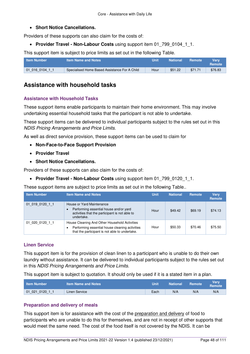### **[Short Notice Cancellations.](#page-21-0)**

Providers of these supports can also claim for the costs of:

**• [Provider Travel - Non-Labour Costs](#page-18-0)** using support item 01 799 0104 1 1.

This support item is subject to price limits as set out in the following Table.

| ⊾ Item Number \ | <b>Item Name and Notes</b>                    | Unit | <b>National</b> | <b>Remote</b> | Verv<br><b>Remote</b> |
|-----------------|-----------------------------------------------|------|-----------------|---------------|-----------------------|
| 01 016 0104 1 1 | Specialised Home Based Assistance For A Child | Hour | \$51.22         | \$71.71       | \$76.83               |

## **Assistance with household tasks**

### **Assistance with Household Tasks**

These support items enable participants to maintain their home environment. This may involve undertaking essential household tasks that the participant is not able to undertake.

These support items can be delivered to individual participants subject to the rules set out in this NDIS Pricing Arrangements and Price Limits.

As well as direct service provision, these support items can be used to claim for

- **[Non-Face-to-Face Support Provision](#page-16-0)**
- **[Provider Travel](#page-17-0)**
- **[Short Notice Cancellations.](#page-21-0)**

Providers of these supports can also claim for the costs of:

• [Provider Travel - Non-Labour Costs](#page-18-0) using support item 01 799 0120 1 1.

These support items are subject to price limits as set out in the following Table..

| <b>Item Number</b> | <b>Item Name and Notes</b>                                                                                                                        | <b>Unit</b> | <b>National</b> | Remote  | <b>Very</b><br>Remote |
|--------------------|---------------------------------------------------------------------------------------------------------------------------------------------------|-------------|-----------------|---------|-----------------------|
| 01 019 0120 1 1    | House or Yard Maintenance<br>Performing essential house and/or yard<br>activities that the participant is not able to<br>undertake.               | Hour        | \$49.42         | \$69.19 | \$74.13               |
| 01 020 0120 1 1    | House Cleaning And Other Household Activities<br>Performing essential house cleaning activities<br>that the participant is not able to undertake. | Hour        | \$50.33         | \$70.46 | \$75.50               |

### **Linen Service**

This support item is for the provision of clean linen to a participant who is unable to do their own laundry without assistance. It can be delivered to individual participants subject to the rules set out in this NDIS Pricing Arrangements and Price Limits.

This support item is subject to quotation. It should only be used if it is a stated item in a plan.

| <b>Item Number</b> | <b>Item Name and Notes</b> | Unit | <b>National</b> | <b>Remote</b> | Verv<br>Remote <sup>1</sup> |
|--------------------|----------------------------|------|-----------------|---------------|-----------------------------|
| 01 021 0120 1 1    | Linen Service              | Each | N/A             | N/A           | N/A                         |

### **Preparation and delivery of meals**

This support item is for assistance with the cost of the preparation and delivery of food to participants who are unable to do this for themselves, and are not in receipt of other supports that would meet the same need. The cost of the food itself is not covered by the NDIS. It can be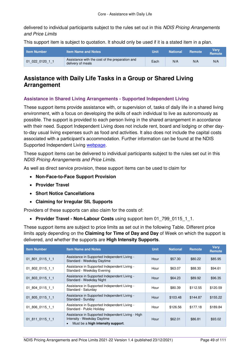delivered to individual participants subject to the rules set out in this NDIS Pricing Arrangements and Price Limits

This support item is subject to quotation. It should only be used if it is a stated item in a plan.

| <b>Item Number</b> | <b>Item Name and Notes</b>                                           | Unit | <b>National</b> | Remote | <b>Verv</b><br><b>Remote</b> |
|--------------------|----------------------------------------------------------------------|------|-----------------|--------|------------------------------|
| 01 022 0120 1 1    | Assistance with the cost of the preparation and<br>delivery of meals | Each | N/A             | N/A    | N/A                          |

### **Assistance with Daily Life Tasks in a Group or Shared Living Arrangement**

#### **Assistance in Shared Living Arrangements - Supported Independent Living**

These support items provide assistance with, or supervision of, tasks of daily life in a shared living environment, with a focus on developing the skills of each individual to live as autonomously as possible. The support is provided to each person living in the shared arrangement in accordance with their need. Support Independent Living does not include rent, board and lodging or other dayto-day usual living expenses such as food and activities. It also does not include the capital costs associated with a participant's accommodation. Further information can be found at the NDIS Supported Independent Living [webpage.](https://www.ndis.gov.au/providers/housing-and-living-supports-and-services/housing/supported-independent-living)

These support items can be delivered to individual participants subject to the rules set out in this NDIS Pricing Arrangements and Price Limits.

As well as direct service provision, these support items can be used to claim for

- **[Non-Face-to-Face Support Provision](#page-16-0)**
- **[Provider Travel](#page-17-0)**
- **[Short Notice Cancellations](#page-21-0)**
- **[Claiming for Irregular](#page-29-0) SIL Supports**

Providers of these supports can also claim for the costs of:

**• [Provider Travel - Non-Labour Costs](#page-18-0)** using support item 01 799 0115 1 1.

These support items are subject to price limits as set out in the following Table. Different price limits apply depending on the **[Claiming for Time of Day and Day](#page-14-0)** of Week on which the support is delivered, and whether the supports are **[High Intensity Supports](#page-34-1)**.

| <b>Item Number</b> | <b>Item Name and Notes</b>                                                                                            | <b>Unit</b> | <b>National</b> | <b>Remote</b> | <b>Verv</b><br>Remote |
|--------------------|-----------------------------------------------------------------------------------------------------------------------|-------------|-----------------|---------------|-----------------------|
| 01 801 0115 1 1    | Assistance in Supported Independent Living -<br>Standard - Weekday Daytime                                            | Hour        | \$57.30         | \$80.22       | \$85.95               |
| 01 802 0115 1 1    | Assistance in Supported Independent Living -<br>Standard - Weekday Evening                                            | Hour        | \$63.07         | \$88.30       | \$94.61               |
| 01 803 0115 1 1    | Assistance in Supported Independent Living -<br>Standard - Weekday Night                                              | Hour        | \$64.23         | \$89.92       | \$96.35               |
| 01 804 0115 1 1    | Assistance in Supported Independent Living -<br>Standard - Saturday                                                   | Hour        | \$80.39         | \$112.55      | \$120.59              |
| 01 805 0115 1 1    | Assistance in Supported Independent Living -<br>Standard - Sunday                                                     | Hour        | \$103.48        | \$144.87      | \$155.22              |
| 01 806 0115 1 1    | Assistance in Supported Independent Living -<br>Standard - Public Holiday                                             | Hour        | \$126.56        | \$177.18      | \$189.84              |
| 01 811 0115 1 1    | Assistance in Supported Independent Living - High<br>Intensity - Weekday Daytime<br>Must be a high intensity support. | Hour        | \$62.01         | \$86.81       | \$93.02               |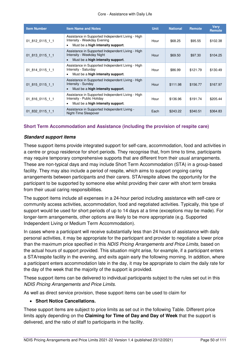| <b>Item Number</b> | <b>Item Name and Notes</b>                                                                                                         | <b>Unit</b> | <b>National</b> | <b>Remote</b> | <b>Verv</b><br><b>Remote</b> |
|--------------------|------------------------------------------------------------------------------------------------------------------------------------|-------------|-----------------|---------------|------------------------------|
| 01 812 0115 1 1    | Assistance in Supported Independent Living - High<br>Intensity - Weekday Evening<br>Must be a high intensity support.<br>$\bullet$ | Hour        | \$68.25         | \$95.55       | \$102.38                     |
| 01 813 0115 1 1    | Assistance in Supported Independent Living - High<br>Intensity - Weekday Night<br>Must be a high intensity support.<br>$\bullet$   | Hour        | \$69.50         | \$97.30       | \$104.25                     |
| 01 814 0115 1 1    | Assistance in Supported Independent Living - High<br>Intensity - Saturday<br>Must be a high intensity support.<br>٠                | Hour        | \$86.99         | \$121.79      | \$130.49                     |
| 01 815 0115 1 1    | Assistance in Supported Independent Living - High<br>Intensity - Sunday<br>Must be a high intensity support.                       | Hour        | \$111.98        | \$156.77      | \$167.97                     |
| 01 816 0115 1 1    | Assistance in Supported Independent Living - High<br>Intensity - Public Holiday<br>Must be a high intensity support.<br>٠          | Hour        | \$136.96        | \$191.74      | \$205.44                     |
| 01 832 0115 1 1    | Assistance in Supported Independent Living -<br>Night-Time Sleepover                                                               | Each        | \$243.22        | \$340.51      | \$364.83                     |

### **Short Term Accommodation and Assistance (including the provision of respite care)**

#### **Standard support items**

These support items provide integrated support for self-care, accommodation, food and activities in a centre or group residence for short periods. They recognise that, from time to time, participants may require temporary comprehensive supports that are different from their usual arrangements. These are non-typical days and may include Short Term Accommodation (STA) in a group-based facility. They may also include a period of respite, which aims to support ongoing caring arrangements between participants and their carers. STA/respite allows the opportunity for the participant to be supported by someone else whilst providing their carer with short term breaks from their usual caring responsibilities.

The support items include all expenses in a 24-hour period including assistance with self-care or community access activities, accommodation, food and negotiated activities. Typically, this type of support would be used for short periods of up to 14 days at a time (exceptions may be made). For longer-term arrangements, other options are likely to be more appropriate (e.g. Supported Independent Living or Medium Term Accommodation).

In cases where a participant will receive substantially less than 24 hours of assistance with daily personal activities, it may be appropriate for the participant and provider to negotiate a lower price than the maximum price specified in this NDIS Pricing Arrangements and Price Limits, based on the actual hours of support provided. This situation might arise, for example, if a participant enters a STA/respite facility in the evening, and exits again early the following morning. In addition, where a participant enters accommodation late in the day, it may be appropriate to claim the daily rate for the day of the week that the majority of the support is provided.

These support items can be delivered to individual participants subject to the rules set out in this NDIS Pricing Arrangements and Price Limits.

As well as direct service provision, these support items can be used to claim for

#### **[Short Notice Cancellations.](#page-21-0)**

These support items are subject to price limits as set out in the following Table. Different price limits apply depending on the **[Claiming for Time of Day and Day](#page-14-0) of Week** that the support is delivered, and the ratio of staff to participants in the facility.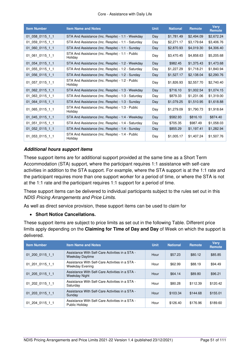#### Core - Assistance with Daily Life

| <b>Item Number</b> | <b>Item Name and Notes</b>                                  | <b>Unit</b> | <b>National</b> | <b>Remote</b> | <b>Verv</b><br>Remote |
|--------------------|-------------------------------------------------------------|-------------|-----------------|---------------|-----------------------|
| 01 058 0115 1 1    | STA And Assistance (Inc. Respite) - 1:1 - Weekday           | Day         | \$1,781.49      | \$2,494.09    | \$2,672.24            |
| 01 059 0115 1 1    | STA And Assistance (Inc. Respite) - 1:1 - Saturday          | Day         | \$2,271.17      | \$3,179.64    | \$3,406.76            |
| 01 060 0115 1 1    | STA And Assistance (Inc. Respite) - 1:1 - Sunday            | Day         | \$2,870.93      | \$4,019.30    | \$4,306.40            |
| 01_061_0115_1_1    | STA And Assistance (Inc. Respite) - 1:1 - Public<br>Holidav | Day         | \$3,470.45      | \$4,858.63    | \$5,205.68            |
| 01 054 0115 1 1    | STA And Assistance (Inc. Respite) - 1:2 - Weekday           | Day         | \$982.45        | \$1,375.43    | \$1,473.68            |
| 01_055_0115_1_1    | STA And Assistance (Inc. Respite) - 1:2 - Saturday          | Day         | \$1,227.29      | \$1,718.21    | \$1,840.94            |
| 01 056 0115 1 1    | STA And Assistance (Inc. Respite) - 1:2 - Sunday            | Day         | \$1,527.17      | \$2,138.04    | \$2,290.76            |
| 01 057 0115 1 1    | STA And Assistance (Inc. Respite) - 1:2 - Public<br>Holiday | Day         | \$1,826.93      | \$2,557.70    | \$2,740.40            |
| 01 062 0115 1 1    | STA And Assistance (Inc. Respite) - 1:3 - Weekday           | Day         | \$716.10        | \$1,002.54    | \$1,074.15            |
| 01 063 0115 1 1    | STA And Assistance (Inc. Respite) - 1:3 - Saturday          | Day         | \$879.33        | \$1,231.06    | \$1,319.00            |
| 01 064 0115 1 1    | STA And Assistance (Inc. Respite) - 1:3 - Sunday            | Day         | \$1,079.25      | \$1,510.95    | \$1,618.88            |
| 01_065_0115_1_1    | STA And Assistance (Inc. Respite) - 1:3 - Public<br>Holidav | Day         | \$1,279.09      | \$1,790.73    | \$1,918.64            |
| 01 045 0115 1 1    | STA And Assistance (Inc. Respite) - 1:4 - Weekday           | Day         | \$582.93        | \$816.10      | \$874.40              |
| 01 051 0115 1 1    | STA And Assistance (Inc. Respite) - 1:4 - Saturday          | Day         | \$705.35        | \$987.49      | \$1,058.03            |
| $01$ 052 0115 1 1  | STA And Assistance (Inc. Respite) - 1:4 - Sunday            | Day         | \$855.29        | \$1,197.41    | \$1,282.94            |
| 01 053 0115 1 1    | STA And Assistance (Inc. Respite) - 1:4 - Public<br>Holiday | Day         | \$1,005.17      | \$1,407.24    | \$1,507.76            |

### **Additional hours support items**

These support items are for additional support provided at the same time as a Short Term Accommodation (STA) support, where the participant requires 1:1 assistance with self-care activities in addition to the STA support. For example, where the STA support is at the 1:1 rate and the participant requires more than one support worker for a period of time, or where the STA is not at the 1:1 rate and the participant requires 1:1 support for a period of time.

These support items can be delivered to individual participants subject to the rules set out in this NDIS Pricing Arrangements and Price Limits.

As well as direct service provision, these support items can be used to claim for

### **[Short Notice Cancellations.](#page-21-0)**

These support items are subject to price limits as set out in the following Table. Different price limits apply depending on the **[Claiming for Time of Day and Day](#page-14-0)** of Week on which the support is delivered.

| <b>Item Number</b> | <b>Item Name and Notes</b>                                                | <b>Unit</b> | <b>National</b> | Remote   | <b>Verv</b><br><b>Remote</b> |
|--------------------|---------------------------------------------------------------------------|-------------|-----------------|----------|------------------------------|
| 01 200 0115 1 1    | Assistance With Self-Care Activities in a STA -<br><b>Weekday Daytime</b> | Hour        | \$57.23         | \$80.12  | \$85.85                      |
| 01 201 0115 1 1    | Assistance With Self-Care Activities in a STA -<br><b>Weekday Evening</b> | Hour        | \$62.99         | \$88.19  | \$94.49                      |
| 01 205 0115 1 1    | Assistance With Self-Care Activities in a STA -<br><b>Weekday Night</b>   | Hour        | \$64.14         | \$89.80  | \$96.21                      |
| 01 202 0115 1 1    | Assistance With Self-Care Activities in a STA -<br>Saturday               | Hour        | \$80.28         | \$112.39 | \$120.42                     |
| 01 203 0115 1 1    | Assistance With Self-Care Activities in a STA -<br>Sunday                 | Hour        | \$103.34        | \$144.68 | \$155.01                     |
| 01 204 0115 1 1    | Assistance With Self-Care Activities in a STA -<br>Public Holiday         | Hour        | \$126.40        | \$176.96 | \$189.60                     |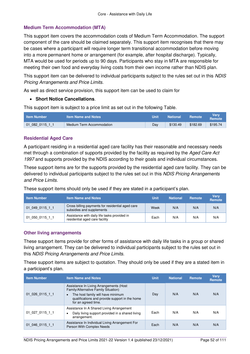### **Medium Term Accommodation (MTA)**

This support item covers the accommodation costs of Medium Term Accommodation. The support component of the care should be claimed separately. This support item recognises that there may be cases where a participant will require longer term transitional accommodation before moving into a more permanent home or arrangement (for example, after hospital discharge). Typically, MTA would be used for periods up to 90 days. Participants who stay in MTA are responsible for meeting their own food and everyday living costs from their own income rather than NDIS plan.

This support item can be delivered to individual participants subject to the rules set out in this NDIS Pricing Arrangements and Price Limits.

As well as direct service provision, this support item can be used to claim for

### **[Short Notice Cancellations](#page-21-0)**.

This support item is subject to a price limit as set out in the following Table.

| <b>Item Number</b> | <b>Item Name and Notes</b> | Unit | <b>National</b> | <b>Remote</b> | Verv<br>Remote |
|--------------------|----------------------------|------|-----------------|---------------|----------------|
| 01 082 0115 1 1    | Medium Term Accommodation  | Dav  | \$130.49        | \$182.69      | \$195.74       |

### **Residential Aged Care**

A participant residing in a residential aged care facility has their reasonable and necessary needs met through a combination of supports provided by the facility as required by the Aged Care Act 1997 and supports provided by the NDIS according to their goals and individual circumstances.

These support items are for the supports provided by the residential aged care facility. They can be delivered to individual participants subject to the rules set out in this NDIS Pricing Arrangements and Price Limits.

These support items should only be used if they are stated in a participant's plan.

| <b>Item Number</b> | <b>Item Name and Notes</b>                                                     | <b>Unit</b> | <b>National</b> | <b>Remote</b> | <b>Very</b><br><b>Remote</b> |
|--------------------|--------------------------------------------------------------------------------|-------------|-----------------|---------------|------------------------------|
| 01 049 0115 1 1    | Cross billing payments for residential aged care<br>subsidies and supplements  | Week        | N/A             | N/A           | N/A                          |
| 01 050 0115 1 1    | Assistance with daily life tasks provided in<br>residential aged care facility | Each        | N/A             | N/A           | N/A                          |

#### **Other living arrangements**

These support items provide for other forms of assistance with daily life tasks in a group or shared living arrangement. They can be delivered to individual participants subject to the rules set out in this NDIS Pricing Arrangements and Price Limits.

These support items are subject to quotation. They should only be used if they are a stated item in a participant's plan.

| <b>Item Number</b> | <b>Item Name and Notes</b>                                                                                                                                                                                 | <b>Unit</b> | <b>National</b> | Remote | <b>Verv</b><br>Remote |
|--------------------|------------------------------------------------------------------------------------------------------------------------------------------------------------------------------------------------------------|-------------|-----------------|--------|-----------------------|
| 01 026 0115 1 1    | Assistance In Living Arrangements (Host<br>Family/Alternative Family Situation)<br>The host family will have minimum<br>$\bullet$<br>qualifications and provide support in the home<br>for an agreed time. | Day         | N/A             | N/A    | N/A                   |
| 01 027 0115 1 1    | Assistance In A Shared Living Arrangement<br>Daily living support provided in a shared living<br>٠<br>arrangement.                                                                                         | Each        | N/A             | N/A    | N/A                   |
| 01 046 0115 1 1    | Assistance In Individual Living Arrangement For<br>Person With Complex Needs                                                                                                                               | Each        | N/A             | N/A    | N/A                   |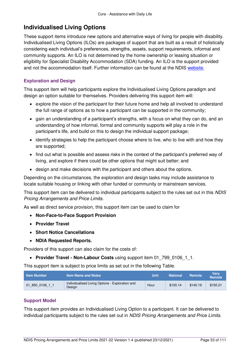### **Individualised Living Options**

These support items introduce new options and alternative ways of living for people with disability. Individualised Living Options (ILOs) are packages of support that are built as a result of holistically considering each individual's preferences, strengths, assets, support requirements, informal and community supports. An ILO is not determined by the home ownership or leasing situation or eligibility for Specialist Disability Accommodation (SDA) funding. An ILO is the support provided and not the accommodation itself. Further information can be found at the NDIS [website.](https://www.ndis.gov.au/participants/home-and-living/individualised-living-options)

### **Exploration and Design**

This support item will help participants explore the Individualised Living Options paradigm and design an option suitable for themselves. Providers delivering this support item will:

- explore the vision of the participant for their future home and help all involved to understand the full range of options as to how a participant can be supported in the community;
- gain an understanding of a participant's strengths, with a focus on what they can do, and an understanding of how informal, formal and community supports will play a role in the participant's life, and build on this to design the individual support package;
- identify strategies to help the participant choose where to live, who to live with and how they are supported;
- find out what is possible and assess risks in the context of the participant's preferred way of living, and explore if there could be other options that might suit better; and
- design and make decisions with the participant and others about the options.

Depending on the circumstances, the exploration and design tasks may include assistance to locate suitable housing or linking with other funded or community or mainstream services.

This support item can be delivered to individual participants subject to the rules set out in this NDIS Pricing Arrangements and Price Limits.

As well as direct service provision, this support item can be used to claim for

- **[Non-Face-to-Face Support Provision](#page-16-0)**
- **[Provider Travel](#page-17-0)**
- **[Short Notice Cancellations](#page-21-0)**
- **[NDIA Requested Reports.](#page-22-0)**

Providers of this support can also claim for the costs of:

• [Provider Travel - Non-Labour Costs](#page-18-0) using support item 01 799 0106 1 1.

This support item is subject to price limits as set out in the following Table.

| <b>Item Number</b> | <b>Item Name and Notes</b>                                | Unit | <b>National</b> | <b>Remote</b> | Verv<br><b>Remote</b> |
|--------------------|-----------------------------------------------------------|------|-----------------|---------------|-----------------------|
| 01 850 0106 1 1    | Individualised Living Options - Exploration and<br>Design | Hour | \$100.14        | \$140.19      | \$150.21              |

### **Support Model**

This support item provides an Individualised Living Option to a participant. It can be delivered to individual participants subject to the rules set out in NDIS Pricing Arrangements and Price Limits.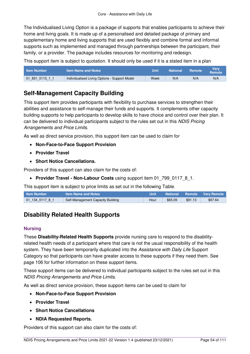The Individualised Living Option is a package of supports that enables participants to achieve their home and living goals. It is made up of a personalised and detailed package of primary and supplementary home and living supports that are used flexibly and combine formal and informal supports such as implemented and managed through partnerships between the participant, their family, or a provider. The package includes resources for monitoring and redesign.

This support item is subject to quotation. It should only be used if it is a stated item in a plan

| <b>Item Number</b> | l Item Name and Notes <b>\</b>                | Unit | <b>National</b> | Remote | Verv<br>Remote |
|--------------------|-----------------------------------------------|------|-----------------|--------|----------------|
| 01 851 0115 1 1    | Individualised Living Options - Support Model | Week | N/A             | N/A    | N/A            |

### **Self-Management Capacity Building**

This support item provides participants with flexibility to purchase services to strengthen their abilities and assistance to self-manage their funds and supports. It complements other capacity building supports to help participants to develop skills to have choice and control over their plan. It can be delivered to individual participants subject to the rules set out in this NDIS Pricing Arrangements and Price Limits.

As well as direct service provision, this support item can be used to claim for

- **[Non-Face-to-Face Support Provision](#page-16-0)**
- **[Provider Travel](#page-17-0)**
- **[Short Notice Cancellations.](#page-21-0)**

Providers of this support can also claim for the costs of:

**• [Provider Travel - Non-Labour Costs](#page-18-0)** using support item 01 799 0117 8 1.

This support item is subject to price limits as set out in the following Table.

| <b>Item Number</b> | <b>Item Name and Notes</b>        | Unit | <b>National</b> |         | <b>Remote Very Remote</b> |
|--------------------|-----------------------------------|------|-----------------|---------|---------------------------|
|                    | Self-Management Capacity Building | Hour | \$65.09         | \$91.13 | \$97.64                   |

# **Disability Related Health Supports**

### **Nursing**

These **[Disability-Related Health Supports](#page-35-0)** provide nursing care to respond to the disabilityrelated health needs of a participant where that care is not the usual responsibility of the health system. They have been temporarily duplicated into the Assistance with Daily Life Support Category so that participants can have greater access to these supports if they need them. See page [106](#page-105-0) for further information on these support items.

These support items can be delivered to individual participants subject to the rules set out in this NDIS Pricing Arrangements and Price Limits.

As well as direct service provision, these support items can be used to claim for

- **[Non-Face-to-Face Support Provision](#page-16-0)**
- **[Provider Travel](#page-17-0)**
- **[Short Notice Cancellations](#page-21-0)**
- **[NDIA Requested Reports.](#page-22-0)**

Providers of this support can also claim for the costs of: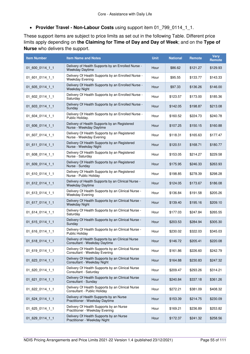**[Provider Travel - Non-Labour Costs](#page-18-0)** using support item 01\_799\_0114\_1\_1.

These support items are subject to price limits as set out in the following Table. Different price limits apply depending on **the [Claiming for Time of Day and Day of Week](#page-14-0)**; and on the **[Type of](#page-36-0)  [Nurse](#page-36-0)** who delivers the support.

| <b>Item Number</b> | <b>Item Name and Notes</b>                                                       | <b>Unit</b> | <b>National</b> | Remote   | <b>Very</b><br>Remote |
|--------------------|----------------------------------------------------------------------------------|-------------|-----------------|----------|-----------------------|
| 01_600_0114_1_1    | Delivery of Health Supports by an Enrolled Nurse -<br><b>Weekday Daytime</b>     | Hour        | \$86.62         | \$121.27 | \$129.93              |
| 01_601_0114_1_1    | Delivery Of Health Supports by an Enrolled Nurse -<br><b>Weekday Evening</b>     | Hour        | \$95.55         | \$133.77 | \$143.33              |
| 01_605_0114_1_1    | Delivery Of Health Supports by an Enrolled Nurse -<br><b>Weekday Night</b>       | Hour        | \$97.33         | \$136.26 | \$146.00              |
| 01_602_0114_1_1    | Delivery Of Health Supports by an Enrolled Nurse -<br>Saturday                   | Hour        | \$123.57        | \$173.00 | \$185.36              |
| 01_603_0114_1_1    | Delivery Of Health Supports by an Enrolled Nurse -<br>Sunday                     | Hour        | \$142.05        | \$198.87 | \$213.08              |
| 01_604_0114_1_1    | Delivery Of Health Supports by an Enrolled Nurse -<br>Public Holiday.            | Hour        | \$160.52        | \$224.73 | \$240.78              |
| 01_606_0114_1_1    | Delivery of Health Supports by an Registered<br>Nurse - Weekday Daytime          | Hour        | \$107.25        | \$150.15 | \$160.88              |
| 01_607_0114_1_1    | Delivery Of Health Supports by an Registered<br>Nurse - Weekday Evening          | Hour        | \$118.31        | \$165.63 | \$177.47              |
| 01_611_0114_1_1    | Delivery Of Health Supports by an Registered<br>Nurse - Weekday Night            | Hour        | \$120.51        | \$168.71 | \$180.77              |
| 01_608_0114_1_1    | Delivery Of Health Supports by an Registered<br>Nurse - Saturday                 | Hour        | \$153.05        | \$214.27 | \$229.58              |
| 01_609_0114_1_1    | Delivery Of Health Supports by an Registered<br>Nurse - Sunday                   | Hour        | \$175.95        | \$246.33 | \$263.93              |
| 01_610_0114_1_1    | Delivery Of Health Supports by an Registered<br>Nurse - Public Holiday           | Hour        | \$198.85        | \$278.39 | \$298.28              |
| 01_612_0114_1_1    | Delivery of Health Supports by an Clinical Nurse -<br><b>Weekday Daytime</b>     | Hour        | \$124.05        | \$173.67 | \$186.08              |
| 01_613_0114_1_1    | Delivery Of Health Supports by an Clinical Nurse -<br><b>Weekday Evening</b>     | Hour        | \$136.84        | \$191.58 | \$205.26              |
| 01_617_0114_1_1    | Delivery Of Health Supports by an Clinical Nurse -<br><b>Weekday Night</b>       | Hour        | \$139.40        | \$195.16 | \$209.10              |
| 01_614_0114_1_1    | Delivery Of Health Supports by an Clinical Nurse -<br>Saturday                   | Hour        | \$177.03        | \$247.84 | \$265.55              |
| 01_615_0114_1_1    | Delivery Of Health Supports by an Clinical Nurse -<br>Sunday                     | Hour        | \$203.53        | \$284.94 | \$305.30              |
| 01_616_0114_1_1    | Delivery Of Health Supports by an Clinical Nurse -<br>Public Holiday             | Hour        | \$230.02        | \$322.03 | \$345.03              |
| 01 618 0114 1 1    | Delivery of Health Supports by an Clinical Nurse<br>Consultant - Weekday Daytime | Hour        | \$146.72        | \$205.41 | \$220.08              |
| 01_619_0114_1_1    | Delivery Of Health Supports by an Clinical Nurse<br>Consultant - Weekday Evening | Hour        | \$161.86        | \$226.60 | \$242.79              |
| 01_623_0114_1_1    | Delivery Of Health Supports by an Clinical Nurse<br>Consultant - Weekday Night   | Hour        | \$164.88        | \$230.83 | \$247.32              |
| 01_620_0114_1_1    | Delivery Of Health Supports by an Clinical Nurse<br>Consultant - Saturday        | Hour        | \$209.47        | \$293.26 | \$314.21              |
| 01 621 0114 1 1    | Delivery Of Health Supports by an Clinical Nurse<br>Consultant - Sunday          | Hour        | \$240.84        | \$337.18 | \$361.26              |
| 01_622_0114_1_1    | Delivery Of Health Supports by an Clinical Nurse<br>Consultant - Public Holiday  | Hour        | \$272.21        | \$381.09 | \$408.32              |
| 01 624 0114 1 1    | Delivery of Health Supports by an Nurse<br>Practitioner - Weekday Daytime        | Hour        | \$153.39        | \$214.75 | \$230.09              |
| 01_625_0114_1_1    | Delivery Of Health Supports by an Nurse<br>Practitioner - Weekday Evening        | Hour        | \$169.21        | \$236.89 | \$253.82              |
| 01_629_0114_1_1    | Delivery Of Health Supports by an Nurse<br>Practitioner - Weekday Night          | Hour        | \$172.37        | \$241.32 | \$258.56              |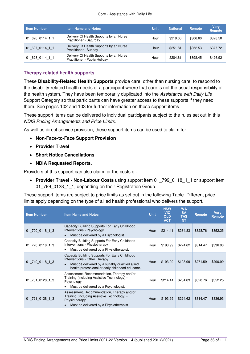| <b>Item Number</b> | <b>Item Name and Notes</b>                                               | <b>Unit</b> | <b>National</b> | Remote   | <b>Verv</b><br><b>Remote</b> |
|--------------------|--------------------------------------------------------------------------|-------------|-----------------|----------|------------------------------|
| 01 626 0114 1 1    | Delivery Of Health Supports by an Nurse<br>Practitioner - Saturday       | Hour        | \$219.00        | \$306.60 | \$328.50                     |
| 01 627 0114 1 1    | Delivery Of Health Supports by an Nurse<br>Practitioner - Sunday         | Hour        | \$251.81        | \$352.53 | \$377.72                     |
| 01 628 0114 1 1    | Delivery Of Health Supports by an Nurse<br>Practitioner - Public Holiday | Hour        | \$284.61        | \$398.45 | \$426.92                     |

#### **Therapy-related health supports**

These **[Disability-Related Health Supports](#page-35-0)** provide care, other than nursing care, to respond to the disability-related health needs of a participant where that care is not the usual responsibility of the health system. They have been temporarily duplicated into the Assistance with Daily Life Support Category so that participants can have greater access to these supports if they need them. See pages [102](#page-101-0) and [103](#page-102-0) for further information on these support items.

These support items can be delivered to individual participants subject to the rules set out in this NDIS Pricing Arrangements and Price Limits.

As well as direct service provision, these support items can be used to claim for

- **[Non-Face-to-Face Support Provision](#page-16-0)**
- **[Provider Travel](#page-17-0)**
- **[Short Notice Cancellations](#page-21-0)**
- **[NDIA Requested Reports.](#page-22-0)**

Providers of this support can also claim for the costs of:

 **[Provider Travel - Non-Labour Costs](#page-18-0)** using support item 01\_799\_0118\_1\_1 or support item 01\_799\_0128\_1\_1, depending on their Registration Group.

These support items are subject to price limits as set out in the following Table. Different price limits apply depending on the type of allied health professional who delivers the support.

| <b>Item Number</b> | <b>Item Name and Notes</b>                                                                                                                                                                           | <b>Unit</b> | <b>NSW</b><br><b>VIC</b><br><b>QLD</b><br><b>ACT</b> | <b>WA</b><br><b>SA</b><br><b>TAS</b><br><b>NT</b> | <b>Remote</b> | <b>Verv</b><br><b>Remote</b> |
|--------------------|------------------------------------------------------------------------------------------------------------------------------------------------------------------------------------------------------|-------------|------------------------------------------------------|---------------------------------------------------|---------------|------------------------------|
| 01 700 0118 1 3    | Capacity Building Supports For Early Childhood<br>Interventions - Psychology<br>Must be delivered by a Psychologist.<br>$\bullet$                                                                    | Hour        | \$214.41                                             | \$234.83                                          | \$328.76      | \$352.25                     |
| 01 720 0118 1 3    | Capacity Building Supports For Early Childhood<br>Interventions - Physiotherapy<br>Must be delivered by a Physiotherapist.<br>$\bullet$                                                              | Hour        | \$193.99                                             | \$224.62                                          | \$314.47      | \$336.93                     |
| 01 740 0118 1 3    | Capacity Building Supports For Early Childhood<br>Interventions - Other Therapy<br>Must be delivered by a suitably qualified allied<br>$\bullet$<br>health professional or early childhood educator. | Hour        | \$193.99                                             | \$193.99                                          | \$271.59      | \$290.99                     |
| 01 701 0128 1 3    | Assessment, Recommendation, Therapy and/or<br>Training (including Assistive Technology) -<br>Psychology<br>Must be delivered by a Psychologist.<br>$\bullet$                                         | Hour        | \$214.41                                             | \$234.83                                          | \$328.76      | \$352.25                     |
| 01 721 0128 1 3    | Assessment, Recommendation, Therapy and/or<br>Training (including Assistive Technology) -<br>Physiotherapy<br>Must be delivered by a Physiotherapist.<br>$\bullet$                                   | Hour        | \$193.99                                             | \$224.62                                          | \$314.47      | \$336.93                     |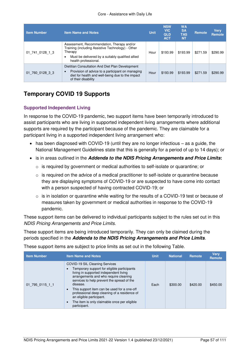#### Core - Assistance with Daily Life

| <b>Item Number</b> | <b>Item Name and Notes</b>                                                                                                                                                                          | <b>Unit</b> | <b>NSW</b><br><b>VIC</b><br><b>QLD</b><br><b>ACT</b> | <b>WA</b><br><b>SA</b><br><b>TAS</b><br><b>NT</b> | <b>Remote</b> | <b>Verv</b><br>Remote |
|--------------------|-----------------------------------------------------------------------------------------------------------------------------------------------------------------------------------------------------|-------------|------------------------------------------------------|---------------------------------------------------|---------------|-----------------------|
| 01 741 0128 1 3    | Assessment, Recommendation, Therapy and/or<br>Training (including Assistive Technology) - Other<br>Therapy<br>Must be delivered by a suitably qualified allied<br>$\bullet$<br>health professional. | Hour        | \$193.99                                             | \$193.99                                          | \$271.59      | \$290.99              |
| 01 760 0128 3 3    | Dietitian Consultation And Diet Plan Development<br>Provision of advice to a participant on managing<br>$\bullet$<br>diet for health and well-being due to the impact<br>of their disability        | Hour        | \$193.99                                             | \$193.99                                          | \$271.59      | \$290.99              |

# **Temporary COVID 19 Supports**

### <span id="page-56-0"></span>**Supported Independent Living**

In response to the COVID-19 pandemic, two support items have been temporarily introduced to assist participants who are living in supported independent living arrangements where additional supports are required by the participant because of the pandemic. They are claimable for a participant living in a supported independent living arrangement who:

- has been diagnosed with COVID-19 (until they are no longer infectious as a guide, the National Management Guidelines state that this is generally for a period of up to 14 days); or
- is in areas outlined in the **[Addenda to the NDIS Pricing Arrangements and Price Limits](#page-7-0):**
	- $\circ$  is required by government or medical authorities to self-isolate or quarantine; or
	- $\circ$  is required on the advice of a medical practitioner to self-isolate or quarantine because they are displaying symptoms of COVID-19 or are suspected to have come into contact with a person suspected of having contracted COVID-19; or
	- $\circ$  is in isolation or quarantine while waiting for the results of a COVID-19 test or because of measures taken by government or medical authorities in response to the COVID-19 pandemic.

These support items can be delivered to individual participants subject to the rules set out in this NDIS Pricing Arrangements and Price Limits.

These support items are being introduced temporarily. They can only be claimed during the periods specified in the **[Addenda to the NDIS Pricing Arrangements and Price Limits](#page-7-0)**.

These support items are subject to price limits as set out in the following Table.

| <b>Item Number</b> | <b>Item Name and Notes</b>                                                                                                                                                                                                                                                                                                                                                                                            | <b>Unit</b> | <b>National</b> | Remote   | <b>Verv</b><br><b>Remote</b> |
|--------------------|-----------------------------------------------------------------------------------------------------------------------------------------------------------------------------------------------------------------------------------------------------------------------------------------------------------------------------------------------------------------------------------------------------------------------|-------------|-----------------|----------|------------------------------|
| 01 795 0115 1 1    | COVID-19 SIL Cleaning Services<br>Temporary support for eligible participants<br>living in supported independent living<br>arrangements and who require cleaning<br>services to help prevent the spread of the<br>disease.<br>This support item can be used for a one-off<br>professional deep cleaning of a residence of<br>an eligible participant.<br>The item is only claimable once per eligible<br>participant. | Each        | \$300.00        | \$420.00 | \$450.00                     |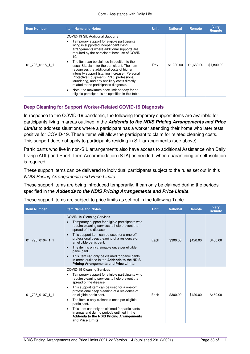#### Core - Assistance with Daily Life

| <b>Item Number</b> | <b>Item Name and Notes</b>                                                                                                                                                                                                                                                                                                                                                                                                                                                                                                                                                                                                                                                   | <b>Unit</b> | <b>National</b> | Remote     | <b>Verv</b><br><b>Remote</b> |
|--------------------|------------------------------------------------------------------------------------------------------------------------------------------------------------------------------------------------------------------------------------------------------------------------------------------------------------------------------------------------------------------------------------------------------------------------------------------------------------------------------------------------------------------------------------------------------------------------------------------------------------------------------------------------------------------------------|-------------|-----------------|------------|------------------------------|
| 01 796 0115 1 1    | COVID-19 SIL Additional Supports<br>Temporary support for eligible participants<br>living in supported independent living<br>arrangements where additional supports are<br>required by the participant because of COVID-<br>19.<br>The item can be claimed in addition to the<br>usual SIL claim for the participant. The item<br>recognises the additional costs of higher<br>intensity support (staffing increase), Personal<br>Protective Equipment (PPE), professional<br>laundering, and any ancillary costs directly<br>related to the participant's diagnosis.<br>Note: the maximum price limit per day for an<br>eligible participant is as specified in this table. | Day         | \$1,200.00      | \$1,680.00 | \$1,800.00                   |

### <span id="page-57-0"></span>**Deep Cleaning for Support Worker-Related COVID-19 Diagnosis**

In response to the COVID-19 pandemic, the following temporary support items are available for participants living in areas outlined in the **[Addenda to the NDIS Pricing Arrangements and Price](#page-7-0)  [Limits](#page-7-0)** to address situations where a participant has a worker attending their home who later tests positive for COVID-19. These items will allow the participant to claim for related cleaning costs. This support does not apply to participants residing in SIL arrangements (see above).

Participants who live in non-SIL arrangements also have access to additional Assistance with Daily Living (ADL) and Short Term Accommodation (STA) as needed, when quarantining or self-isolation is required.

These support items can be delivered to individual participants subject to the rules set out in this NDIS Pricing Arrangements and Price Limits.

These support items are being introduced temporarily. It can only be claimed during the periods specified in the **[Addenda to the NDIS Pricing Arrangements and Price Limits](#page-7-0)**.

| <b>Item Number</b> | <b>Item Name and Notes</b>                                                                                                                                                                                                                                                                                                                                                                                                                                                                                                                                                       | <b>Unit</b> | <b>National</b> | Remote   | <b>Verv</b><br><b>Remote</b> |
|--------------------|----------------------------------------------------------------------------------------------------------------------------------------------------------------------------------------------------------------------------------------------------------------------------------------------------------------------------------------------------------------------------------------------------------------------------------------------------------------------------------------------------------------------------------------------------------------------------------|-------------|-----------------|----------|------------------------------|
| 01 795 0104 1 1    | <b>COVID-19 Cleaning Services</b><br>Temporary support for eligible participants who<br>require cleaning services to help prevent the<br>spread of the disease.<br>This support item can be used for a one-off<br>$\bullet$<br>professional deep cleaning of a residence of<br>an eligible participant.<br>The item is only claimable once per eligible<br>$\bullet$<br>participant.<br>This item can only be claimed for participants<br>$\bullet$<br>in areas outlined in the Addenda to the NDIS<br><b>Pricing Arrangements and Price Limits.</b>                             | Each        | \$300.00        | \$420.00 | \$450.00                     |
| 01 795 0107 1 1    | COVID-19 Cleaning Services<br>Temporary support for eligible participants who<br>$\bullet$<br>require cleaning services to help prevent the<br>spread of the disease.<br>This support item can be used for a one-off<br>$\bullet$<br>professional deep cleaning of a residence of<br>an eligible participant.<br>The item is only claimable once per eligible<br>$\bullet$<br>participant.<br>This item can only be claimed for participants<br>$\bullet$<br>in areas and during periods outlined in the<br><b>Addenda to the NDIS Pricing Arrangements</b><br>and Price Limits. | Each        | \$300.00        | \$420.00 | \$450.00                     |

These support items are subject to price limits as set out in the following Table.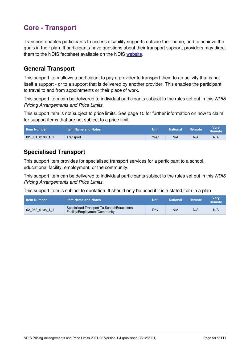# **Core - Transport**

Transport enables participants to access disability supports outside their home, and to achieve the goals in their plan. If participants have questions about their transport support, providers may direct them to the NDIS factsheet available on the NDIS [website.](https://www.ndis.gov.au/participants/creating-your-plan/plan-budget-and-rules/transport-funding)

### **General Transport**

This support item allows a participant to pay a provider to transport them to an activity that is not itself a support - or to a support that is delivered by another provider. This enables the participant to travel to and from appointments or their place of work.

This support item can be delivered to individual participants subject to the rules set out in this NDIS Pricing Arrangements and Price Limits.

This support item is not subject to price limits. See page [15](#page-14-1) for further information on how to claim for support items that are not subject to a price limit.

| <b>Item Number</b> | litem Name and Notes <b>\</b> | Unit | <b>National</b> | <b>Remote</b> | Verv<br>Remote |
|--------------------|-------------------------------|------|-----------------|---------------|----------------|
| 0108<br>02 051     | Transport                     | Year | N/A             | N/A           | N/A            |

### **Specialised Transport**

This support item provides for specialised transport services for a participant to a school, educational facility, employment, or the community.

This support item can be delivered to individual participants subject to the rules set out in this NDIS Pricing Arrangements and Price Limits.

This support item is subject to quotation. It should only be used if it is a stated item in a plan

| <b>Item Number</b> | <b>Item Name and Notes</b>                                                   | Unit | <b>National</b> | <b>Remote</b> | Verv<br><b>Remote</b> |
|--------------------|------------------------------------------------------------------------------|------|-----------------|---------------|-----------------------|
| 02 050 0108 1 1    | Specialised Transport To School/Educational<br>Facility/Employment/Community | Dav  | N/A             | N/A           | N/A                   |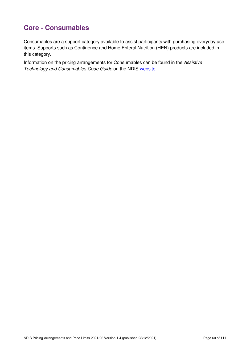# **Core - Consumables**

Consumables are a support category available to assist participants with purchasing everyday use items. Supports such as Continence and Home Enteral Nutrition (HEN) products are included in this category.

Information on the pricing arrangements for Consumables can be found in the Assistive Technology and Consumables Code Guide on the NDIS [website.](https://www.ndis.gov.au/providers/housing-and-living-supports-and-services/providing-assistive-technology#Atcodeguide)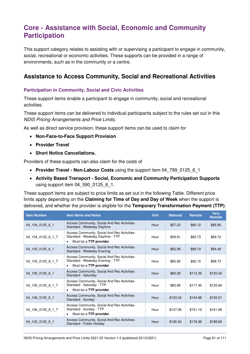# **Core - Assistance with Social, Economic and Community Participation**

This support category relates to assisting with or supervising a participant to engage in community, social, recreational or economic activities. These supports can be provided in a range of environments, such as in the community or a centre.

### **Assistance to Access Community, Social and Recreational Activities**

### **Participation in Community, Social and Civic Activities**

These support items enable a participant to engage in community, social and recreational activities.

These support items can be delivered to individual participants subject to the rules set out in this NDIS Pricing Arrangements and Price Limits.

As well as direct service provision, these support items can be used to claim for

- **[Non-Face-to-Face Support Provision](#page-16-0)**
- **[Provider Travel](#page-17-0)**
- **[Short Notice Cancellations.](#page-21-0)**

Providers of these supports can also claim for the costs of

- **[Provider Travel Non-Labour Costs](#page-18-0)** using the support item 04\_799\_0125\_6\_1
- **[Activity Based Transport Social, Economic and Community Participation Supports](#page-22-1)** using support item 04\_590\_0125\_6\_1.

These support items are subject to price limits as set out in the following Table. Different price limits apply depending on the **[Claiming for Time of Day and Day](#page-14-0) of Week** when the support is delivered, and whether the provider is eligible for the **[Temporary Transformation Payment \(TTP\)](#page-34-0)**.

| <b>Item Number</b> | <b>Item Name and Notes</b>                                                                                                | <b>Unit</b> | <b>National</b> | <b>Remote</b> | <b>Very</b><br><b>Remote</b> |
|--------------------|---------------------------------------------------------------------------------------------------------------------------|-------------|-----------------|---------------|------------------------------|
| 04 104 0125 6 1    | Access Community, Social And Rec Activities -<br>Standard - Weekday Daytime                                               | Hour        | \$57.23         | \$80.12       | \$85.85                      |
| 04_104_0125_6_1_T  | Access Community, Social And Rec Activities -<br>Standard - Weekday Daytime - TTP<br>Must be a TTP provider.<br>$\bullet$ | Hour        | \$59.81         | \$83.73       | \$89.72                      |
| 04 103 0125 6 1    | Access Community, Social And Rec Activities -<br>Standard - Weekday Evening                                               | Hour        | \$62.99         | \$88.19       | \$94.49                      |
| 04_103_0125_6_1_T  | Access Community, Social And Rec Activities -<br>Standard - Weekday Evening - TTP<br>Must be a TTP provider.<br>$\bullet$ | Hour        | \$65.82         | \$92.15       | \$98.73                      |
| 04 105 0125 6 1    | Access Community, Social And Rec Activities -<br>Standard - Saturday                                                      | Hour        | \$80.28         | \$112.39      | \$120.42                     |
| 04_105_0125_6_1_T  | Access Community, Social And Rec Activities -<br>Standard - Saturday - TTP<br>Must be a <b>TTP provider</b> .<br>٠        | Hour        | \$83.89         | \$117.45      | \$125.84                     |
| 04 106 0125 6 1    | Access Community, Social And Rec Activities -<br>Standard - Sunday                                                        | Hour        | \$103.34        | \$144.68      | \$155.01                     |
| 04 106 0125 6 1 T  | Access Community, Social And Rec Activities -<br>Standard - Sunday - TTP<br>Must be a TTP provider.<br>$\bullet$          | Hour        | \$107.99        | \$151.19      | \$161.99                     |
| 04 102 0125 6 1    | Access Community, Social And Rec Activities -<br>Standard - Public Holiday                                                | Hour        | \$126.40        | \$176.96      | \$189.60                     |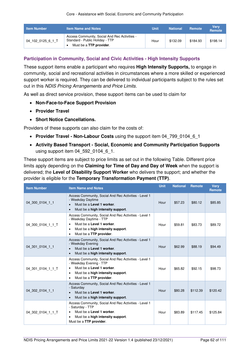| <b>Item Number</b> | <b>Item Name and Notes</b>                                                                                  | Unit | <b>National</b> | <b>Remote</b> | Very<br><b>Remote</b> |
|--------------------|-------------------------------------------------------------------------------------------------------------|------|-----------------|---------------|-----------------------|
| 04 102 0125 6 1 T  | Access Community, Social And Rec Activities -<br>Standard - Public Holiday - TTP<br>Must be a TTP provider. | Hour | \$132.09        | \$184.93      | \$198.14              |

### **Participation in Community, Social and Civic Activities - High Intensity Supports**

These support items enable a participant who requires **[High Intensity Supports,](#page-34-1)** to engage in community, social and recreational activities in circumstances where a more skilled or experienced support worker is required. They can be delivered to individual participants subject to the rules set out in this NDIS Pricing Arrangements and Price Limits.

As well as direct service provision, these support items can be used to claim for

- **[Non-Face-to-Face Support Provision](#page-16-0)**
- **[Provider Travel](#page-17-0)**
- **[Short Notice Cancellations.](#page-21-0)**

Providers of these supports can also claim for the costs of:

- **Provider Travel Non-Labour Costs** using the support item 04 799 0104 6 1
- **[Activity Based Transport Social, Economic and Community Participation Supports](#page-22-1)**  using support item 04\_592\_0104\_6\_1.

These support items are subject to price limits as set out in the following Table. Different price limits apply depending on the **[Claiming for Time of Day and Day](#page-14-0) of Week** when the support is delivered; the **[Level of Disability Support Worker](#page-34-2)** who delivers the support; and whether the provider is eligible for the **[Temporary Transformation Payment \(TTP\)](#page-34-0)**.

| <b>Item Number</b> | <b>Item Name and Notes</b>                                                                                                                                                                           | <b>Unit</b> | <b>National</b> | <b>Remote</b> | <b>Verv</b><br><b>Remote</b> |
|--------------------|------------------------------------------------------------------------------------------------------------------------------------------------------------------------------------------------------|-------------|-----------------|---------------|------------------------------|
| 04 300 0104 1 1    | Access Community, Social And Rec Activities - Level 1<br>- Weekday Daytime<br>Must be a Level 1 worker.<br>Must be a high intensity support.<br>$\bullet$                                            | Hour        | \$57.23         | \$80.12       | \$85.85                      |
| 04 300 0104 1 1 T  | Access Community, Social And Rec Activities - Level 1<br>- Weekday Daytime - TTP<br>Must be a Level 1 worker.<br>٠<br>Must be a high intensity support.<br>٠<br>Must be a TTP provider.<br>٠         | Hour        | \$59.81         | \$83.73       | \$89.72                      |
| 04 301 0104 1 1    | Access Community, Social And Rec Activities - Level 1<br>- Weekday Evening<br>Must be a Level 1 worker.<br>$\bullet$<br>Must be a high intensity support.<br>$\bullet$                               | Hour        | \$62.99         | \$88.19       | \$94.49                      |
| 04 301 0104 1 1 T  | Access Community, Social And Rec Activities - Level 1<br>- Weekday Evening - TTP<br>Must be a Level 1 worker.<br>$\bullet$<br>Must be a high intensity support.<br>٠<br>Must be a TTP provider.<br>٠ | Hour        | \$65.82         | \$92.15       | \$98.73                      |
| 04 302 0104 1 1    | Access Community, Social And Rec Activities - Level 1<br>- Saturday<br>Must be a Level 1 worker.<br>$\bullet$<br>Must be a high intensity support.<br>$\bullet$                                      | Hour        | \$80.28         | \$112.39      | \$120.42                     |
| 04 302 0104 1 1 T  | Access Community, Social And Rec Activities - Level 1<br>- Saturday - TTP<br>Must be a Level 1 worker.<br>٠<br>Must be a high intensity support.<br>٠<br>Must be a TTP provider.                     | Hour        | \$83.89         | \$117.45      | \$125.84                     |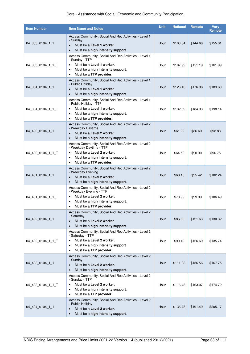### Core - Assistance with Social, Economic and Community Participation

| <b>Item Number</b> | <b>Item Name and Notes</b>                                                                                                                                                                                   | <b>Unit</b> | <b>National</b> | <b>Remote</b> | <b>Very</b><br>Remote |
|--------------------|--------------------------------------------------------------------------------------------------------------------------------------------------------------------------------------------------------------|-------------|-----------------|---------------|-----------------------|
| 04 303 0104 1 1    | Access Community, Social And Rec Activities - Level 1<br>- Sunday<br>Must be a Level 1 worker.<br>Must be a high intensity support.                                                                          | Hour        | \$103.34        | \$144.68      | \$155.01              |
| 04 303 0104 1 1 T  | Access Community, Social And Rec Activities - Level 1<br>- Sunday - TTP<br>Must be a Level 1 worker.<br>$\bullet$<br>Must be a high intensity support.<br>$\bullet$<br>Must be a TTP provider.<br>٠          | Hour        | \$107.99        | \$151.19      | \$161.99              |
| 04 304 0104 1 1    | Access Community, Social And Rec Activities - Level 1<br>- Public Holiday<br>Must be a Level 1 worker.<br>$\bullet$<br>Must be a high intensity support.<br>$\bullet$                                        | Hour        | \$126.40        | \$176.96      | \$189.60              |
| 04 304 0104 1 1 T  | Access Community, Social And Rec Activities - Level 1<br>- Public Holiday - TTP<br>Must be a Level 1 worker.<br>٠<br>Must be a high intensity support.<br>٠<br>Must be a TTP provider.<br>٠                  | Hour        | \$132.09        | \$184.93      | \$198.14              |
| 04 400 0104 1 1    | Access Community, Social And Rec Activities - Level 2<br>- Weekday Daytime<br>Must be a Level 2 worker.<br>$\bullet$<br>Must be a high intensity support.<br>$\bullet$                                       | Hour        | \$61.92         | \$86.69       | \$92.88               |
| 04 400 0104 1 1 T  | Access Community, Social And Rec Activities - Level 2<br>- Weekday Daytime - TTP<br>Must be a Level 2 worker.<br>$\bullet$<br>Must be a high intensity support.<br>٠<br>Must be a TTP provider.<br>$\bullet$ | Hour        | \$64.50         | \$90.30       | \$96.75               |
| 04 401 0104 1 1    | Access Community, Social And Rec Activities - Level 2<br>- Weekday Evening<br>Must be a Level 2 worker.<br>$\bullet$<br>Must be a high intensity support.<br>$\bullet$                                       | Hour        | \$68.16         | \$95.42       | \$102.24              |
| 04_401_0104_1_1_T  | Access Community, Social And Rec Activities - Level 2<br>- Weekday Evening - TTP<br>Must be a Level 2 worker.<br>$\bullet$<br>Must be a high intensity support.<br>$\bullet$<br>Must be a TTP provider.<br>٠ | Hour        | \$70.99         | \$99.39       | \$106.49              |
| 04 402 0104 1 1    | Access Community, Social And Rec Activities - Level 2<br>- Saturday<br>Must be a Level 2 worker.<br>$\bullet$<br>Must be a high intensity support.<br>$\bullet$                                              | Hour        | \$86.88         | \$121.63      | \$130.32              |
| 04 402 0104 1 1 T  | Access Community, Social And Rec Activities - Level 2<br>- Saturday - TTP<br>Must be a Level 2 worker.<br>$\bullet$<br>Must be a high intensity support.<br>٠<br>Must be a TTP provider.<br>٠                | Hour        | \$90.49         | \$126.69      | \$135.74              |
| 04 403 0104 1 1    | Access Community, Social And Rec Activities - Level 2<br>- Sunday<br>Must be a Level 2 worker.<br>Must be a <b>high intensity support</b> .                                                                  | Hour        | \$111.83        | \$156.56      | \$167.75              |
| 04 403 0104 1 1 T  | Access Community, Social And Rec Activities - Level 2<br>- Sunday - TTP<br>Must be a Level 2 worker.<br>٠<br>Must be a high intensity support.<br>٠<br>Must be a TTP provider.<br>٠                          | Hour        | \$116.48        | \$163.07      | \$174.72              |
| 04 404 0104 1 1    | Access Community, Social And Rec Activities - Level 2<br>- Public Holiday<br>Must be a Level 2 worker.<br>$\bullet$<br>Must be a high intensity support.<br>$\bullet$                                        | Hour        | \$136.78        | \$191.49      | \$205.17              |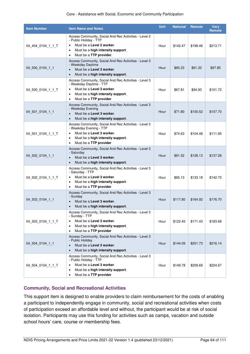#### Core - Assistance with Social, Economic and Community Participation

| <b>Item Number</b> | <b>Item Name and Notes</b>                                                                                                                                                                                          | <b>Unit</b> | <b>National</b> | <b>Remote</b> | <b>Verv</b><br><b>Remote</b> |
|--------------------|---------------------------------------------------------------------------------------------------------------------------------------------------------------------------------------------------------------------|-------------|-----------------|---------------|------------------------------|
| 04 404 0104 1 1 T  | Access Community, Social And Rec Activities - Level 2<br>- Public Holiday - TTP<br>Must be a Level 2 worker.<br>$\bullet$<br>Must be a high intensity support.<br>$\bullet$<br>Must be a TTP provider.<br>٠         | Hour        | \$142.47        | \$199.46      | \$213.71                     |
| 04 500 0104 1 1    | Access Community, Social And Rec Activities - Level 3<br>- Weekday Daytime<br>Must be a Level 3 worker.<br>$\bullet$<br>Must be a high intensity support.<br>$\bullet$                                              | Hour        | \$65.23         | \$91.32       | \$97.85                      |
| 04 500 0104 1 1 T  | Access Community, Social And Rec Activities - Level 3<br>- Weekday Daytime - TTP<br>Must be a Level 3 worker.<br>$\bullet$<br>Must be a high intensity support.<br>$\bullet$<br>Must be a TTP provider<br>$\bullet$ | Hour        | \$67.81         | \$94.93       | \$101.72                     |
| 04 501 0104 1 1    | Access Community, Social And Rec Activities - Level 3<br>- Weekday Evening<br>Must be a Level 3 worker.<br>$\bullet$<br>Must be a high intensity support.<br>$\bullet$                                              | Hour        | \$71.80         | \$100.52      | \$107.70                     |
| 04 501 0104 1 1 T  | Access Community, Social And Rec Activities - Level 3<br>- Weekday Evening - TTP<br>Must be a Level 3 worker.<br>$\bullet$<br>Must be a high intensity support.<br>$\bullet$<br>Must be a TTP provider<br>$\bullet$ | Hour        | \$74.63         | \$104.48      | \$111.95                     |
| 04_502_0104_1_1    | Access Community, Social And Rec Activities - Level 3<br>- Saturday<br>Must be a Level 3 worker.<br>$\bullet$<br>Must be a high intensity support.                                                                  | Hour        | \$91.52         | \$128.13      | \$137.28                     |
| 04_502_0104_1_1_T  | Access Community, Social And Rec Activities - Level 3<br>- Saturday - TTP<br>Must be a Level 3 worker.<br>$\bullet$<br>Must be a high intensity support.<br>$\bullet$<br>Must be a TTP provider<br>٠                | Hour        | \$95.13         | \$133.18      | \$142.70                     |
| 04_503_0104_1_1    | Access Community, Social And Rec Activities - Level 3<br>- Sunday<br>Must be a Level 3 worker.<br>$\bullet$<br>Must be a high intensity support.<br>$\bullet$                                                       | Hour        | \$117.80        | \$164.92      | \$176.70                     |
| 04 503 0104 1 1 T  | Access Community, Social And Rec Activities - Level 3<br>- Sunday - TTP<br>Must be a Level 3 worker.<br>$\bullet$<br>Must be a high intensity support.<br>$\bullet$<br>Must be a TTP provider<br>$\bullet$          | Hour        | \$122.45        | \$171.43      | \$183.68                     |
| 04 504 0104 1 1    | Access Community, Social And Rec Activities - Level 3<br>- Public Holiday<br>Must be a Level 3 worker.<br>$\bullet$<br>Must be a high intensity support.<br>$\bullet$                                               | Hour        | \$144.09        | \$201.73      | \$216.14                     |
| 04 504 0104 1 1 T  | Access Community, Social And Rec Activities - Level 3<br>- Public Holiday - TTP<br>Must be a Level 3 worker.<br>٠<br>Must be a high intensity support.<br>٠<br>Must be a TTP provider<br>٠                          | Hour        | \$149.78        | \$209.69      | \$224.67                     |

### **Community, Social and Recreational Activities**

This support item is designed to enable providers to claim reimbursement for the costs of enabling a participant to independently engage in community, social and recreational activities when costs of participation exceed an affordable level and without, the participant would be at risk of social isolation. Participants may use this funding for activities such as camps, vacation and outside school hours' care, course or membership fees.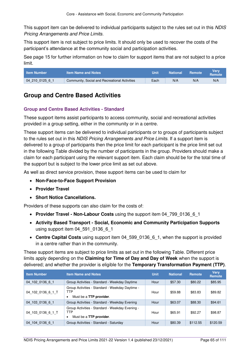This support item can be delivered to individual participants subject to the rules set out in this NDIS Pricing Arrangements and Price Limits.

This support item is not subject to price limits. It should only be used to recover the costs of the participant's attendance at the community social and participation activities.

See page [15](#page-14-1) for further information on how to claim for support items that are not subject to a price limit.

| <b>Item Number</b> | <b>Item Name and Notes</b>                    | Unit | <b>National</b> | <b>Remote</b> | Verv<br>Remote |
|--------------------|-----------------------------------------------|------|-----------------|---------------|----------------|
| 04 210 0125 6 1    | Community, Social and Recreational Activities | Each | N/A             | N/A           | N/A            |

### **Group and Centre Based Activities**

### **Group and Centre Based Activities - Standard**

These support items assist participants to access community, social and recreational activities provided in a group setting, either in the community or in a centre.

These support items can be delivered to individual participants or to groups of participants subject to the rules set out in this NDIS Pricing Arrangements and Price Limits. If a support item is delivered to a group of participants then the price limit for each participant is the price limit set out in the following Table divided by the number of participants in the group. Providers should make a claim for each participant using the relevant support item. Each claim should be for the total time of the support but is subject to the lower price limit as set out above.

As well as direct service provision, these support items can be used to claim for

- **[Non-Face-to-Face Support Provision](#page-16-0)**
- **[Provider Travel](#page-17-0)**
- **[Short Notice Cancellations.](#page-21-0)**

Providers of these supports can also claim for the costs of:

- **[Provider Travel Non-Labour Costs](#page-18-0)** using the support item 04 799 0136 6 1
- **[Activity Based Transport Social, Economic and Community Participation Supports](#page-22-1)** using support item 04\_591\_0136\_6\_1
- **[Centre Capital Costs](#page-28-0)** using support item 04 599 0136 6 1, when the support is provided in a centre rather than in the community.

These support items are subject to price limits as set out in the following Table. Different price limits apply depending on the **[Claiming for Time of Day and Day of Week](#page-14-0)** when the support is delivered; and whether the provider is eligible for the **[Temporary Transformation Payment \(TTP\)](#page-34-0)**.

| <b>Item Number</b> | <b>Item Name and Notes</b>                                                        | <b>Unit</b> | <b>National</b> | <b>Remote</b> | <b>Verv</b><br><b>Remote</b> |
|--------------------|-----------------------------------------------------------------------------------|-------------|-----------------|---------------|------------------------------|
| 04 102 0136 6 1    | Group Activities - Standard - Weekday Daytime                                     | Hour        | \$57.30         | \$80.22       | \$85.95                      |
| 04 102 0136 6 1 T  | Group Activities - Standard - Weekday Daytime -<br>TTP<br>Must be a TTP provider. | Hour        | \$59.88         | \$83.83       | \$89.82                      |
| 04 103 0136 6 1    | Group Activities - Standard - Weekday Evening                                     | Hour        | \$63.07         | \$88.30       | \$94.61                      |
| 04 103 0136 6 1 T  | Group Activities - Standard - Weekday Evening -<br>TTP<br>Must be a TTP provider. | Hour        | \$65.91         | \$92.27       | \$98.87                      |
| 04 104 0136 6 1    | Group Activities - Standard - Saturday                                            | Hour        | \$80.39         | \$112.55      | \$120.59                     |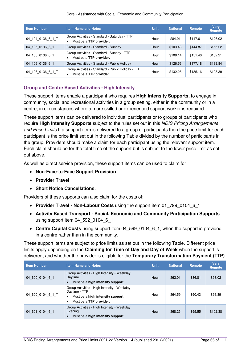Core - Assistance with Social, Economic and Community Participation

| <b>Item Number</b> | <b>Item Name and Notes</b>                                                    | <b>Unit</b> | <b>National</b> | Remote   | <b>Very</b><br>Remote |
|--------------------|-------------------------------------------------------------------------------|-------------|-----------------|----------|-----------------------|
| 04 104 0136 6 1 T  | Group Activities - Standard - Saturday - TTP<br>Must be a TTP provider.       | Hour        | \$84.01         | \$117.61 | \$126.02              |
| 04 105 0136 6 1    | Group Activities - Standard - Sunday                                          | Hour        | \$103.48        | \$144.87 | \$155.22              |
| 04 105 0136 6 1 T  | Group Activities - Standard - Sunday - TTP<br>Must be a TTP provider.<br>٠    | Hour        | \$108.14        | \$151.40 | \$162.21              |
| 04 106 0136 6 1    | Group Activities - Standard - Public Holiday                                  | Hour        | \$126.56        | \$177.18 | \$189.84              |
| 04 106 0136 6 1 T  | Group Activities - Standard - Public Holiday - TTP<br>Must be a TTP provider. | Hour        | \$132.26        | \$185.16 | \$198.39              |

### **Group and Centre Based Activities - High Intensity**

These support items enable a participant who requires **[High Intensity Supports,](#page-34-1)** to engage in community, social and recreational activities in a group setting, either in the community or in a centre, in circumstances where a more skilled or experienced support worker is required.

These support items can be delivered to individual participants or to groups of participants who require **[High Intensity Supports](#page-34-1)** subject to the rules set out in this NDIS Pricing Arrangements and Price Limits If a support item is delivered to a group of participants then the price limit for each participant is the price limit set out in the following Table divided by the number of participants in the group. Providers should make a claim for each participant using the relevant support item. Each claim should be for the total time of the support but is subject to the lower price limit as set out above.

As well as direct service provision, these support items can be used to claim for

- **[Non-Face-to-Face Support Provision](#page-16-0)**
- **[Provider Travel](#page-17-0)**
- **[Short Notice Cancellations.](#page-21-0)**

Providers of these supports can also claim for the costs of:

- **Provider Travel Non-Labour Costs** using the support item 01 799 0104 6 1
- **[Activity Based Transport Social, Economic and Community Participation Supports](#page-22-1)** using support item 04\_592\_0104\_6\_1
- **[Centre Capital Costs](#page-28-0)** using support item 04 599 0104 6 1, when the support is provided in a centre rather than in the community.

These support items are subject to price limits as set out in the following Table. Different price limits apply depending on the **[Claiming for Time of Day and Day](#page-14-0) of Week** when the support is delivered; and whether the provider is eligible for the **[Temporary Transformation Payment \(TTP\)](#page-34-0)**.

| <b>Item Number</b> | <b>Item Name and Notes</b>                                                                                                                     | <b>Unit</b> | <b>National</b> | Remote  | <b>Verv</b><br>Remote |
|--------------------|------------------------------------------------------------------------------------------------------------------------------------------------|-------------|-----------------|---------|-----------------------|
| 04 600 0104 6 1    | Group Activities - High Intensity - Weekday<br>Davtime<br>Must be a high intensity support.                                                    | Hour        | \$62.01         | \$86.81 | \$93.02               |
| 04 600 0104 6 1 T  | Group Activities - High Intensity - Weekday<br>Daytime - TTP<br>Must be a high intensity support.<br>$\bullet$<br>Must be a TTP provider.<br>٠ | Hour        | \$64.59         | \$90.43 | \$96.89               |
| 04 601 0104 6 1    | Group Activities - High Intensity - Weekday<br>Evening<br>Must be a high intensity support.                                                    | Hour        | \$68.25         | \$95.55 | \$102.38              |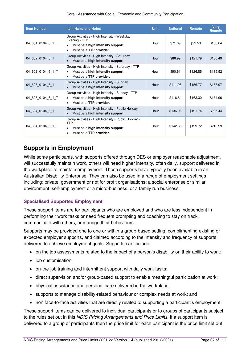#### Core - Assistance with Social, Economic and Community Participation

| <b>Item Number</b> | <b>Item Name and Notes</b>                                                                                                                     | <b>Unit</b> | <b>National</b> | <b>Remote</b> | <b>Very</b><br>Remote |
|--------------------|------------------------------------------------------------------------------------------------------------------------------------------------|-------------|-----------------|---------------|-----------------------|
| 04 601 0104 6 1 T  | Group Activities - High Intensity - Weekday<br>Evening - TTP<br>Must be a high intensity support.<br>٠<br>Must be a TTP provider.<br>$\bullet$ | Hour        | \$71.09         | \$99.53       | \$106.64              |
| 04 602 0104 6 1    | Group Activities - High Intensity - Saturday<br>Must be a high intensity support.<br>$\bullet$                                                 | Hour        | \$86.99         | \$121.79      | \$130.49              |
| 04 602 0104 6 1 T  | Group Activities - High Intensity - Saturday - TTP<br>Must be a high intensity support.<br>٠<br>Must be a TTP provider.<br>٠                   | Hour        | \$90.61         | \$126.85      | \$135.92              |
| 04 603 0104 6 1    | Group Activities - High Intensity - Sunday<br>Must be a high intensity support.<br>$\bullet$                                                   | Hour        | \$111.98        | \$156.77      | \$167.97              |
| 04 603 0104 6 1 T  | Group Activities - High Intensity - Sunday - TTP<br>Must be a high intensity support.<br>٠<br>Must be a TTP provider.<br>٠                     | Hour        | \$116.64        | \$163.30      | \$174.96              |
| 04 604 0104 6 1    | Group Activities - High Intensity - Public Holiday<br>Must be a high intensity support.<br>$\bullet$                                           | Hour        | \$136.96        | \$191.74      | \$205.44              |
| 04 604 0104 6 1 T  | Group Activities - High Intensity - Public Holiday -<br>TTP<br>Must be a high intensity support.<br>$\bullet$<br>Must be a TTP provider.<br>٠  | Hour        | \$142.66        | \$199.72      | \$213.99              |

### **Supports in Employment**

While some participants, with supports offered through DES or employer reasonable adjustment, will successfully maintain work, others will need higher intensity, often daily, support delivered in the workplace to maintain employment. These supports have typically been available in an Australian Disability Enterprise. They can also be used in a range of employment settings including: private, government or not for profit organisations; a social enterprise or similar environment; self-employment or a micro-business; or a family run business.

### **Specialised Supported Employment**

These support items are for participants who are employed and who are less independent in performing their work tasks or need frequent prompting and coaching to stay on track, communicate with others, or manage their behaviours.

Supports may be provided one to one or within a group-based setting, complimenting existing or expected employer supports, and claimed according to the intensity and frequency of supports delivered to achieve employment goals. Supports can include:

- on the job assessments related to the impact of a person's disability on their ability to work;
- iob customisation:
- on-the-job training and intermittent support with daily work tasks;
- direct supervision and/or group-based support to enable meaningful participation at work;
- physical assistance and personal care delivered in the workplace;
- supports to manage disability-related behaviour or complex needs at work; and
- non face-to-face activities that are directly related to supporting a participant's employment.

These support items can be delivered to individual participants or to groups of participants subject to the rules set out in this NDIS Pricing Arrangements and Price Limits. If a support item is delivered to a group of participants then the price limit for each participant is the price limit set out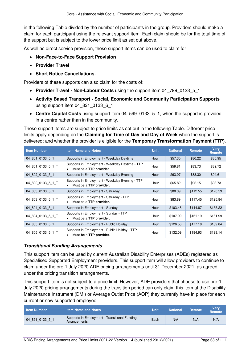in the following Table divided by the number of participants in the group. Providers should make a claim for each participant using the relevant support item. Each claim should be for the total time of the support but is subject to the lower price limit as set out above.

As well as direct service provision, these support items can be used to claim for

- **[Non-Face-to-Face Support Provision](#page-16-0)**
- **[Provider Travel](#page-17-0)**
- **[Short Notice Cancellations.](#page-21-0)**

Providers of these supports can also claim for the costs of:

- [Provider Travel Non-Labour Costs](#page-18-0) using the support item 04<sup>799</sup> 0133 5 1
- **[Activity Based Transport Social, Economic and Community Participation Supports](#page-22-1)**  using support item 04 821 0133 6 1
- **[Centre Capital Costs](#page-28-0)** using support item 04 599 0133 5 1, when the support is provided in a centre rather than in the community.

These support items are subject to price limits as set out in the following Table. Different price limits apply depending on the **[Claiming for Time of Day and Day](#page-14-0) of Week** when the support is delivered; and whether the provider is eligible for the **[Temporary Transformation Payment \(TTP\)](#page-34-0)**.

| <b>Item Number</b> | <b>Item Name and Notes</b>                                                     | <b>Unit</b> | <b>National</b> | <b>Remote</b> | <b>Very</b><br>Remote |
|--------------------|--------------------------------------------------------------------------------|-------------|-----------------|---------------|-----------------------|
| 04 801 0133 5 1    | Supports in Employment - Weekday Daytime                                       | Hour        | \$57.30         | \$80.22       | \$85.95               |
| 04_801_0133_5_1_T  | Supports in Employment - Weekday Daytime - TTP<br>Must be a TTP provider.<br>٠ | Hour        | \$59.81         | \$83.73       | \$89.72               |
| 04 802 0133 5 1    | Supports in Employment - Weekday Evening                                       | Hour        | \$63.07         | \$88.30       | \$94.61               |
| 04_802_0133_5_1_T  | Supports in Employment - Weekday Evening - TTP<br>Must be a TTP provider.      | Hour        | \$65.82         | \$92.15       | \$98.73               |
| 04 803 0133 5 1    | Supports in Employment - Saturday                                              | Hour        | \$80.39         | \$112.55      | \$120.59              |
| 04 803 0133 5 1 T  | Supports in Employment - Saturday - TTP<br>Must be a TTP provider.<br>٠        | Hour        | \$83.89         | \$117.45      | \$125.84              |
| 04 804 0133 5 1    | Supports in Employment - Sunday                                                | Hour        | \$103.48        | \$144.87      | \$155.22              |
| 04 804 0133 5 1 T  | Supports in Employment - Sunday - TTP<br>Must be a TTP provider.<br>٠          | Hour        | \$107.99        | \$151.19      | \$161.99              |
| 04 805 0133 5 1    | Supports in Employment - Public Holiday                                        | Hour        | \$126.56        | \$177.18      | \$189.84              |
| 04_805_0133_5_1_T  | Supports in Employment - Public Holiday - TTP<br>Must be a TTP provider.       | Hour        | \$132.09        | \$184.93      | \$198.14              |

### **Transitional Funding Arrangements**

This support item can be used by current Australian Disability Enterprises (ADEs) registered as Specialised Supported Employment providers. This support item will allow providers to continue to claim under the pre-1 July 2020 ADE pricing arrangements until 31 December 2021, as agreed under the pricing transition arrangements.

This support item is not subject to a price limit. However, ADE providers that choose to use pre-1 July 2020 pricing arrangements during the transition period can only claim this item at the Disability Maintenance Instrument (DMI) or Average Outlet Price (AOP) they currently have in place for each current or new supported employee.

| <b>Item Number</b> | <b>Item Name and Notes</b>                                    | Unit | <b>National</b> | Remote | Verv<br><b>Remote</b> |
|--------------------|---------------------------------------------------------------|------|-----------------|--------|-----------------------|
| 04 891 0133 5 1    | Supports in Employment - Transitional Funding<br>Arrangements | Each | N/A             | N/A    | N/A                   |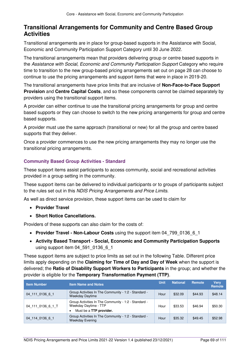### **Transitional Arrangements for Community and Centre Based Group Activities**

Transitional arrangements are in place for group-based supports in the Assistance with Social, Economic and Community Participation Support Category until 30 June 2022.

The transitional arrangements mean that providers delivering group or centre based supports in the Assistance with Social, Economic and Community Participation Support Category who require time to transition to the new group-based pricing arrangements set out on page [28](#page-27-0) can choose to continue to use the pricing arrangements and support items that were in place in 2019-20.

The transitional arrangements have price limits that are inclusive of **[Non-Face-to-Face Support](#page-16-0)  [Provision](#page-16-0)** and **[Centre Capital Costs](#page-28-0)**, and so these components cannot be claimed separately by providers using the transitional support items.

A provider can either continue to use the transitional pricing arrangements for group and centre based supports or they can choose to switch to the new pricing arrangements for group and centre based supports.

A provider must use the same approach (transitional or new) for all the group and centre based supports that they deliver.

Once a provider commences to use the new pricing arrangements they may no longer use the transitional pricing arrangements.

### **Community Based Group Activities - Standard**

These support items assist participants to access community, social and recreational activities provided in a group setting in the community.

These support items can be delivered to individual participants or to groups of participants subject to the rules set out in this NDIS Pricing Arrangements and Price Limits.

As well as direct service provision, these support items can be used to claim for

- **[Provider Travel](#page-17-0)**
- **[Short Notice Cancellations.](#page-21-0)**

Providers of these supports can also claim for the costs of:

- **[Provider Travel Non-Labour Costs](#page-18-0)** using the support item 04 799 0136 6 1
- **[Activity Based Transport Social, Economic and Community Participation Supports](#page-22-1)** using support item 04 591 0136 6 1

These support items are subject to price limits as set out in the following Table. Different price limits apply depending on the **[Claiming for Time of Day and Day](#page-14-0) of Week** when the support is delivered; the **Ratio of Disability Support Workers to Participants** in the group; and whether the provider is eligible for the **[Temporary Transformation Payment \(TTP\)](#page-34-0)**.

| <b>Item Number</b> | <b>Item Name and Notes</b>                                                                               | <b>Unit</b> | <b>National</b> | Remote  | <b>Very</b><br>Remote |
|--------------------|----------------------------------------------------------------------------------------------------------|-------------|-----------------|---------|-----------------------|
| 04 111 0136 6 1    | Group Activities In The Community - 1:2 - Standard -<br><b>Weekday Daytime</b>                           | Hour        | \$32.09         | \$44.93 | \$48.14               |
| 04 111 0136 6 1 T  | Group Activities In The Community - 1:2 - Standard -<br>Weekday Daytime - TTP<br>Must be a TTP provider. | Hour        | \$33.53         | \$46.94 | \$50.30               |
| 04 114 0136 6 1    | Group Activities In The Community - 1:2 - Standard -<br><b>Weekday Evening</b>                           | Hour        | \$35.32         | \$49.45 | \$52.98               |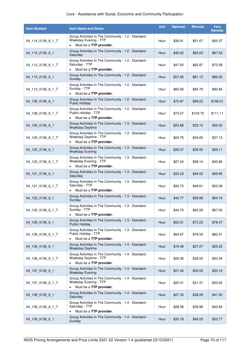| <b>Item Number</b> | <b>Item Name and Notes</b>                                                                                     | <b>Unit</b> | <b>National</b> | <b>Remote</b> | <b>Very</b><br><b>Remote</b> |
|--------------------|----------------------------------------------------------------------------------------------------------------|-------------|-----------------|---------------|------------------------------|
| 04_114_0136_6_1_T  | Group Activities In The Community - 1:2 - Standard -<br>Weekday Evening - TTP<br>Must be a TTP provider.       | Hour        | \$36.91         | \$51.67       | \$55.37                      |
| 04 112 0136 6 1    | Group Activities In The Community - 1:2 - Standard -<br>Saturday                                               | Hour        | \$45.02         | \$63.03       | \$67.53                      |
| 04_112_0136_6_1_T  | Group Activities In The Community - 1:2 - Standard -<br>Saturday - TTP<br>Must be a TTP provider.<br>$\bullet$ | Hour        | \$47.05         | \$65.87       | \$70.58                      |
| 04 113 0136 6 1    | Group Activities In The Community - 1:2 - Standard -<br>Sunday                                                 | Hour        | \$57.95         | \$81.13       | \$86.93                      |
| 04_113_0136_6_1_T  | Group Activities In The Community - 1:2 - Standard -<br>Sunday - TTP<br>Must be a TTP provider.<br>٠           | Hour        | \$60.56         | \$84.78       | \$90.84                      |
| 04_128_0136_6_1    | Group Activities In The Community - 1:2 - Standard -<br><b>Public Holiday</b>                                  | Hour        | \$70.87         | \$99.22       | \$106.31                     |
| 04_128_0136_6_1_T  | Group Activities In The Community - 1:2 - Standard -<br>Public Holiday - TTP<br>Must be a TTP provider.        | Hour        | \$74.07         | \$103.70      | \$111.11                     |
| 04_120_0136_6_1    | Group Activities In The Community - 1:3 - Standard -<br><b>Weekday Daytime</b>                                 | Hour        | \$23.68         | \$33.15       | \$35.52                      |
| 04 120 0136 6 1 T  | Group Activities In The Community - 1:3 - Standard -<br>Weekday Daytime - TTP<br>Must be a TTP provider.       | Hour        | \$24.75         | \$34.65       | \$37.13                      |
| 04_123_0136_6_1    | Group Activities In The Community - 1:3 - Standard -<br><b>Weekday Evening</b>                                 | Hour        | \$26.07         | \$36.50       | \$39.11                      |
| 04_123_0136_6_1_T  | Group Activities In The Community - 1:3 - Standard -<br>Weekday Evening - TTP<br>Must be a TTP provider.       | Hour        | \$27.24         | \$38.14       | \$40.86                      |
| 04_121_0136_6_1    | Group Activities In The Community - 1:3 - Standard -<br>Saturday                                               | Hour        | \$33.23         | \$46.52       | \$49.85                      |
| 04_121_0136_6_1_T  | Group Activities In The Community - 1:3 - Standard -<br>Saturday - TTP<br>Must be a TTP provider.              | Hour        | \$34.72         | \$48.61       | \$52.08                      |
| 04_122_0136_6_1    | Group Activities In The Community - 1:3 - Standard -<br>Sunday                                                 | Hour        | \$42.77         | \$59.88       | \$64.16                      |
| 04_122_0136_6_1_T  | Group Activities In The Community - 1:3 - Standard -<br>Sunday - TTP<br>Must be a TTP provider.                | Hour        | \$44.70         | \$62.58       | \$67.05                      |
| 04 129 0136 6 1    | Group Activities In The Community - 1:3 - Standard -<br><b>Public Holiday</b>                                  | Hour        | \$52.31         | \$73.23       | \$78.47                      |
| 04_129_0136_6_1_T  | Group Activities In The Community - 1:3 - Standard -<br>Public Holiday - TTP<br>Must be a TTP provider.        | Hour        | \$54.67         | \$76.54       | \$82.01                      |
| 04_136_0136_6_1    | Group Activities In The Community - 1:4 - Standard -<br>Weekday Daytime                                        | Hour        | \$19.48         | \$27.27       | \$29.22                      |
| 04 136 0136 6 1 T  | Group Activities In The Community - 1:4 - Standard -<br>Weekday Daytime - TTP<br>Must be a TTP provider.       | Hour        | \$20.36         | \$28.50       | \$30.54                      |
| 04 137 0136 6 1    | Group Activities In The Community - 1:4 - Standard -<br><b>Weekday Evening</b>                                 | Hour        | \$21.44         | \$30.02       | \$32.16                      |
| 04_137_0136_6_1_T  | Group Activities In The Community - 1:4 - Standard -<br>Weekday Evening - TTP<br>Must be a TTP provider.       | Hour        | \$22.41         | \$31.37       | \$33.62                      |
| 04_138_0136_6_1    | Group Activities In The Community - 1:4 - Standard -<br>Saturday                                               | Hour        | \$27.33         | \$38.26       | \$41.00                      |
| 04 138 0136 6 1 T  | Group Activities In The Community - 1:4 - Standard -<br>Saturday - TTP<br>Must be a TTP provider.              | Hour        | \$28.56         | \$39.98       | \$42.84                      |
| 04_139_0136_6_1    | Group Activities In The Community - 1:4 - Standard -<br>Sunday                                                 | Hour        | \$35.18         | \$49.25       | \$52.77                      |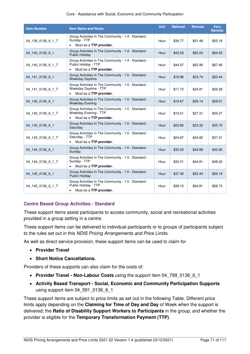| <b>Item Number</b> | <b>Item Name and Notes</b>                                                                                            | <b>Unit</b> | <b>National</b> | <b>Remote</b> | <b>Verv</b><br><b>Remote</b> |
|--------------------|-----------------------------------------------------------------------------------------------------------------------|-------------|-----------------|---------------|------------------------------|
| 04 139 0136 6 1 T  | Group Activities In The Community - 1:4 - Standard -<br>Sunday - TTP<br>Must be a TTP provider.<br>$\bullet$          | Hour        | \$36.77         | \$51.48       | \$55.16                      |
| 04_140_0136_6_1    | Group Activities In The Community - 1:4 - Standard -<br><b>Public Holiday</b>                                         | Hour        | \$43.03         | \$60.24       | \$64.55                      |
| 04 140 0136 6 1 T  | Group Activities In The Community - 1:4 - Standard -<br>Public Holiday - TTP<br>Must be a TTP provider.<br>$\bullet$  | Hour        | \$44.97         | \$62.96       | \$67.46                      |
| 04_141_0136_6_1    | Group Activities In The Community - 1:5 - Standard -<br><b>Weekday Daytime</b>                                        | Hour        | \$16.96         | \$23.74       | \$25.44                      |
| 04 141 0136 6 1 T  | Group Activities In The Community - 1:5 - Standard -<br>Weekday Daytime - TTP<br>Must be a TTP provider.              | Hour        | \$17.72         | \$24.81       | \$26.58                      |
| 04 142 0136 6 1    | Group Activities In The Community - 1:5 - Standard -<br><b>Weekday Evening</b>                                        | Hour        | \$18.67         | \$26.14       | \$28.01                      |
| 04 142 0136 6 1 T  | Group Activities In The Community - 1:5 - Standard -<br>Weekday Evening - TTP<br>Must be a TTP provider.<br>$\bullet$ | Hour        | \$19.51         | \$27.31       | \$29.27                      |
| 04 143 0136 6 1    | Group Activities In The Community - 1:5 - Standard -<br>Saturday                                                      | Hour        | \$23.80         | \$33.32       | \$35.70                      |
| 04 143 0136 6 1 T  | Group Activities In The Community - 1:5 - Standard -<br>Saturday - TTP<br>Must be a TTP provider.                     | Hour        | \$24.87         | \$34.82       | \$37.31                      |
| 04 144 0136 6 1    | Group Activities In The Community - 1:5 - Standard -<br>Sunday                                                        | Hour        | \$30.63         | \$42.88       | \$45.95                      |
| 04 144 0136 6 1 T  | Group Activities In The Community - 1:5 - Standard -<br>Sunday - TTP<br>Must be a TTP provider.<br>$\bullet$          | Hour        | \$32.01         | \$44.81       | \$48.02                      |
| 04 145 0136 6 1    | Group Activities In The Community - 1:5 - Standard -<br><b>Public Holiday</b>                                         | Hour        | \$37.46         | \$52.44       | \$56.19                      |
| 04 145 0136 6 1 T  | Group Activities In The Community - 1:5 - Standard -<br>Public Holiday - TTP<br>Must be a TTP provider.               | Hour        | \$39.15         | \$54.81       | \$58.73                      |

### **Centre Based Group Activities - Standard**

These support items assist participants to access community, social and recreational activities provided in a group setting in a centre.

These support items can be delivered to individual participants or to groups of participants subject to the rules set out in this NDIS Pricing Arrangements and Price Limits.

As well as direct service provision, these support items can be used to claim for

- **[Provider Travel](#page-17-0)**
- **[Short Notice Cancellations.](#page-21-0)**

Providers of these supports can also claim for the costs of:

- [Provider Travel Non-Labour Costs](#page-18-0) using the support item 04 799 0136 6 1
- **[Activity Based Transport Social, Economic and Community Participation Supports](#page-22-1)** using support item 04 591 0136 6 1

These support items are subject to price limits as set out in the following Table. Different price limits apply depending on the **[Claiming for Time of Day and Day](#page-14-0)** of Week when the support is delivered; the **Ratio of Disability Support Workers to Participants** in the group; and whether the provider is eligible for the **[Temporary Transformation Payment \(TTP\)](#page-34-0)**.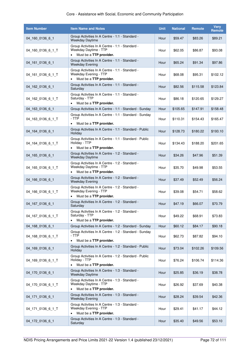### Core - Assistance with Social, Economic and Community Participation

| <b>Item Number</b> | <b>Item Name and Notes</b>                                                                                       | <b>Unit</b> | <b>National</b> | <b>Remote</b> | <b>Very</b><br>Remote |
|--------------------|------------------------------------------------------------------------------------------------------------------|-------------|-----------------|---------------|-----------------------|
| 04_160_0136_6_1    | Group Activities In A Centre - 1:1 - Standard -<br><b>Weekday Daytime</b>                                        | Hour        | \$59.47         | \$83.26       | \$89.21               |
| 04_160_0136_6_1_T  | Group Activities In A Centre - 1:1 - Standard -<br>Weekday Daytime - TTP<br>Must be a TTP provider.<br>$\bullet$ | Hour        | \$62.05         | \$86.87       | \$93.08               |
| 04_161_0136_6_1    | Group Activities In A Centre - 1:1 - Standard -<br><b>Weekday Evening</b>                                        | Hour        | \$65.24         | \$91.34       | \$97.86               |
| 04_161_0136_6_1_T  | Group Activities In A Centre - 1:1 - Standard -<br>Weekday Evening - TTP<br>Must be a TTP provider.<br>$\bullet$ | Hour        | \$68.08         | \$95.31       | \$102.12              |
| 04 162 0136 6 1    | Group Activities In A Centre - 1:1 - Standard -<br>Saturday                                                      | Hour        | \$82.56         | \$115.58      | \$123.84              |
| 04_162_0136_6_1_T  | Group Activities In A Centre - 1:1 - Standard -<br>Saturday - TTP<br>Must be a TTP provider.                     | Hour        | \$86.18         | \$120.65      | \$129.27              |
| 04_163_0136_6_1    | Group Activities In A Centre - 1:1 - Standard - Sunday                                                           | Hour        | \$105.65        | \$147.91      | \$158.48              |
| 04_163_0136_6_1_T  | Group Activities In A Centre - 1:1 - Standard - Sunday<br>- TTP<br>Must be a TTP provider.<br>$\bullet$          | Hour        | \$110.31        | \$154.43      | \$165.47              |
| 04 164 0136 6 1    | Group Activities In A Centre - 1:1 - Standard - Public<br>Holiday                                                | Hour        | \$128.73        | \$180.22      | \$193.10              |
| 04_164_0136_6_1_T  | Group Activities In A Centre - 1:1 - Standard - Public<br>Holiday - TTP<br>Must be a TTP provider.               | Hour        | \$134.43        | \$188.20      | \$201.65              |
| 04_165_0136_6_1    | Group Activities In A Centre - 1:2 - Standard -<br>Weekday Daytime                                               | Hour        | \$34.26         | \$47.96       | \$51.39               |
| 04_165_0136_6_1_T  | Group Activities In A Centre - 1:2 - Standard -<br>Weekday Daytime - TTP<br>Must be a TTP provider.              | Hour        | \$35.70         | \$49.98       | \$53.55               |
| 04_166_0136_6_1    | Group Activities In A Centre - 1:2 - Standard -<br><b>Weekday Evening</b>                                        | Hour        | \$37.49         | \$52.49       | \$56.24               |
| 04 166 0136 6 1 T  | Group Activities In A Centre - 1:2 - Standard -<br>Weekday Evening - TTP<br>Must be a TTP provider.              | Hour        | \$39.08         | \$54.71       | \$58.62               |
| 04_167_0136_6_1    | Group Activities In A Centre - 1:2 - Standard -<br>Saturday                                                      | Hour        | \$47.19         | \$66.07       | \$70.79               |
| 04_167_0136_6_1_T  | Group Activities In A Centre - 1:2 - Standard -<br>Saturday - TTP<br>Must be a TTP provider.                     | Hour        | \$49.22         | \$68.91       | \$73.83               |
| 04_168_0136_6_1    | Group Activities In A Centre - 1:2 - Standard - Sunday                                                           | Hour        | \$60.12         | \$84.17       | \$90.18               |
| 04 168 0136 6 1 T  | Group Activities In A Centre - 1:2 - Standard - Sunday<br>- TTP<br>Must be a TTP provider.<br>$\bullet$          | Hour        | \$62.73         | \$87.82       | \$94.10               |
| 04 169 0136 6 1    | Group Activities In A Centre - 1:2 - Standard - Public<br>Holiday                                                | Hour        | \$73.04         | \$102.26      | \$109.56              |
| 04_169_0136_6_1_T  | Group Activities In A Centre - 1:2 - Standard - Public<br>Holiday - TTP<br>Must be a TTP provider.               | Hour        | \$76.24         | \$106.74      | \$114.36              |
| 04 170 0136 6 1    | Group Activities In A Centre - 1:3 - Standard -<br>Weekday Daytime                                               | Hour        | \$25.85         | \$36.19       | \$38.78               |
| 04_170_0136_6_1_T  | Group Activities In A Centre - 1:3 - Standard -<br>Weekday Daytime - TTP<br>Must be a TTP provider.<br>$\bullet$ | Hour        | \$26.92         | \$37.69       | \$40.38               |
| 04 171 0136 6 1    | Group Activities In A Centre - 1:3 - Standard -<br><b>Weekday Evening</b>                                        | Hour        | \$28.24         | \$39.54       | \$42.36               |
| 04_171_0136_6_1_T  | Group Activities In A Centre - 1:3 - Standard -<br>Weekday Evening - TTP<br>Must be a TTP provider.              | Hour        | \$29.41         | \$41.17       | \$44.12               |
| 04_172_0136_6_1    | Group Activities In A Centre - 1:3 - Standard -<br>Saturday                                                      | Hour        | \$35.40         | \$49.56       | \$53.10               |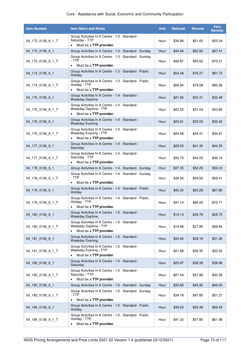| <b>Item Number</b> | <b>Item Name and Notes</b>                                                                                       | <b>Unit</b> | <b>National</b> | <b>Remote</b> | <b>Very</b><br><b>Remote</b> |
|--------------------|------------------------------------------------------------------------------------------------------------------|-------------|-----------------|---------------|------------------------------|
| 04_172_0136_6_1_T  | Group Activities In A Centre - 1:3 - Standard -<br>Saturday - TTP<br>Must be a TTP provider.                     | Hour        | \$36.89         | \$51.65       | \$55.34                      |
| 04_173_0136_6_1    | Group Activities In A Centre - 1:3 - Standard - Sunday                                                           | Hour        | \$44.94         | \$62.92       | \$67.41                      |
| 04_173_0136_6_1_T  | Group Activities In A Centre - 1:3 - Standard - Sunday<br>- TTP<br>Must be a TTP provider.                       | Hour        | \$46.87         | \$65.62       | \$70.31                      |
| 04 174 0136 6 1    | Group Activities In A Centre - 1:3 - Standard - Public<br>Holiday                                                | Hour        | \$54.48         | \$76.27       | \$81.72                      |
| 04 174 0136 6 1 T  | Group Activities In A Centre - 1:3 - Standard - Public<br>Holiday - TTP<br>Must be a TTP provider.<br>$\bullet$  | Hour        | \$56.84         | \$79.58       | \$85.26                      |
| 04_175_0136_6_1    | Group Activities In A Centre - 1:4 - Standard -<br>Weekday Daytime                                               | Hour        | \$21.65         | \$30.31       | \$32.48                      |
| 04 175 0136 6 1 T  | Group Activities In A Centre - 1:4 - Standard -<br>Weekday Daytime - TTP<br>Must be a TTP provider.<br>$\bullet$ | Hour        | \$22.53         | \$31.54       | \$33.80                      |
| 04 176 0136 6 1    | Group Activities In A Centre - 1:4 - Standard -<br><b>Weekday Evening</b>                                        | Hour        | \$23.61         | \$33.05       | \$35.42                      |
| 04 176 0136 6 1 T  | Group Activities In A Centre - 1:4 - Standard -<br>Weekday Evening - TTP<br>Must be a TTP provider.              | Hour        | \$24.58         | \$34.41       | \$36.87                      |
| 04 177 0136 6 1    | Group Activities In A Centre - 1:4 - Standard -<br>Saturday                                                      | Hour        | \$29.50         | \$41.30       | \$44.25                      |
| 04 177 0136 6 1 T  | Group Activities In A Centre - 1:4 - Standard -<br>Saturday - TTP<br>Must be a TTP provider.<br>$\bullet$        | Hour        | \$30.73         | \$43.02       | \$46.10                      |
| 04_178_0136_6_1    | Group Activities In A Centre - 1:4 - Standard - Sunday                                                           | Hour        | \$37.35         | \$52.29       | \$56.03                      |
| 04_178_0136_6_1_T  | Group Activities In A Centre - 1:4 - Standard - Sunday<br>- TTP<br>Must be a TTP provider.<br>$\bullet$          | Hour        | \$38.94         | \$54.52       | \$58.41                      |
| 04_179_0136_6_1    | Group Activities In A Centre - 1:4 - Standard - Public<br>Holiday                                                | Hour        | \$45.20         | \$63.28       | \$67.80                      |
| 04 179 0136 6 1 T  | Group Activities In A Centre - 1:4 - Standard - Public<br>Holiday - TTP<br>Must be a TTP provider.               | Hour        | \$47.14         | \$66.00       | \$70.71                      |
| 04_180_0136_6_1    | Group Activities In A Centre - 1:5 - Standard -<br><b>Weekday Daytime</b>                                        | Hour        | \$19.13         | \$26.78       | \$28.70                      |
| 04 180 0136 6 1 T  | Group Activities In A Centre - 1:5 - Standard -<br>Weekday Daytime - TTP<br>Must be a TTP provider.              | Hour        | \$19.89         | \$27.85       | \$29.84                      |
| 04_181_0136_6_1    | Group Activities In A Centre - 1:5 - Standard -<br><b>Weekday Evening</b>                                        | Hour        | \$20.84         | \$29.18       | \$31.26                      |
| 04 181 0136 6 1 T  | Group Activities In A Centre - 1:5 - Standard -<br>Weekday Evening - TTP<br>Must be a TTP provider.              | Hour        | \$21.68         | \$30.35       | \$32.52                      |
| 04 182 0136 6 1    | Group Activities In A Centre - 1:5 - Standard -<br>Saturday                                                      | Hour        | \$25.97         | \$36.36       | \$38.96                      |
| 04_182_0136_6_1_T  | Group Activities In A Centre - 1:5 - Standard -<br>Saturday - TTP<br>Must be a TTP provider.                     | Hour        | \$27.04         | \$37.86       | \$40.56                      |
| 04 183 0136 6 1    | Group Activities In A Centre - 1:5 - Standard - Sunday                                                           | Hour        | \$32.80         | \$45.92       | \$49.20                      |
| 04 183 0136 6 1 T  | Group Activities In A Centre - 1:5 - Standard - Sunday<br>- TTP<br>Must be a TTP provider.<br>$\bullet$          | Hour        | \$34.18         | \$47.85       | \$51.27                      |
| 04 184 0136 6 1    | Group Activities In A Centre - 1:5 - Standard - Public<br>Holiday                                                | Hour        | \$39.63         | \$55.48       | \$59.45                      |
| 04_184_0136_6_1_T  | Group Activities In A Centre - 1:5 - Standard - Public<br>Holiday - TTP<br>Must be a TTP provider.<br>$\bullet$  | Hour        | \$41.32         | \$57.85       | \$61.98                      |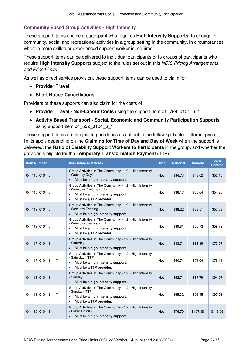#### **Community Based Group Activities - High Intensity**

These support items enable a participant who requires **[High Intensity Supports,](#page-34-0)** to engage in community, social and recreational activities in a group setting in the community, in circumstances where a more skilled or experienced support worker is required.

These support items can be delivered to individual participants or to groups of participants who require **[High Intensity Supports](#page-34-0)** subject to the rules set out in this NDIS Pricing Arrangements and Price Limits.

As well as direct service provision, these support items can be used to claim for

- **[Provider Travel](#page-17-0)**
- **[Short Notice Cancellations.](#page-21-0)**

Providers of these supports can also claim for the costs of:

- **[Provider Travel Non-Labour Costs](#page-18-0)** using the support item 01\_799\_0104\_6\_1
- **[Activity Based Transport Social, Economic and Community Participation Supports](#page-22-0)** using support item 04 592 0104 6 1

These support items are subject to price limits as set out in the following Table. Different price limits apply depending on the **[Claiming for Time of Day and Day](#page-14-0) of Week** when the support is delivered; the **Ratio of Disability Support Workers to Participants** in the group; and whether the provider is eligible for the **[Temporary Transformation Payment \(TTP\)](#page-34-1)**.

| <b>Item Number</b> | <b>Item Name and Notes</b>                                                                                                                                           | <b>Unit</b> | <b>National</b> | <b>Remote</b> | <b>Verv</b><br><b>Remote</b> |
|--------------------|----------------------------------------------------------------------------------------------------------------------------------------------------------------------|-------------|-----------------|---------------|------------------------------|
| 04 116 0104 6 1    | Group Activities In The Community - 1:2 - High Intensity<br>- Weekday Daytime<br>Must be a high intensity support.                                                   | Hour        | \$34.73         | \$48.62       | \$52.10                      |
| 04 116 0104 6 1 T  | Group Activities In The Community - 1:2 - High Intensity<br>- Weekday Daytime - TTP<br>Must be a high intensity support.<br>$\bullet$<br>Must be a TTP provider.     | Hour        | \$36.17         | \$50.64       | \$54.26                      |
| 04 119 0104 6 1    | Group Activities In The Community - 1:2 - High Intensity<br>- Weekday Evening<br>Must be a high intensity support.                                                   | Hour        | \$38.22         | \$53.51       | \$57.33                      |
| 04 119 0104 6 1 T  | Group Activities In The Community - 1:2 - High Intensity<br>- Weekday Evening - TTP<br>Must be a high intensity support.<br>$\bullet$<br>Must be a TTP provider.     | Hour        | \$39.81         | \$55.73       | \$59.72                      |
| 04 117 0104 6 1    | Group Activities In The Community - 1:2 - High Intensity<br>- Saturday<br>Must be a high intensity support.<br>$\bullet$                                             | Hour        | \$48.71         | \$68.19       | \$73.07                      |
| 04 117 0104 6 1 T  | Group Activities In The Community - 1:2 - High Intensity<br>- Saturday - TTP<br>Must be a high intensity support.<br>$\bullet$<br>Must be a TTP provider.            | Hour        | \$50.74         | \$71.04       | \$76.11                      |
| 04_118_0104_6_1    | Group Activities In The Community - 1:2 - High Intensity<br>- Sunday<br>Must be a high intensity support.<br>$\bullet$                                               | Hour        | \$62.71         | \$87.79       | \$94.07                      |
| 04_118_0104_6_1_T  | Group Activities In The Community - 1:2 - High Intensity<br>- Sunday - TTP<br>Must be a high intensity support.<br>$\bullet$<br>Must be a TTP provider.<br>$\bullet$ | Hour        | \$65.32         | \$91.45       | \$97.98                      |
| 04 130 0104 6 1    | Group Activities In The Community - 1:2 - High Intensity<br>- Public Holiday<br>Must be a high intensity support.<br>$\bullet$                                       | Hour        | \$76.70         | \$107.38      | \$115.05                     |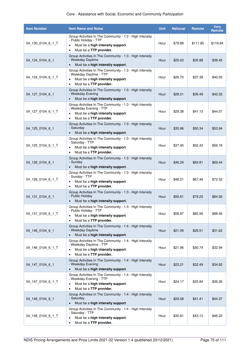| <b>Item Number</b> | <b>Item Name and Notes</b>                                                                                                                                                    | <b>Unit</b> | <b>National</b> | <b>Remote</b> | <b>Very</b><br><b>Remote</b> |
|--------------------|-------------------------------------------------------------------------------------------------------------------------------------------------------------------------------|-------------|-----------------|---------------|------------------------------|
| 04 130 0104 6 1 T  | Group Activities In The Community - 1:2 - High Intensity<br>- Public Holiday - TTP<br>Must be a high intensity support.<br>Must be a TTP provider.<br>$\bullet$               | Hour        | \$79.89         | \$111.85      | \$119.84                     |
| 04 124 0104 6 1    | Group Activities In The Community - 1:3 - High Intensity<br>- Weekday Daytime<br>Must be a high intensity support.<br>$\bullet$                                               | Hour        | \$25.63         | \$35.88       | \$38.45                      |
| 04_124_0104_6_1_T  | Group Activities In The Community - 1:3 - High Intensity<br>- Weekday Daytime - TTP<br>Must be a high intensity support.<br>$\bullet$<br>Must be a TTP provider.<br>$\bullet$ | Hour        | \$26.70         | \$37.38       | \$40.05                      |
| 04 127 0104 6 1    | Group Activities In The Community - 1:3 - High Intensity<br>- Weekday Evening<br>Must be a high intensity support.                                                            | Hour        | \$28.21         | \$39.49       | \$42.32                      |
| 04_127_0104_6_1_T  | Group Activities In The Community - 1:3 - High Intensity<br>- Weekday Evening - TTP<br>Must be a high intensity support.<br>$\bullet$<br>Must be a TTP provider.<br>$\bullet$ | Hour        | \$29.38         | \$41.13       | \$44.07                      |
| 04 125 0104 6 1    | Group Activities In The Community - 1:3 - High Intensity<br>- Saturday<br>Must be a high intensity support.                                                                   | Hour        | \$35.96         | \$50.34       | \$53.94                      |
| 04_125_0104_6_1_T  | Group Activities In The Community - 1:3 - High Intensity<br>- Saturday - TTP<br>Must be a high intensity support.<br>٠<br>Must be a TTP provider.<br>$\bullet$                | Hour        | \$37.45         | \$52.43       | \$56.18                      |
| 04 126 0104 6 1    | Group Activities In The Community - 1:3 - High Intensity<br>- Sunday<br>Must be a high intensity support.                                                                     | Hour        | \$46.29         | \$64.81       | \$69.44                      |
| 04_126_0104_6_1_T  | Group Activities In The Community - 1:3 - High Intensity<br>- Sunday - TTP<br>Must be a high intensity support.<br>$\bullet$<br>Must be a TTP provider.                       | Hour        | \$48.21         | \$67.49       | \$72.32                      |
| 04 131 0104 6 1    | Group Activities In The Community - 1:3 - High Intensity<br>- Public Holiday<br>Must be a high intensity support.                                                             | Hour        | \$56.61         | \$79.25       | \$84.92                      |
| 04_131_0104_6_1_T  | Group Activities In The Community - 1:3 - High Intensity<br>- Public Holidav - TTP<br>Must be a high intensity support.<br>$\bullet$<br>Must be a TTP provider.<br>$\bullet$  | Hour        | \$58.97         | \$82.56       | \$88.46                      |
| 04_146_0104_6_1    | Group Activities In The Community - 1:4 - High Intensity<br>- Weekday Daytime<br>Must be a high intensity support.                                                            | Hour        | \$21.08         | \$29.51       | \$31.62                      |
| 04_146_0104_6_1_T  | Group Activities In The Community - 1:4 - High Intensity<br>- Weekday Daytime - TTP<br>Must be a high intensity support.<br>$\bullet$<br>Must be a TTP provider.<br>$\bullet$ | Hour        | \$21.96         | \$30.74       | \$32.94                      |
| 04_147_0104_6_1    | Group Activities In The Community - 1:4 - High Intensity<br>- Weekday Evening<br>Must be a high intensity support.                                                            | Hour        | \$23.21         | \$32.49       | \$34.82                      |
| 04_147_0104_6_1_T  | Group Activities In The Community - 1:4 - High Intensity<br>- Weekday Evening - TTP<br>Must be a high intensity support.<br>$\bullet$<br>Must be a TTP provider.<br>$\bullet$ | Hour        | \$24.17         | \$33.84       | \$36.26                      |
| 04_148_0104_6_1    | Group Activities In The Community - 1:4 - High Intensity<br>- Saturday<br>Must be a high intensity support.                                                                   | Hour        | \$29.58         | \$41.41       | \$44.37                      |
| 04_148_0104_6_1_T  | Group Activities In The Community - 1:4 - High Intensity<br>- Saturday - TTP<br>Must be a high intensity support.<br>$\bullet$<br>Must be a TTP provider.<br>$\bullet$        | Hour        | \$30.81         | \$43.13       | \$46.22                      |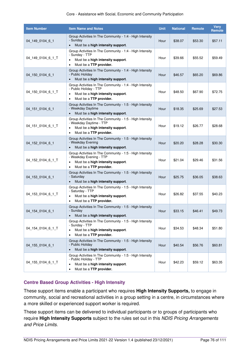| <b>Item Number</b> | <b>Item Name and Notes</b>                                                                                                                                            | <b>Unit</b> | <b>National</b> | <b>Remote</b> | <b>Very</b><br>Remote |
|--------------------|-----------------------------------------------------------------------------------------------------------------------------------------------------------------------|-------------|-----------------|---------------|-----------------------|
| 04_149_0104_6_1    | Group Activities In The Community - 1:4 - High Intensity<br>- Sunday<br>Must be a high intensity support.                                                             | Hour        | \$38.07         | \$53.30       | \$57.11               |
| 04 149 0104 6 1 T  | Group Activities In The Community - 1:4 - High Intensity<br>- Sunday - TTP<br>Must be a high intensity support.<br>٠<br>Must be a TTP provider.<br>$\bullet$          | Hour        | \$39.66         | \$55.52       | \$59.49               |
| 04_150_0104_6_1    | Group Activities In The Community - 1:4 - High Intensity<br>- Public Holiday<br>Must be a high intensity support.                                                     | Hour        | \$46.57         | \$65.20       | \$69.86               |
| 04_150_0104_6_1_T  | Group Activities In The Community - 1:4 - High Intensity<br>- Public Holiday - TTP<br>Must be a high intensity support.<br>٠<br>Must be a TTP provider.               | Hour        | \$48.50         | \$67.90       | \$72.75               |
| 04 151 0104 6 1    | Group Activities In The Community - 1:5 - High Intensity<br>- Weekday Daytime<br>Must be a high intensity support.                                                    | Hour        | \$18.35         | \$25.69       | \$27.53               |
| 04_151_0104_6_1_T  | Group Activities In The Community - 1:5 - High Intensity<br>- Weekday Daytime - TTP<br>Must be a high intensity support.<br>٠<br>Must be a TTP provider.<br>$\bullet$ | Hour        | \$19.12         | \$26.77       | \$28.68               |
| 04 152 0104 6 1    | Group Activities In The Community - 1:5 - High Intensity<br>- Weekday Evening<br>Must be a high intensity support.                                                    | Hour        | \$20.20         | \$28.28       | \$30.30               |
| 04_152_0104_6_1_T  | Group Activities In The Community - 1:5 - High Intensity<br>- Weekday Evening - TTP<br>Must be a high intensity support.<br>Must be a TTP provider.                   | Hour        | \$21.04         | \$29.46       | \$31.56               |
| 04 153 0104 6 1    | Group Activities In The Community - 1:5 - High Intensity<br>- Saturday<br>Must be a high intensity support.                                                           | Hour        | \$25.75         | \$36.05       | \$38.63               |
| 04_153_0104_6_1_T  | Group Activities In The Community - 1:5 - High Intensity<br>- Saturday - TTP<br>Must be a high intensity support.<br>٠<br>Must be a TTP provider.<br>٠                | Hour        | \$26.82         | \$37.55       | \$40.23               |
| 04_154_0104_6_1    | Group Activities In The Community - 1:5 - High Intensity<br>- Sundav<br>Must be a high intensity support.                                                             | Hour        | \$33.15         | \$46.41       | \$49.73               |
| 04_154_0104_6_1_T  | Group Activities In The Community - 1:5 - High Intensity<br>- Sunday - TTP<br>Must be a high intensity support.<br>Must be a TTP provider.<br>٠                       | Hour        | \$34.53         | \$48.34       | \$51.80               |
| 04_155_0104_6_1    | Group Activities In The Community - 1:5 - High Intensity<br>- Public Holiday<br>Must be a high intensity support.                                                     | Hour        | \$40.54         | \$56.76       | \$60.81               |
| 04 155 0104 6 1 T  | Group Activities In The Community - 1:5 - High Intensity<br>- Public Holiday - TTP<br>Must be a high intensity support.<br>٠<br>Must be a TTP provider.<br>$\bullet$  | Hour        | \$42.23         | \$59.12       | \$63.35               |

#### **Centre Based Group Activities - High Intensity**

These support items enable a participant who requires **[High Intensity Supports,](#page-34-0)** to engage in community, social and recreational activities in a group setting in a centre, in circumstances where a more skilled or experienced support worker is required.

These support items can be delivered to individual participants or to groups of participants who require **[High Intensity Supports](#page-34-0)** subject to the rules set out in this NDIS Pricing Arrangements and Price Limits.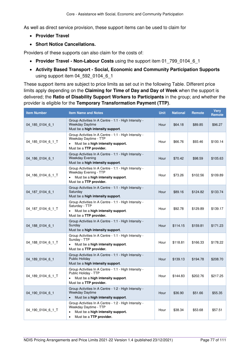As well as direct service provision, these support items can be used to claim for

- **[Provider Travel](#page-17-0)**
- **[Short Notice Cancellations.](#page-21-0)**

Providers of these supports can also claim for the costs of:

- [Provider Travel Non-Labour Costs](#page-18-0) using the support item 01 799 0104 6 1
- **[Activity Based Transport Social, Economic and Community Participation Supports](#page-22-0)** using support item 04\_592\_0104\_6\_1

These support items are subject to price limits as set out in the following Table. Different price limits apply depending on the **[Claiming for Time of Day and Day](#page-14-0) of Week** when the support is delivered; the **Ratio of Disability Support Workers to Participants** in the group; and whether the provider is eligible for the **[Temporary Transformation Payment \(TTP\)](#page-34-1)**.

| <b>Item Number</b> | <b>Item Name and Notes</b>                                                                                                                                               | <b>Unit</b> | <b>National</b> | <b>Remote</b> | <b>Very</b><br><b>Remote</b> |
|--------------------|--------------------------------------------------------------------------------------------------------------------------------------------------------------------------|-------------|-----------------|---------------|------------------------------|
| 04 185 0104 6 1    | Group Activities In A Centre - 1:1 - High Intensity -<br><b>Weekday Daytime</b><br>Must be a high intensity support.                                                     | Hour        | \$64.18         | \$89.85       | \$96.27                      |
| 04 185 0104 6 1 T  | Group Activities In A Centre - 1:1 - High Intensity -<br>Weekday Daytime - TTP<br>Must be a high intensity support.<br>$\bullet$<br>Must be a TTP provider.              | Hour        | \$66.76         | \$93.46       | \$100.14                     |
| 04 186 0104 6 1    | Group Activities In A Centre - 1:1 - High Intensity -<br><b>Weekday Evening</b><br>Must be a high intensity support.                                                     | Hour        | \$70.42         | \$98.59       | \$105.63                     |
| 04 186 0104 6 1 T  | Group Activities In A Centre - 1:1 - High Intensity -<br>Weekday Evening - TTP<br>Must be a high intensity support.<br>Must be a TTP provider.                           | Hour        | \$73.26         | \$102.56      | \$109.89                     |
| 04 187 0104 6 1    | Group Activities In A Centre - 1:1 - High Intensity -<br>Saturday<br>Must be a high intensity support.                                                                   | Hour        | \$89.16         | \$124.82      | \$133.74                     |
| 04 187 0104 6 1 T  | Group Activities In A Centre - 1:1 - High Intensity -<br>Saturday - TTP<br>Must be a high intensity support.<br>Must be a TTP provider.                                  | Hour        | \$92.78         | \$129.89      | \$139.17                     |
| 04_188_0104_6_1    | Group Activities In A Centre - 1:1 - High Intensity -<br>Sunday<br>Must be a high intensity support.                                                                     | Hour        | \$114.15        | \$159.81      | \$171.23                     |
| 04 188 0104 6 1 T  | Group Activities In A Centre - 1:1 - High Intensity -<br>Sunday - TTP<br>Must be a high intensity support.<br>$\bullet$<br>Must be a TTP provider.                       | Hour        | \$118.81        | \$166.33      | \$178.22                     |
| 04 189 0104 6 1    | Group Activities In A Centre - 1:1 - High Intensity -<br><b>Public Holiday</b><br>Must be a high intensity support.                                                      | Hour        | \$139.13        | \$194.78      | \$208.70                     |
| 04 189 0104 6 1 T  | Group Activities In A Centre - 1:1 - High Intensity -<br>Public Holiday - TTP<br>Must be a high intensity support.<br>$\bullet$<br>Must be a TTP provider.               | Hour        | \$144.83        | \$202.76      | \$217.25                     |
| 04 190 0104 6 1    | Group Activities In A Centre - 1:2 - High Intensity -<br><b>Weekday Daytime</b><br>Must be a high intensity support.                                                     | Hour        | \$36.90         | \$51.66       | \$55.35                      |
| 04_190_0104_6_1_T  | Group Activities In A Centre - 1:2 - High Intensity -<br>Weekday Daytime - TTP<br>Must be a high intensity support.<br>$\bullet$<br>Must be a TTP provider.<br>$\bullet$ | Hour        | \$38.34         | \$53.68       | \$57.51                      |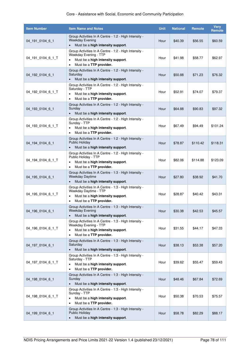| <b>Item Number</b> | <b>Item Name and Notes</b>                                                                                                                                       | <b>Unit</b> | <b>National</b> | <b>Remote</b> | <b>Very</b><br>Remote |
|--------------------|------------------------------------------------------------------------------------------------------------------------------------------------------------------|-------------|-----------------|---------------|-----------------------|
| 04_191_0104_6_1    | Group Activities In A Centre - 1:2 - High Intensity -<br><b>Weekday Evening</b><br>Must be a high intensity support.                                             | Hour        | \$40.39         | \$56.55       | \$60.59               |
| 04 191 0104 6 1 T  | Group Activities In A Centre - 1:2 - High Intensity -<br>Weekday Evening - TTP<br>Must be a high intensity support.<br>٠<br>Must be a TTP provider.<br>$\bullet$ | Hour        | \$41.98         | \$58.77       | \$62.97               |
| 04_192_0104_6_1    | Group Activities In A Centre - 1:2 - High Intensity -<br>Saturday<br>Must be a high intensity support.<br>$\bullet$                                              | Hour        | \$50.88         | \$71.23       | \$76.32               |
| 04_192_0104_6_1_T  | Group Activities In A Centre - 1:2 - High Intensity -<br>Saturday - TTP<br>Must be a high intensity support.<br>٠<br>Must be a TTP provider.<br>٠                | Hour        | \$52.91         | \$74.07       | \$79.37               |
| 04 193 0104 6 1    | Group Activities In A Centre - 1:2 - High Intensity -<br>Sunday<br>Must be a high intensity support.<br>$\bullet$                                                | Hour        | \$64.88         | \$90.83       | \$97.32               |
| 04 193 0104 6 1 T  | Group Activities In A Centre - 1:2 - High Intensity -<br>Sunday - TTP<br>Must be a high intensity support.<br>٠<br>Must be a TTP provider.<br>$\bullet$          | Hour        | \$67.49         | \$94.49       | \$101.24              |
| 04 194 0104 6 1    | Group Activities In A Centre - 1:2 - High Intensity -<br><b>Public Holiday</b><br>Must be a high intensity support.<br>$\bullet$                                 | Hour        | \$78.87         | \$110.42      | \$118.31              |
| 04_194_0104_6_1_T  | Group Activities In A Centre - 1:2 - High Intensity -<br>Public Holiday - TTP<br>Must be a high intensity support.<br>Must be a TTP provider.                    | Hour        | \$82.06         | \$114.88      | \$123.09              |
| 04 195 0104 6 1    | Group Activities In A Centre - 1:3 - High Intensity -<br><b>Weekday Daytime</b><br>Must be a high intensity support.                                             | Hour        | \$27.80         | \$38.92       | \$41.70               |
| 04_195_0104_6_1_T  | Group Activities In A Centre - 1:3 - High Intensity -<br>Weekday Daytime - TTP<br>Must be a high intensity support.<br>٠<br>Must be a TTP provider.<br>$\bullet$ | Hour        | \$28.87         | \$40.42       | \$43.31               |
| 04_196_0104_6_1    | Group Activities In A Centre - 1:3 - High Intensity -<br>Weekday Evening<br>Must be a high intensity support.                                                    | Hour        | \$30.38         | \$42.53       | \$45.57               |
| 04_196_0104_6_1_T  | Group Activities In A Centre - 1:3 - High Intensity -<br>Weekday Evening - TTP<br>Must be a high intensity support.<br>Must be a TTP provider.<br>٠              | Hour        | \$31.55         | \$44.17       | \$47.33               |
| 04_197_0104_6_1    | Group Activities In A Centre - 1:3 - High Intensity -<br>Saturday<br>Must be a high intensity support.                                                           | Hour        | \$38.13         | \$53.38       | \$57.20               |
| 04 197 0104 6 1 T  | Group Activities In A Centre - 1:3 - High Intensity -<br>Saturday - TTP<br>Must be a high intensity support.<br>٠<br>Must be a TTP provider.<br>٠                | Hour        | \$39.62         | \$55.47       | \$59.43               |
| 04_198_0104_6_1    | Group Activities In A Centre - 1:3 - High Intensity -<br>Sunday<br>Must be a high intensity support.<br>$\bullet$                                                | Hour        | \$48.46         | \$67.84       | \$72.69               |
| 04_198_0104_6_1_T  | Group Activities In A Centre - 1:3 - High Intensity -<br>Sunday - TTP<br>Must be a high intensity support.<br>٠<br>Must be a TTP provider.<br>٠                  | Hour        | \$50.38         | \$70.53       | \$75.57               |
| 04_199_0104_6_1    | Group Activities In A Centre - 1:3 - High Intensity -<br><b>Public Holiday</b><br>Must be a high intensity support.                                              | Hour        | \$58.78         | \$82.29       | \$88.17               |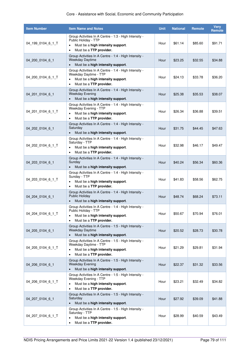| <b>Item Number</b> | <b>Item Name and Notes</b>                                                                                                                                        | <b>Unit</b> | <b>National</b> | <b>Remote</b> | <b>Very</b><br>Remote |
|--------------------|-------------------------------------------------------------------------------------------------------------------------------------------------------------------|-------------|-----------------|---------------|-----------------------|
| 04 199 0104 6 1 T  | Group Activities In A Centre - 1:3 - High Intensity -<br>Public Holiday - TTP<br>Must be a high intensity support.<br>Must be a TTP provider.<br>$\bullet$        | Hour        | \$61.14         | \$85.60       | \$91.71               |
| 04 200 0104 6 1    | Group Activities In A Centre - 1:4 - High Intensity -<br>Weekday Daytime<br>Must be a high intensity support.<br>$\bullet$                                        | Hour        | \$23.25         | \$32.55       | \$34.88               |
| 04 200 0104 6 1 T  | Group Activities In A Centre - 1:4 - High Intensity -<br>Weekday Daytime - TTP<br>Must be a high intensity support.<br>٠<br>Must be a TTP provider.<br>$\bullet$  | Hour        | \$24.13         | \$33.78       | \$36.20               |
| 04 201 0104 6 1    | Group Activities In A Centre - 1:4 - High Intensity -<br><b>Weekday Evening</b><br>Must be a high intensity support.<br>$\bullet$                                 | Hour        | \$25.38         | \$35.53       | \$38.07               |
| 04 201 0104 6 1 T  | Group Activities In A Centre - 1:4 - High Intensity -<br>Weekday Evening - TTP<br>Must be a high intensity support.<br>٠<br>Must be a TTP provider.<br>٠          | Hour        | \$26.34         | \$36.88       | \$39.51               |
| 04 202 0104 6 1    | Group Activities In A Centre - 1:4 - High Intensity -<br>Saturday<br>Must be a high intensity support.<br>$\bullet$                                               | Hour        | \$31.75         | \$44.45       | \$47.63               |
| 04_202_0104_6_1_T  | Group Activities In A Centre - 1:4 - High Intensity -<br>Saturday - TTP<br>Must be a high intensity support.<br>٠<br>Must be a TTP provider.<br>$\bullet$         | Hour        | \$32.98         | \$46.17       | \$49.47               |
| 04 203 0104 6 1    | Group Activities In A Centre - 1:4 - High Intensity -<br>Sunday<br>Must be a high intensity support.                                                              | Hour        | \$40.24         | \$56.34       | \$60.36               |
| 04 203 0104 6 1 T  | Group Activities In A Centre - 1:4 - High Intensity -<br>Sunday - TTP<br>Must be a high intensity support.<br>٠<br>Must be a TTP provider.                        | Hour        | \$41.83         | \$58.56       | \$62.75               |
| 04 204 0104 6 1    | Group Activities In A Centre - 1:4 - High Intensity -<br><b>Public Holidav</b><br>Must be a high intensity support.<br>$\bullet$                                  | Hour        | \$48.74         | \$68.24       | \$73.11               |
| 04_204_0104_6_1_T  | Group Activities In A Centre - 1:4 - High Intensity -<br>Public Holidav - TTP<br>Must be a high intensity support.<br>٠<br>Must be a TTP provider.                | Hour        | \$50.67         | \$70.94       | \$76.01               |
| 04 205 0104 6 1    | Group Activities In A Centre - 1:5 - High Intensity -<br><b>Weekday Daytime</b><br>Must be a high intensity support.                                              | Hour        | \$20.52         | \$28.73       | \$30.78               |
| 04_205_0104_6_1_T  | Group Activities In A Centre - 1:5 - High Intensity -<br>Weekday Daytime - TTP<br>Must be a high intensity support.<br>Must be a TTP provider.<br>$\bullet$       | Hour        | \$21.29         | \$29.81       | \$31.94               |
| 04_206_0104_6_1    | Group Activities In A Centre - 1:5 - High Intensity -<br><b>Weekday Evening</b><br>Must be a high intensity support.<br>$\bullet$                                 | Hour        | \$22.37         | \$31.32       | \$33.56               |
| 04_206_0104_6_1_T  | Group Activities In A Centre - 1:5 - High Intensity -<br>Weekday Evening - TTP<br>Must be a high intensity support.<br>٠<br>Must be a TTP provider.<br>$\bullet$  | Hour        | \$23.21         | \$32.49       | \$34.82               |
| 04_207_0104_6_1    | Group Activities In A Centre - 1:5 - High Intensity -<br>Saturday<br>Must be a high intensity support.<br>$\bullet$                                               | Hour        | \$27.92         | \$39.09       | \$41.88               |
| 04_207_0104_6_1_T  | Group Activities In A Centre - 1:5 - High Intensity -<br>Saturday - TTP<br>Must be a high intensity support.<br>$\bullet$<br>Must be a TTP provider.<br>$\bullet$ | Hour        | \$28.99         | \$40.59       | \$43.49               |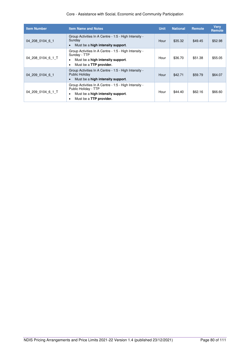| <b>Item Number</b> | <b>Item Name and Notes</b>                                                                                                                                | <b>Unit</b> | <b>National</b> | <b>Remote</b> | <b>Verv</b><br><b>Remote</b> |
|--------------------|-----------------------------------------------------------------------------------------------------------------------------------------------------------|-------------|-----------------|---------------|------------------------------|
| 04 208 0104 6 1    | Group Activities In A Centre - 1:5 - High Intensity -<br>Sunday<br>Must be a high intensity support.                                                      | Hour        | \$35.32         | \$49.45       | \$52.98                      |
| 04_208_0104_6_1_T  | Group Activities In A Centre - 1:5 - High Intensity -<br>Sunday - TTP<br>Must be a high intensity support.<br>Must be a <b>TTP provider.</b>              | Hour        | \$36.70         | \$51.38       | \$55.05                      |
| 04 209 0104 6 1    | Group Activities In A Centre - 1:5 - High Intensity -<br>Public Holiday<br>Must be a high intensity support.                                              | Hour        | \$42.71         | \$59.79       | \$64.07                      |
| 04 209 0104 6 1 T  | Group Activities In A Centre - 1:5 - High Intensity -<br>Public Holiday - TTP<br>Must be a high intensity support.<br>٠<br>Must be a <b>TTP provider.</b> | Hour        | \$44.40         | \$62.16       | \$66.60                      |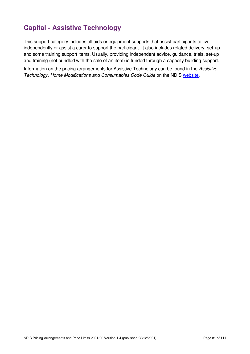# **Capital - Assistive Technology**

This support category includes all aids or equipment supports that assist participants to live independently or assist a carer to support the participant. It also includes related delivery, set-up and some training support items. Usually, providing independent advice, guidance, trials, set-up and training (not bundled with the sale of an item) is funded through a capacity building support.

Information on the pricing arrangements for Assistive Technology can be found in the Assistive Technology, Home Modifications and Consumables Code Guide on the NDIS [website.](https://www.ndis.gov.au/providers/housing-and-living-supports-and-services/providing-assistive-technology#Atcodeguide)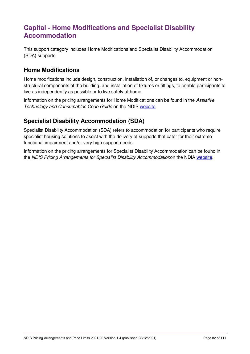# **Capital - Home Modifications and Specialist Disability Accommodation**

This support category includes Home Modifications and Specialist Disability Accommodation (SDA) supports.

## **Home Modifications**

Home modifications include design, construction, installation of, or changes to, equipment or nonstructural components of the building, and installation of fixtures or fittings, to enable participants to live as independently as possible or to live safely at home.

Information on the pricing arrangements for Home Modifications can be found in the Assistive Technology and Consumables Code Guide on the NDIS [website.](https://www.ndis.gov.au/providers/housing-and-living-supports-and-services/providing-assistive-technology#Atcodeguide)

## **Specialist Disability Accommodation (SDA)**

Specialist Disability Accommodation (SDA) refers to accommodation for participants who require specialist housing solutions to assist with the delivery of supports that cater for their extreme functional impairment and/or very high support needs.

Information on the pricing arrangements for Specialist Disability Accommodation can be found in the NDIS Pricing Arrangements for Specialist Disability Accommodationon the NDIA [website.](https://www.ndis.gov.au/providers/housing-and-living-supports-and-services/housing/specialist-disability-accommodation/sda-pricing-and-payments)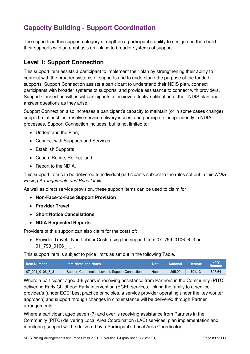# **Capacity Building - Support Coordination**

The supports in this support category strengthen a participant's ability to design and then build their supports with an emphasis on linking to broader systems of support.

## **Level 1: Support Connection**

This support item assists a participant to implement their plan by strengthening their ability to connect with the broader systems of supports and to understand the purpose of the funded supports. Support Connection assists a participant to understand their NDIS plan, connect participants with broader systems of supports, and provide assistance to connect with providers. Support Connection will assist participants to achieve effective utilisation of their NDIS plan and answer questions as they arise.

Support Connection also increases a participant's capacity to maintain (or in some cases change) support relationships, resolve service delivery issues, and participate independently in NDIA processes. Support Connection includes, but is not limited to:

- Understand the Plan:
- Connect with Supports and Services;
- Establish Supports;
- Coach, Refine, Reflect; and
- Report to the NDIA.

This support item can be delivered to individual participants subject to the rules set out in this NDIS Pricing Arrangements and Price Limits.

As well as direct service provision, these support items can be used to claim for

- **[Non-Face-to-Face Support Provision](#page-16-0)**
- **[Provider Travel](#page-17-0)**
- **[Short Notice Cancellations](#page-21-0)**
- **[NDIA Requested Reports](#page-22-1)**.

Providers of this support can also claim for the costs of:

• [Provider Travel - Non-Labour Costs](#page-18-0) using the support item 07\_799\_0106\_6\_3 or 01\_799\_0106\_1\_1.

This support item is subject to price limits as set out in the following Table.

| <b>∣ Item Number</b> | <b>Item Name and Notes</b>                       | Unit | <b>National</b> | Remote  | Verv<br><b>Remote</b> |
|----------------------|--------------------------------------------------|------|-----------------|---------|-----------------------|
| 07 001 0106 8 3      | Support Coordination Level 1: Support Connection | Hour | \$65.09         | \$91.13 | \$97.64               |

Where a participant aged 0-6 years is receiving assistance from Partners in the Community (PITC) delivering Early Childhood Early Intervention (ECEI) services, linking the family to a service provider/s (under ECEI best practice principles, a service provider operating under the key worker approach) and support through changes in circumstance will be delivered through Partner arrangements.

Where a participant aged seven (7) and over is receiving assistance from Partners in the Community (PITC) delivering Local Area Coordination (LAC) services, plan implementation and monitoring support will be delivered by a Participant's Local Area Coordinator.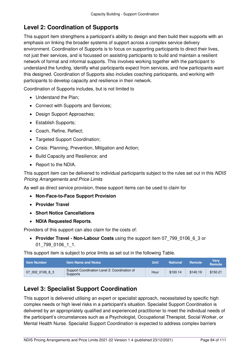## **Level 2: Coordination of Supports**

This support item strengthens a participant's ability to design and then build their supports with an emphasis on linking the broader systems of support across a complex service delivery environment. Coordination of Supports is to focus on supporting participants to direct their lives, not just their services, and is focussed on assisting participants to build and maintain a resilient network of formal and informal supports. This involves working together with the participant to understand the funding, identify what participants expect from services, and how participants want this designed. Coordination of Supports also includes coaching participants, and working with participants to develop capacity and resilience in their network.

Coordination of Supports includes, but is not limited to

- Understand the Plan;
- Connect with Supports and Services;
- Design Support Approaches:
- Establish Supports;
- Coach, Refine, Reflect;
- Targeted Support Coordination;
- Crisis: Planning, Prevention, Mitigation and Action;
- Build Capacity and Resilience; and
- Report to the NDIA.

This support item can be delivered to individual participants subject to the rules set out in this NDIS Pricing Arrangements and Price Limits

As well as direct service provision, these support items can be used to claim for

- **[Non-Face-to-Face Support Provision](#page-16-0)**
- **[Provider Travel](#page-17-0)**
- **[Short Notice Cancellations](#page-21-0)**
- **[NDIA Requested Reports](#page-22-1)**.

Providers of this support can also claim for the costs of:

 **[Provider Travel - Non-Labour Costs](#page-18-0)** using the support item 07\_799\_0106\_6\_3 or 01\_799\_0106\_1\_1.

This support item is subject to price limits as set out in the following Table.

| <b>Item Number</b> | <b>Item Name and Notes</b>                                       | Unit | <b>National</b> | <b>Remote</b> | <b>Verv</b><br><b>Remote</b> |
|--------------------|------------------------------------------------------------------|------|-----------------|---------------|------------------------------|
| 07 002 0106 8 3    | Support Coordination Level 2: Coordination of<br><b>Supports</b> | Hour | \$100.14        | \$140.19      | \$150.21                     |

## **Level 3: Specialist Support Coordination**

This support is delivered utilising an expert or specialist approach, necessitated by specific high complex needs or high level risks in a participant's situation. Specialist Support Coordination is delivered by an appropriately qualified and experienced practitioner to meet the individual needs of the participant's circumstances such as a Psychologist, Occupational Therapist, Social Worker, or Mental Health Nurse. Specialist Support Coordination is expected to address complex barriers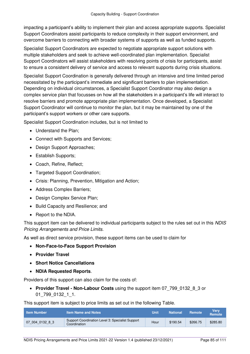impacting a participant's ability to implement their plan and access appropriate supports. Specialist Support Coordinators assist participants to reduce complexity in their support environment, and overcome barriers to connecting with broader systems of supports as well as funded supports.

Specialist Support Coordinators are expected to negotiate appropriate support solutions with multiple stakeholders and seek to achieve well-coordinated plan implementation. Specialist Support Coordinators will assist stakeholders with resolving points of crisis for participants, assist to ensure a consistent delivery of service and access to relevant supports during crisis situations.

Specialist Support Coordination is generally delivered through an intensive and time limited period necessitated by the participant's immediate and significant barriers to plan implementation. Depending on individual circumstances, a Specialist Support Coordinator may also design a complex service plan that focusses on how all the stakeholders in a participant's life will interact to resolve barriers and promote appropriate plan implementation. Once developed, a Specialist Support Coordinator will continue to monitor the plan, but it may be maintained by one of the participant's support workers or other care supports.

Specialist Support Coordination includes, but is not limited to

- Understand the Plan:
- Connect with Supports and Services;
- Design Support Approaches;
- Establish Supports:
- Coach, Refine, Reflect;
- Targeted Support Coordination;
- Crisis: Planning, Prevention, Mitigation and Action;
- Address Complex Barriers;
- Design Complex Service Plan;
- Build Capacity and Resilience: and
- Report to the NDIA.

This support item can be delivered to individual participants subject to the rules set out in this NDIS Pricing Arrangements and Price Limits.

As well as direct service provision, these support items can be used to claim for

- **[Non-Face-to-Face Support Provision](#page-16-0)**
- **[Provider Travel](#page-17-0)**
- **[Short Notice Cancellations](#page-21-0)**
- **[NDIA Requested Reports](#page-22-1)**.

Providers of this support can also claim for the costs of:

 **[Provider Travel - Non-Labour Costs](#page-18-0)** using the support item 07\_799\_0132\_8\_3 or 01\_799\_0132\_1\_1.

| <b>Item Number</b> | <b>Item Name and Notes</b>                                       | Unit | <b>National</b> | <b>Remote</b> | Verv<br><b>Remote</b> |
|--------------------|------------------------------------------------------------------|------|-----------------|---------------|-----------------------|
| 07 004 0132 8 3    | Support Coordination Level 3: Specialist Support<br>Coordination | Hour | \$190.54        | \$266.75      | \$285.80              |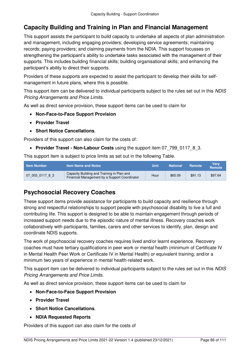# **Capacity Building and Training in Plan and Financial Management**

This support assists the participant to build capacity to undertake all aspects of plan administration and management, including engaging providers; developing service agreements; maintaining records; paying providers; and claiming payments from the NDIA. This support focusses on strengthening the participant's ability to undertake tasks associated with the management of their supports. This includes building financial skills; building organisational skills; and enhancing the participant's ability to direct their supports.

Providers of these supports are expected to assist the participant to develop their skills for selfmanagement in future plans, where this is possible.

This support item can be delivered to individual participants subject to the rules set out in this NDIS Pricing Arrangements and Price Limits.

As well as direct service provision, these support items can be used to claim for

- **[Non-Face-to-Face Support Provision](#page-16-0)**
- **[Provider Travel](#page-17-0)**
- **[Short Notice Cancellations](#page-21-0)**.

Providers of this support can also claim for the costs of:

**• [Provider Travel - Non-Labour Costs](#page-18-0)** using the support item 07 799 0117 8 3.

This support item is subject to price limits as set out in the following Table.

| <b>Item Number</b> | <b>Item Name and Notes</b>                                                                  | Unit | <b>National</b> | Remote  | Verv<br><b>Remote</b> |
|--------------------|---------------------------------------------------------------------------------------------|------|-----------------|---------|-----------------------|
| 07 003 0117 8 3    | Capacity Building and Training in Plan and<br>Financial Management by a Support Coordinator | Hour | \$65.09         | \$91.13 | \$97.64               |

## **Psychosocial Recovery Coaches**

These support items provide assistance for participants to build capacity and resilience through strong and respectful relationships to support people with psychosocial disability to live a full and contributing life. This support is designed to be able to maintain engagement through periods of increased support needs due to the episodic nature of mental illness. Recovery coaches work collaboratively with participants, families, carers and other services to identify, plan, design and coordinate NDIS supports.

The work of psychosocial recovery coaches requires lived and/or learnt experience. Recovery coaches must have tertiary qualifications in peer work or mental health (minimum of Certificate IV in Mental Health Peer Work or Certificate IV in Mental Health) or equivalent training; and/or a minimum two years of experience in mental health-related work.

This support item can be delivered to individual participants subject to the rules set out in this NDIS Pricing Arrangements and Price Limits.

As well as direct service provision, these support items can be used to claim for

- **[Non-Face-to-Face Support Provision](#page-16-0)**
- **[Provider Travel](#page-17-0)**
- **[Short Notice Cancellations](#page-21-0)**.
- **[NDIA Requested Reports](#page-22-1)**

Providers of this support can also claim for the costs of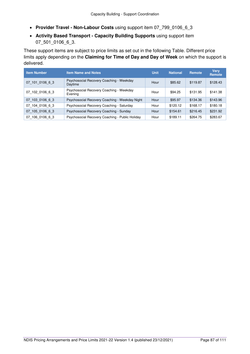- **[Provider Travel Non-Labour Costs](#page-18-0)** using support item 07\_799\_0106\_6\_3
- **[Activity Based Transport Capacity Building Supports](#page-23-0)** using support item 07 501 0106 6 3.

These support items are subject to price limits as set out in the following Table. Different price limits apply depending on the **[Claiming for Time of Day and Day](#page-14-0) of Week** on which the support is delivered.

| <b>Item Number</b> | <b>Item Name and Notes</b>                          | <b>Unit</b> | <b>National</b> | Remote   | <b>Verv</b><br>Remote |
|--------------------|-----------------------------------------------------|-------------|-----------------|----------|-----------------------|
| 07 101 0106 6 3    | Psychosocial Recovery Coaching - Weekday<br>Daytime | Hour        | \$85.62         | \$119.87 | \$128.43              |
| 07 102 0106 6 3    | Psychosocial Recovery Coaching - Weekday<br>Evening | Hour        | \$94.25         | \$131.95 | \$141.38              |
| 07 103 0106 6 3    | Psychosocial Recovery Coaching - Weekday Night      | Hour        | \$95.97         | \$134.36 | \$143.96              |
| 07 104 0106 6 3    | Psychosocial Recovery Coaching - Saturday           | Hour        | \$120.12        | \$168.17 | \$180.18              |
| 07 105 0106 6 3    | Psychosocial Recovery Coaching - Sunday             | Hour        | \$154.61        | \$216.45 | \$231.92              |
| 07 106 0106 6 3    | Psychosocial Recovery Coaching - Public Holiday     | Hour        | \$189.11        | \$264.75 | \$283.67              |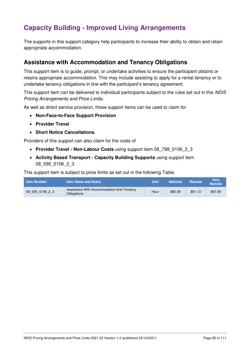# **Capacity Building - Improved Living Arrangements**

The supports in this support category help participants to increase their ability to obtain and retain appropriate accommodation.

### **Assistance with Accommodation and Tenancy Obligations**

This support item is to guide, prompt, or undertake activities to ensure the participant obtains or retains appropriate accommodation. This may include assisting to apply for a rental tenancy or to undertake tenancy obligations in line with the participant's tenancy agreement.

This support item can be delivered to individual participants subject to the rules set out in this NDIS Pricing Arrangements and Price Limits.

As well as direct service provision, these support items can be used to claim for

- **[Non-Face-to-Face Support Provision](#page-16-0)**
- **[Provider Travel](#page-17-0)**
- **[Short Notice Cancellations](#page-21-0)**.

Providers of this support can also claim for the costs of

- [Provider Travel Non-Labour Costs](#page-18-0) using support item 08 799 0106 2 3
- **[Activity Based Transport Capacity Building Supports](#page-23-0)** using support item 08\_590\_0106\_2\_3.

| <b>Item Number</b> | ltem Name and Notes                                      | <b>Unit</b> | <b>National</b> | Remote  | Verv<br><b>Remote</b> |
|--------------------|----------------------------------------------------------|-------------|-----------------|---------|-----------------------|
| 08 005 0106 2 3    | Assistance With Accommodation And Tenancy<br>Obligations | Hour        | \$65.09         | \$91.13 | \$97.64               |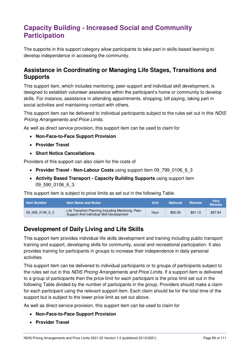# **Capacity Building - Increased Social and Community Participation**

The supports in this support category allow participants to take part in skills-based learning to develop independence in accessing the community.

### **Assistance in Coordinating or Managing Life Stages, Transitions and Supports**

This support item, which includes mentoring, peer-support and individual skill development, is designed to establish volunteer assistance within the participant's home or community to develop skills. For instance, assistance in attending appointments, shopping, bill paying, taking part in social activities and maintaining contact with others.

This support item can be delivered to individual participants subject to the rules set out in this NDIS Pricing Arrangements and Price Limits.

As well as direct service provision, this support item can be used to claim for

- **[Non-Face-to-Face Support Provision](#page-16-0)**
- **[Provider Travel](#page-17-0)**
- **[Short Notice Cancellations](#page-21-0)**.

Providers of this support can also claim for the costs of

- [Provider Travel Non-Labour Costs](#page-18-0) using support item 09 799 0106 6 3
- **[Activity Based Transport Capacity Building Supports](#page-23-0)** using support item 09\_590\_0106\_6\_3.

This support item is subject to price limits as set out in the following Table.

| ∣ Item Number   | <b>Item Name and Notes</b>                                                                      | Unit | <b>National</b> | <b>Remote</b> | <b>Verv</b><br><b>Remote</b> |
|-----------------|-------------------------------------------------------------------------------------------------|------|-----------------|---------------|------------------------------|
| 09 006 0106 6 3 | Life Transition Planning Including Mentoring, Peer-<br>Support And Individual Skill Development | Hour | \$65.09         | \$91.13       | \$97.64                      |

### **Development of Daily Living and Life Skills**

This support item provides individual life skills development and training including public transport training and support, developing skills for community, social and recreational participation. It also provides training for participants in groups to increase their independence in daily personal activities.

This support item can be delivered to individual participants or to groups of participants subject to the rules set out in this NDIS Pricing Arrangements and Price Limits. If a support item is delivered to a group of participants then the price limit for each participant is the price limit set out in the following Table divided by the number of participants in the group. Providers should make a claim for each participant using the relevant support item. Each claim should be for the total time of the support but is subject to the lower price limit as set out above.

As well as direct service provision, this support item can be used to claim for

- **[Non-Face-to-Face Support Provision](#page-16-0)**
- **[Provider Travel](#page-17-0)**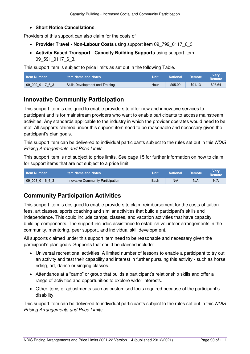#### **[Short Notice Cancellations](#page-21-0)**.

Providers of this support can also claim for the costs of

- **[Provider Travel Non-Labour Costs](#page-18-0)** using support item 09\_799\_0117\_6\_3
- **[Activity Based Transport Capacity Building Supports](#page-23-0)** using support item 09 591 0117 6 3.

This support item is subject to price limits as set out in the following Table.

| <b>∣ Item Number</b> | <b>Item Name and Notes</b>      | Unit | <b>National</b> | <b>Remote</b> | Verv<br><b>Remote</b> |
|----------------------|---------------------------------|------|-----------------|---------------|-----------------------|
| 09 009 0117 6 3      | Skills Development and Training | Hour | \$65.09         | \$91.13       | \$97.64               |

### **Innovative Community Participation**

This support item is designed to enable providers to offer new and innovative services to participant and is for mainstream providers who want to enable participants to access mainstream activities. Any standards applicable to the industry in which the provider operates would need to be met. All supports claimed under this support item need to be reasonable and necessary given the participant's plan goals.

This support item can be delivered to individual participants subject to the rules set out in this NDIS Pricing Arrangements and Price Limits.

This support item is not subject to price limits. See page [15](#page-14-1) for further information on how to claim for support items that are not subject to a price limit.

| <b>∣ Item Number</b> | Item Name and Notes                | Unit | National | <b>Remote</b> | Verv<br>Remote |
|----------------------|------------------------------------|------|----------|---------------|----------------|
| 09 008 0116 6 3      | Innovative Community Participation | Each | N/A      | N/A           | N/A            |

# **Community Participation Activities**

This support item is designed to enable providers to claim reimbursement for the costs of tuition fees, art classes, sports coaching and similar activities that build a participant's skills and independence. This could include camps, classes, and vacation activities that have capacity building components. The support includes assistance to establish volunteer arrangements in the community, mentoring, peer support, and individual skill development.

All supports claimed under this support item need to be reasonable and necessary given the participant's plan goals. Supports that could be claimed include:

- Universal recreational activities: A limited number of lessons to enable a participant to try out an activity and test their capability and interest in further pursuing this activity - such as horse riding, art, dance or singing classes.
- Attendance at a "camp" or group that builds a participant's relationship skills and offer a range of activities and opportunities to explore wider interests.
- Other items or adjustments such as customised tools required because of the participant's disability.

This support item can be delivered to individual participants subject to the rules set out in this NDIS Pricing Arrangements and Price Limits.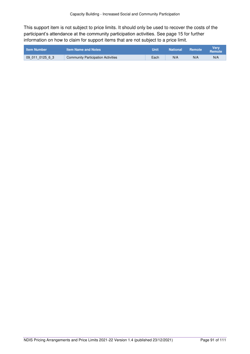This support item is not subject to price limits. It should only be used to recover the costs of the participant's attendance at the community participation activities. See page [15](#page-14-1) for further information on how to claim for support items that are not subject to a price limit.

| <b>Item Number</b> | <b>Item Name and Notes</b>         | Unit | <b>National</b> | Remote | <b>Verv</b><br>Remote |
|--------------------|------------------------------------|------|-----------------|--------|-----------------------|
| 09 011 0125 6 3    | Community Participation Activities | Each | N/A             | N/A    | N/A                   |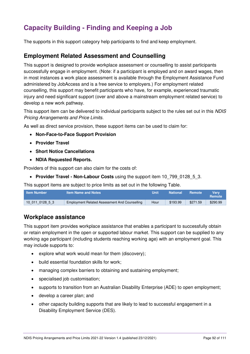# **Capacity Building - Finding and Keeping a Job**

The supports in this support category help participants to find and keep employment.

### **Employment Related Assessment and Counselling**

This support is designed to provide workplace assessment or counselling to assist participants successfully engage in employment. (Note: if a participant is employed and on award wages, then in most instances a work place assessment is available through the Employment Assistance Fund administered by JobAccess and is a free service to employers.) For employment related counselling, this support may benefit participants who have, for example, experienced traumatic injury and need significant support (over and above a mainstream employment related service) to develop a new work pathway.

This support item can be delivered to individual participants subject to the rules set out in this NDIS Pricing Arrangements and Price Limits.

As well as direct service provision, these support items can be used to claim for:

- **[Non-Face-to-Face Support Provision](#page-16-0)**
- **[Provider Travel](#page-17-0)**
- **[Short Notice Cancellations](#page-21-0)**
- **[NDIA Requested Reports.](#page-22-1)**

Providers of this support can also claim for the costs of:

**• Provider Travel - Non-Labour Costs** using the support item 10 799 0128 5 3.

This support items are subject to price limits as set out in the following Table.

| ∟ltem Number \ | <b>Item Name and Notes</b>                    | Unit | <b>National</b> | Remote   | Verv<br>Remote |
|----------------|-----------------------------------------------|------|-----------------|----------|----------------|
| 10011012853    | Employment Related Assessment And Counselling | Hour | \$193.99        | \$271.59 | \$290.99       |

### **Workplace assistance**

This support item provides workplace assistance that enables a participant to successfully obtain or retain employment in the open or supported labour market. This support can be supplied to any working age participant (including students reaching working age) with an employment goal. This may include supports to:

- explore what work would mean for them (discovery);
- build essential foundation skills for work:
- managing complex barriers to obtaining and sustaining employment;
- specialised job customisation;
- supports to transition from an Australian Disability Enterprise (ADE) to open employment;
- develop a career plan; and
- other capacity building supports that are likely to lead to successful engagement in a Disability Employment Service (DES).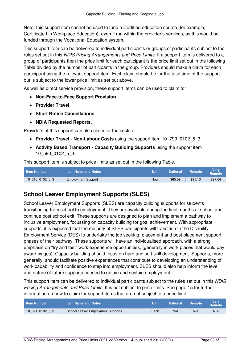Note: this support item cannot be used to fund a Certified education course (for example, Certificate I in Workplace Education), even if run within the provider's services, as this would be funded through the Vocational Education system.

This support item can be delivered to individual participants or groups of participants subject to the rules set out in this NDIS Pricing Arrangements and Price Limits. If a support item is delivered to a group of participants then the price limit for each participant is the price limit set out in the following Table divided by the number of participants in the group. Providers should make a claim for each participant using the relevant support item. Each claim should be for the total time of the support but is subject to the lower price limit as set out above.

As well as direct service provision, these support items can be used to claim for

- **[Non-Face-to-Face Support Provision](#page-16-0)**
- **[Provider Travel](#page-17-0)**
- **[Short Notice Cancellations](#page-21-0)**
- **[NDIA Requested Reports.](#page-22-1)**

Providers of this support can also claim for the costs of

- [Provider Travel Non-Labour Costs](#page-18-0) using the support item 10 799 0102 5 3
- **[Activity Based Transport Capacity Building Supports](#page-23-0)** using the support item 10\_590\_0102\_5\_3.

This support item is subject to price limits as set out in the following Table.

| <b>Item Number</b> | <b>Item Name and Notes</b> | Unit | <b>National</b> | Remote  | Verv<br>Remote |
|--------------------|----------------------------|------|-----------------|---------|----------------|
| 10016010253        | <b>Employment Support</b>  | Hour | \$65.09         | \$91.13 | \$97.64        |

# **School Leaver Employment Supports (SLES)**

School Leaver Employment Supports (SLES) are capacity building supports for students transitioning from school to employment. They are available during the final months at school and continue post school exit. These supports are designed to plan and implement a pathway to inclusive employment, focussing on capacity building for goal achievement. With appropriate supports, it is expected that the majority of SLES participants will transition to the Disability Employment Service (DES) to undertake the job seeking, placement and post placement support phases of their pathway. These supports will have an individualised approach, with a strong emphasis on "try and test" work experience opportunities, (generally in work places that would pay award wages). Capacity building should focus on hard and soft skill development. Supports, more generally, should facilitate positive experiences that contribute to developing an understanding of work capability and confidence to step into employment. SLES should also help inform the level and nature of future supports needed to obtain and sustain employment.

This support item can be delivered to individual participants subject to the rules set out in this NDIS Pricing Arrangements and Price Limits. It is not subject to price limits. See page [15](#page-14-1) for further information on how to claim for support items that are not subject to a price limit.

| <b>Item Number</b> | <b>Item Name and Notes</b>        | Unit | <b>National</b> | <b>Remote</b> | Verv<br><b>Remote</b> |
|--------------------|-----------------------------------|------|-----------------|---------------|-----------------------|
| 10021010253        | School Leaver Employment Supports | Each | N/A             | N/A           | N/A                   |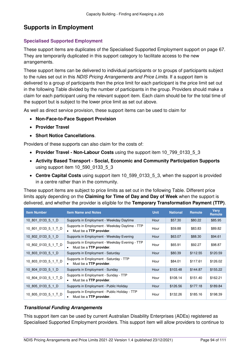# **Supports in Employment**

#### **Specialised Supported Employment**

These support items are duplicates of the Specialised Supported Employment support on page [67.](#page-66-0) They are temporarily duplicated in this support category to facilitate access to the new arrangements.

These support items can be delivered to individual participants or to groups of participants subject to the rules set out in this NDIS Pricing Arrangements and Price Limits. If a support item is delivered to a group of participants then the price limit for each participant is the price limit set out in the following Table divided by the number of participants in the group. Providers should make a claim for each participant using the relevant support item. Each claim should be for the total time of the support but is subject to the lower price limit as set out above.

As well as direct service provision, these support items can be used to claim for

- **[Non-Face-to-Face Support Provision](#page-16-0)**
- **[Provider Travel](#page-17-0)**
- **[Short Notice Cancellations](#page-21-0)**.

Providers of these supports can also claim for the costs of:

- **Provider Travel Non-Labour Costs** using the support item 10\_799\_0133\_5\_3
- **[Activity Based Transport Social, Economic and Community Participation Supports](#page-22-0)**  using support item 10\_590\_0133\_5\_3
- **[Centre Capital Costs](#page-28-0)** using support item 10 599 0133 5 3, when the support is provided in a centre rather than in the community.

These support items are subject to price limits as set out in the following Table. Different price limits apply depending on the **[Claiming for Time of Day and Day](#page-14-0) of Week** when the support is delivered, and whether the provider is eligible for the **[Temporary Transformation Payment \(TTP\)](#page-34-1)**.

| <b>Item Number</b>  | <b>Item Name and Notes</b>                                                                     | <b>Unit</b> | <b>National</b> | <b>Remote</b> | <b>Verv</b><br>Remote |
|---------------------|------------------------------------------------------------------------------------------------|-------------|-----------------|---------------|-----------------------|
| 10 801 0133 5 1 D   | Supports in Employment - Weekday Daytime                                                       | Hour        | \$57.30         | \$80.22       | \$85.95               |
| 10_801_0133_5_1_T_D | Supports in Employment - Weekday Daytime - TTP<br>Must be a <b>TTP provider</b> .<br>$\bullet$ | Hour        | \$59.88         | \$83.83       | \$89.82               |
| 10 802 0133 5 1 D   | Supports in Employment - Weekday Evening                                                       | Hour        | \$63.07         | \$88.30       | \$94.61               |
| 10_802_0133_5_1_T_D | Supports in Employment - Weekday Evening - TTP<br>Must be a <b>TTP provider</b> .<br>٠         | Hour        | \$65.91         | \$92.27       | \$98.87               |
| 10 803 0133 5 1 D   | Supports in Employment - Saturday                                                              | Hour        | \$80.39         | \$112.55      | \$120.59              |
| 10 803 0133 5 1 T D | Supports in Employment - Saturday - TTP<br>Must be a <b>TTP provider</b> .<br>$\bullet$        | Hour        | \$84.01         | \$117.61      | \$126.02              |
| 10 804 0133 5 1 D   | Supports in Employment - Sunday                                                                | Hour        | \$103.48        | \$144.87      | \$155.22              |
| 10_804_0133_5_1_T_D | Supports in Employment - Sunday - TTP<br>Must be a <b>TTP provider</b> .                       | Hour        | \$108.14        | \$151.40      | \$162.21              |
| 10 805 0133 5 1 D   | Supports in Employment - Public Holiday                                                        | Hour        | \$126.56        | \$177.18      | \$189.84              |
| 10 805 0133 5 1 T D | Supports in Employment - Public Holiday - TTP<br>Must be a TTP provider.                       | Hour        | \$132.26        | \$185.16      | \$198.39              |

#### **Transitional Funding Arrangements**

This support item can be used by current Australian Disability Enterprises (ADEs) registered as Specialised Supported Employment providers. This support item will allow providers to continue to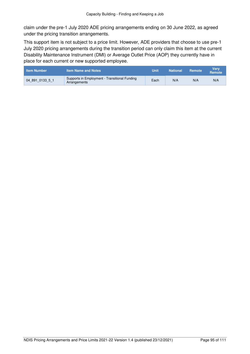claim under the pre-1 July 2020 ADE pricing arrangements ending on 30 June 2022, as agreed under the pricing transition arrangements.

This support item is not subject to a price limit. However, ADE providers that choose to use pre-1 July 2020 pricing arrangements during the transition period can only claim this item at the current Disability Maintenance Instrument (DMI) or Average Outlet Price (AOP) they currently have in place for each current or new supported employee.

| <b>Item Number</b> | Item Name and Notes                                           | Unit | <b>National</b> | <b>Remote</b> | <b>Verv</b><br>Remote |
|--------------------|---------------------------------------------------------------|------|-----------------|---------------|-----------------------|
| 04 891 0133 5 1    | Supports in Employment - Transitional Funding<br>Arrangements | Each | N/A             | N/A           | N/A                   |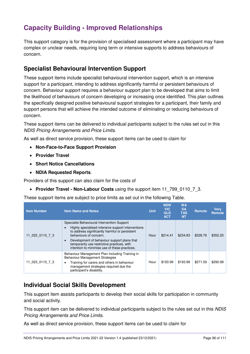# **Capacity Building - Improved Relationships**

This support category is for the provision of specialised assessment where a participant may have complex or unclear needs, requiring long term or intensive supports to address behaviours of concern.

## **Specialist Behavioural Intervention Support**

These support items include specialist behavioural intervention support, which is an intensive support for a participant, intending to address significantly harmful or persistent behaviours of concern. Behaviour support requires a behaviour support plan to be developed that aims to limit the likelihood of behaviours of concern developing or increasing once identified. This plan outlines the specifically designed positive behavioural support strategies for a participant, their family and support persons that will achieve the intended outcome of eliminating or reducing behaviours of concern.

These support items can be delivered to individual participants subject to the rules set out in this NDIS Pricing Arrangements and Price Limits.

As well as direct service provision, these support items can be used to claim for

- **[Non-Face-to-Face Support Provision](#page-16-0)**
- **[Provider Travel](#page-17-0)**
- **[Short Notice Cancellations](#page-21-0)**
- **[NDIA Requested Reports](#page-22-1)**.

Providers of this support can also claim for the costs of

**[Provider Travel - Non-Labour Costs](#page-18-0)** using the support item 11\_799\_0110\_7\_3.

These support items are subject to price limits as set out in the following Table.

| <b>Item Number</b> | <b>Item Name and Notes</b>                                                                                                                                                                                                                                                                                                                | <b>Unit</b> | <b>NSW</b><br><b>VIC</b><br><b>QLD</b><br><b>ACT</b> | <b>WA</b><br><b>SA</b><br><b>TAS</b><br><b>NT</b> | Remote   | <b>Verv</b><br>Remote |
|--------------------|-------------------------------------------------------------------------------------------------------------------------------------------------------------------------------------------------------------------------------------------------------------------------------------------------------------------------------------------|-------------|------------------------------------------------------|---------------------------------------------------|----------|-----------------------|
| 11 022 0110 7 3    | Specialist Behavioural Intervention Support<br>Highly specialised intensive support interventions<br>to address significantly harmful or persistent<br>behaviours of concern.<br>Development of behaviour support plans that<br>$\bullet$<br>temporarily use restrictive practices, with<br>intention to minimise use of these practices. | Hour        | \$214.41                                             | \$234.83                                          | \$328.76 | \$352.25              |
| 11 023 0110 7 3    | Behaviour Management Plan Including Training in<br><b>Behaviour Management Strategies</b><br>Training for carers and others in behaviour<br>٠<br>management strategies required due the<br>participant's disability.                                                                                                                      | Hour        | \$193.99                                             | \$193.99                                          | \$271.59 | \$290.99              |

## **Individual Social Skills Development**

This support item assists participants to develop their social skills for participation in community and social activity.

This support item can be delivered to individual participants subject to the rules set out in this NDIS Pricing Arrangements and Price Limits.

As well as direct service provision, these support items can be used to claim for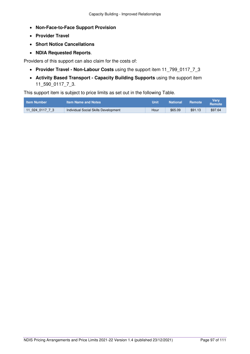- **[Non-Face-to-Face Support Provision](#page-16-0)**
- **[Provider Travel](#page-17-0)**
- **[Short Notice Cancellations](#page-21-0)**
- **[NDIA Requested Reports](#page-22-1)**.

Providers of this support can also claim for the costs of:

- **[Provider Travel Non-Labour Costs](#page-18-0)** using the support item 11\_799\_0117\_7\_3
- **[Activity Based Transport Capacity Building Supports](#page-23-0)** using the support item 11\_590\_0117\_7\_3.

| <b>Item Number</b> | <b>Item Name and Notes</b>           | Unit | <b>National</b> | Remote  | Very<br>Remote |
|--------------------|--------------------------------------|------|-----------------|---------|----------------|
| 11 024 0117 7 3    | Individual Social Skills Development | Hour | \$65.09         | \$91.13 | \$97.64        |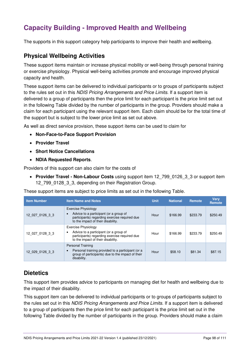# **Capacity Building - Improved Health and Wellbeing**

The supports in this support category help participants to improve their health and wellbeing.

### **Physical Wellbeing Activities**

These support items maintain or increase physical mobility or well-being through personal training or exercise physiology. Physical well-being activities promote and encourage improved physical capacity and health.

These support items can be delivered to individual participants or to groups of participants subject to the rules set out in this NDIS Pricing Arrangements and Price Limits. If a support item is delivered to a group of participants then the price limit for each participant is the price limit set out in the following Table divided by the number of participants in the group. Providers should make a claim for each participant using the relevant support item. Each claim should be for the total time of the support but is subject to the lower price limit as set out above.

As well as direct service provision, these support items can be used to claim for

- **[Non-Face-to-Face Support Provision](#page-16-0)**
- **[Provider Travel](#page-17-0)**
- **[Short Notice Cancellations](#page-21-0)**
- **[NDIA Requested Reports](#page-22-1)**.

Providers of this support can also claim for the costs of

**• Provider Travel - Non-Labour Costs** using support item 12 799 0126 3 3 or support item 12\_799\_0128\_3\_3, depending on their Registration Group.

These support items are subject to price limits as set out in the following Table.

| <b>Item Number</b> | <b>Item Name and Notes</b>                                                                                                                                        | <b>Unit</b> | <b>National</b> | Remote   | <b>Verv</b><br><b>Remote</b> |
|--------------------|-------------------------------------------------------------------------------------------------------------------------------------------------------------------|-------------|-----------------|----------|------------------------------|
| 12 027 0126 3 3    | Exercise Physiology<br>Advice to a participant (or a group of<br>$\bullet$<br>participants) regarding exercise required due<br>to the impact of their disability. | Hour        | \$166.99        | \$233.79 | \$250.49                     |
| 12 027 0128 3 3    | <b>Exercise Physiology</b><br>Advice to a participant (or a group of<br>٠<br>participants) regarding exercise required due<br>to the impact of their disability.  | Hour        | \$166.99        | \$233.79 | \$250.49                     |
| 12 029 0126 3 3    | <b>Personal Training</b><br>Personal training provided to a participant (or a<br>$\bullet$<br>group of participants) due to the impact of their<br>disability.    | Hour        | \$58.10         | \$81.34  | \$87.15                      |

## **Dietetics**

This support item provides advice to participants on managing diet for health and wellbeing due to the impact of their disability.

This support item can be delivered to individual participants or to groups of participants subject to the rules set out in this NDIS Pricing Arrangements and Price Limits. If a support item is delivered to a group of participants then the price limit for each participant is the price limit set out in the following Table divided by the number of participants in the group. Providers should make a claim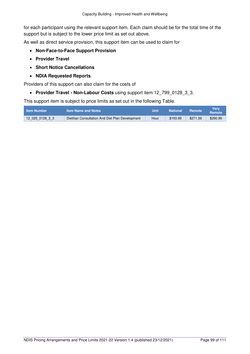for each participant using the relevant support item. Each claim should be for the total time of the support but is subject to the lower price limit as set out above.

As well as direct service provision, this support item can be used to claim for

- **[Non-Face-to-Face Support Provision](#page-16-0)**
- **[Provider Travel](#page-17-0)**
- **[Short Notice Cancellations](#page-21-0)**
- **[NDIA Requested Reports](#page-22-1)**.

Providers of this support can also claim for the costs of

• [Provider Travel - Non-Labour Costs](#page-18-0) using support item 12 799 0128 3 3.

| <b>Item Number</b> | <b>Item Name and Notes</b>                       | Unit | <b>National</b> | <b>Remote</b> | Verv<br>Remote |
|--------------------|--------------------------------------------------|------|-----------------|---------------|----------------|
| 12 025 0128 3 3    | Dietitian Consultation And Diet Plan Development | Hour | \$193.99        | \$271.59      | \$290.99       |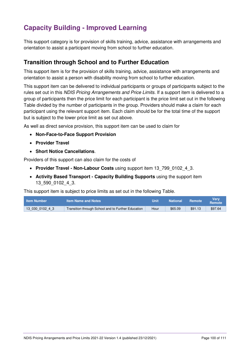# **Capacity Building - Improved Learning**

This support category is for provision of skills training, advice, assistance with arrangements and orientation to assist a participant moving from school to further education.

## **Transition through School and to Further Education**

This support item is for the provision of skills training, advice, assistance with arrangements and orientation to assist a person with disability moving from school to further education.

This support item can be delivered to individual participants or groups of participants subject to the rules set out in this NDIS Pricing Arrangements and Price Limits. If a support item is delivered to a group of participants then the price limit for each participant is the price limit set out in the following Table divided by the number of participants in the group. Providers should make a claim for each participant using the relevant support item. Each claim should be for the total time of the support but is subject to the lower price limit as set out above.

As well as direct service provision, this support item can be used to claim for

- **[Non-Face-to-Face Support Provision](#page-16-0)**
- **[Provider Travel](#page-17-0)**
- **[Short Notice Cancellations](#page-21-0)**.

Providers of this support can also claim for the costs of

- **[Provider Travel Non-Labour Costs](#page-18-0)** using support item 13\_799\_0102\_4\_3.
- **[Activity Based Transport Capacity Building Supports](#page-23-0)** using the support item 13\_590\_0102\_4\_3.

| <b>Item Number</b> | <b>Item Name and Notes</b>                         | Unit | <b>National</b> | <b>Remote</b> | Verv<br><b>Remote</b> |
|--------------------|----------------------------------------------------|------|-----------------|---------------|-----------------------|
| 13 030 0102 4 3    | Transition through School and to Further Education | Hour | \$65.09         | \$91.13       | \$97.64               |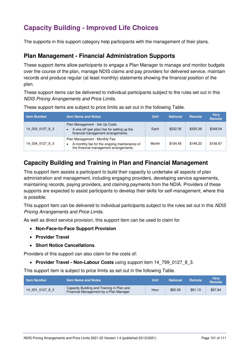# **Capacity Building - Improved Life Choices**

The supports in this support category help participants with the management of their plans.

### **Plan Management - Financial Administration Supports**

These support items allow participants to engage a Plan Manager to manage and monitor budgets over the course of the plan, manage NDIS claims and pay providers for delivered service, maintain records and produce regular (at least monthly) statements showing the financial position of the plan.

These support items can be delivered to individual participants subject to the rules set out in this NDIS Pricing Arrangements and Price Limits.

| <b>Item Number</b> | <b>Item Name and Notes</b>                                                                                                       | <b>Unit</b> | <b>National</b> | Remote   | <b>Verv</b><br>Remote |
|--------------------|----------------------------------------------------------------------------------------------------------------------------------|-------------|-----------------|----------|-----------------------|
| 14 033 0127 8 3    | Plan Management - Set Up Costs<br>A one-off (per plan) fee for setting up the<br>$\bullet$<br>financial management arrangements. | Each        | \$232.35        | \$325.29 | \$348.54              |
| 14 034 0127 8 3    | Plan Management - Monthly Fee<br>A monthly fee for the ongoing maintenance of<br>٠<br>the financial management arrangements.     | Month       | \$104.45        | \$146.23 | \$156.67              |

These support items are subject to price limits as set out in the following Table.

## **Capacity Building and Training in Plan and Financial Management**

This support item assists a participant to build their capacity to undertake all aspects of plan administration and management, including engaging providers, developing service agreements, maintaining records, paying providers, and claiming payments from the NDIA. Providers of these supports are expected to assist participants to develop their skills for self-management, where this is possible.

This support item can be delivered to individual participants subject to the rules set out in this NDIS Pricing Arrangements and Price Limits.

As well as direct service provision, this support item can be used to claim for

- **[Non-Face-to-Face Support Provision](#page-16-0)**
- **[Provider Travel](#page-17-0)**
- **[Short Notice Cancellations](#page-21-0)**.

Providers of this support can also claim for the costs of:

• [Provider Travel - Non-Labour Costs](#page-18-0) using support item 14 799 0127 8 3.

| <b>Item Number</b> | <b>Item Name and Notes</b>                                                           | Unit | <b>National</b> | Remote  | Verv<br><b>Remote</b> |
|--------------------|--------------------------------------------------------------------------------------|------|-----------------|---------|-----------------------|
| 14 031 0127 8 3    | Capacity Building and Training in Plan and<br>Financial Management by a Plan Manager | Hour | \$65.09         | \$91.13 | \$97.64               |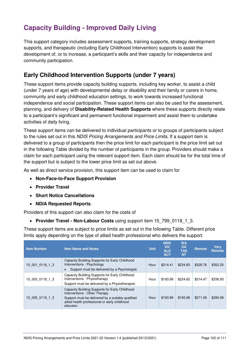# **Capacity Building - Improved Daily Living**

This support category includes assessment supports, training supports, strategy development supports, and therapeutic (including Early Childhood Intervention) supports to assist the development of, or to increase, a participant's skills and their capacity for independence and community participation.

# **Early Childhood Intervention Supports (under 7 years)**

These support items provide capacity building supports, including key worker, to assist a child (under 7 years of age) with developmental delay or disability and their family or carers in home, community and early childhood education settings, to work towards increased functional independence and social participation. These support items can also be used for the assessment, planning, and delivery of **[Disability-Related Health Supports](#page-35-0)** where these supports directly relate to a participant's significant and permanent functional impairment and assist them to undertake activities of daily living.

These support items can be delivered to individual participants or to groups of participants subject to the rules set out in this NDIS Pricing Arrangements and Price Limits. If a support item is delivered to a group of participants then the price limit for each participant is the price limit set out in the following Table divided by the number of participants in the group. Providers should make a claim for each participant using the relevant support item. Each claim should be for the total time of the support but is subject to the lower price limit as set out above.

As well as direct service provision, this support item can be used to claim for

- **[Non-Face-to-Face Support Provision](#page-16-0)**
- **[Provider Travel](#page-17-0)**
- **[Short Notice Cancellations](#page-21-0)**
- **[NDIA Requested Reports](#page-22-1)**.

Providers of this support can also claim for the costs of

**[Provider Travel - Non-Labour Costs](#page-18-0)** using support item 15\_799\_0118\_1\_3.

These support items are subject to price limits as set out in the following Table. Different price limits apply depending on the type of allied health professional who delivers the support.

| <b>Item Number</b> | <b>Item Name and Notes</b>                                                                                                                                                                         | <b>Unit</b> | <b>NSW</b><br><b>VIC</b><br><b>QLD</b><br><b>ACT</b> | <b>WA</b><br><b>SA</b><br><b>TAS</b><br><b>NT</b> | Remote   | <b>Verv</b><br>Remote |
|--------------------|----------------------------------------------------------------------------------------------------------------------------------------------------------------------------------------------------|-------------|------------------------------------------------------|---------------------------------------------------|----------|-----------------------|
| 15 001 0118 1 3    | Capacity Building Supports for Early Childhood<br>Interventions - Psychology<br>Support must be delivered by a Psychologist.<br>$\bullet$                                                          | Hour        | \$214.41                                             | \$234.83                                          | \$328.76 | \$352.25              |
| 15 003 0118 1 3    | Capacity Building Supports for Early Childhood<br>Interventions - Physiotherapy<br>Support must be delivered by a Physiotherapist.                                                                 | Hour        | \$193.99                                             | \$224.62                                          | \$314.47 | \$336.93              |
| 15 005 0118 1 3    | Capacity Building Supports for Early Childhood<br>Interventions - Other Therapy<br>Support must be delivered by a suitably qualified<br>allied health professional or early childhood<br>educator. | Hour        | \$193.99                                             | \$193.99                                          | \$271.59 | \$290.99              |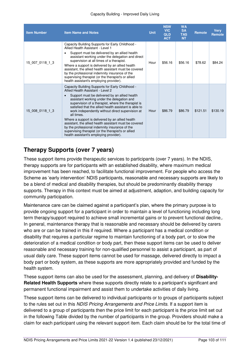#### Capacity Building - Improved Daily Living

| <b>Item Number</b> | <b>Item Name and Notes</b>                                                                                                                                                                                                                                                                                                                                                                                                                                                                                                                                                                                                              | <b>Unit</b> | <b>NSW</b><br><b>VIC</b><br><b>QLD</b><br><b>ACT</b> | <b>WA</b><br><b>SA</b><br><b>TAS</b><br><b>NT</b> | <b>Remote</b> | <b>Very</b><br><b>Remote</b> |
|--------------------|-----------------------------------------------------------------------------------------------------------------------------------------------------------------------------------------------------------------------------------------------------------------------------------------------------------------------------------------------------------------------------------------------------------------------------------------------------------------------------------------------------------------------------------------------------------------------------------------------------------------------------------------|-------------|------------------------------------------------------|---------------------------------------------------|---------------|------------------------------|
| 15 007 0118 1 3    | Capacity Building Supports for Early Childhood -<br>Allied Health Assistant - Level 1<br>Support must be delivered by an allied health<br>assistant working under the delegation and direct<br>supervision at all times of a therapist.<br>Where a support is delivered by an allied health<br>assistant, the allied health assistant must be covered<br>by the professional indemnity insurance of the<br>supervising therapist (or the therapist's or allied<br>health assistant's employing provider).                                                                                                                               | Hour        | \$56.16                                              | \$56.16                                           | \$78.62       | \$84.24                      |
| 15 008 0118 1 3    | Capacity Building Supports for Early Childhood -<br>Allied Health Assistant - Level 2<br>Support must be delivered by an allied health<br>assistant working under the delegation and<br>supervision of a therapist, where the therapist is<br>satisfied that the allied health assistant is able to<br>work independently without direct supervision at<br>all times.<br>Where a support is delivered by an allied health<br>assistant, the allied health assistant must be covered<br>by the professional indemnity insurance of the<br>supervising therapist (or the therapist's or allied<br>health assistant's employing provider). | Hour        | \$86.79                                              | \$86.79                                           | \$121.51      | \$130.19                     |

## **Therapy Supports (over 7 years)**

These support items provide therapeutic services to participants (over 7 years). In the NDIS, therapy supports are for participants with an established disability, where maximum medical improvement has been reached, to facilitate functional improvement. For people who access the Scheme as 'early intervention' NDIS participants, reasonable and necessary supports are likely to be a blend of medical and disability therapies, but should be predominantly disability therapy supports. Therapy in this context must be aimed at adjustment, adaption, and building capacity for community participation.

Maintenance care can be claimed against a participant's plan, where the primary purpose is to provide ongoing support for a participant in order to maintain a level of functioning including long term therapy/support required to achieve small incremental gains or to prevent functional decline,. In general, maintenance therapy that is reasonable and necessary should be delivered by carers who are or can be trained in this if required. Where a participant has a medical condition or disability that requires a particular regime to maintain functioning of a body part, or to slow the deterioration of a medical condition or body part, then these support items can be used to deliver reasonable and necessary training for non-qualified personnel to assist a participant, as part of usual daily care. These support items cannot be used for massage, delivered directly to impact a body part or body system, as these supports are more appropriately provided and funded by the health system.

These support items can also be used for the assessment, planning, and delivery of **[Disability-](#page-35-0)[Related Health Supports](#page-35-0)** where these supports directly relate to a participant's significant and permanent functional impairment and assist them to undertake activities of daily living.

These support items can be delivered to individual participants or to groups of participants subject to the rules set out in this NDIS Pricing Arrangements and Price Limits. If a support item is delivered to a group of participants then the price limit for each participant is the price limit set out in the following Table divided by the number of participants in the group. Providers should make a claim for each participant using the relevant support item. Each claim should be for the total time of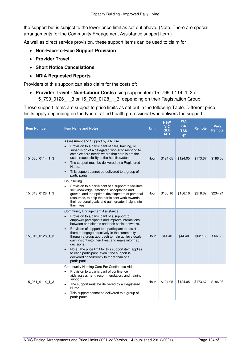the support but is subject to the lower price limit as set out above. (Note: There are special arrangements for the Community Engagement Assistance support item.)

As well as direct service provision, these support items can be used to claim for

- **[Non-Face-to-Face Support Provision](#page-16-0)**
- **[Provider Travel](#page-17-0)**
- **[Short Notice Cancellations](#page-21-0)**
- **[NDIA Requested Reports](#page-22-1)**.

Providers of this support can also claim for the costs of:

 **[Provider Travel - Non-Labour Costs](#page-18-0)** using support item 15\_799\_0114\_1\_3 or 15 799 0126 1 3 or 15 799 0128 1 3, depending on their Registration Group.

These support items are subject to price limits as set out in the following Table. Different price limits apply depending on the type of allied health professional who delivers the support.

| <b>Item Number</b> | <b>Item Name and Notes</b>                                                                                                                                                                                                                                                                                                                                                                                                                                                                                                                                                                                              | <b>Unit</b> | <b>NSW</b><br><b>VIC</b><br><b>QLD</b><br><b>ACT</b> | <b>WA</b><br><b>SA</b><br><b>TAS</b><br><b>NT</b> | <b>Remote</b> | Verv<br>Remote |
|--------------------|-------------------------------------------------------------------------------------------------------------------------------------------------------------------------------------------------------------------------------------------------------------------------------------------------------------------------------------------------------------------------------------------------------------------------------------------------------------------------------------------------------------------------------------------------------------------------------------------------------------------------|-------------|------------------------------------------------------|---------------------------------------------------|---------------|----------------|
| 15 036 0114 1 3    | Assessment and Support by a Nurse<br>Provision to a participant of care, training, or<br>$\bullet$<br>supervision of a delegated worker to respond to<br>complex care needs where that care is not the<br>usual responsibility of the health system.<br>The support must be delivered by a Registered<br>$\bullet$<br>Nurse.<br>This support cannot be delivered to a group of<br>$\bullet$<br>participants.                                                                                                                                                                                                            | Hour        | \$124.05                                             | \$124.05                                          | \$173.67      | \$186.08       |
| 15 043 0128 1 3    | Counselling<br>Provision to a participant of a support to facilitate<br>$\bullet$<br>self-knowledge, emotional acceptance and<br>growth, and the optimal development of personal<br>resources, to help the participant work towards<br>their personal goals and gain greater insight into<br>their lives.                                                                                                                                                                                                                                                                                                               | Hour        | \$156.16                                             | \$156.16                                          | \$218.62      | \$234.24       |
| 15 045 0128 1 3    | <b>Community Engagement Assistance</b><br>Provision to a participant of a support to<br>$\bullet$<br>empower participants and improve interactions<br>between participants and their social networks.<br>Provision of support to a participant to assist<br>$\bullet$<br>them to engage effectively in the community<br>through a group approach to help achieve goals,<br>gain insight into their lives, and make informed<br>decisions.<br>Note: The price limit for this support item applies<br>$\bullet$<br>to each participant, even if the support is<br>delivered concurrently to more than one<br>participant. | Hour        | \$44.40                                              | \$44.40                                           | \$62.16       | \$66.60        |
| 15 051 0114 1 3    | Community Nursing Care For Continence Aid<br>Provision to a participant of continence<br>aids assessment, recommendation, and training<br>support.<br>The support must be delivered by a Registered<br>$\bullet$<br>Nurse.<br>This support cannot be delivered to a group of<br>participants.                                                                                                                                                                                                                                                                                                                           | Hour        | \$124.05                                             | \$124.05                                          | \$173.67      | \$186.08       |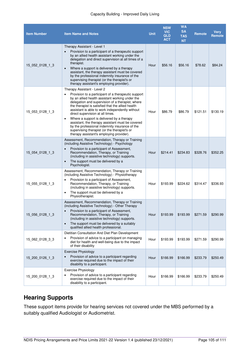#### Capacity Building - Improved Daily Living

| <b>Item Number</b> | <b>Item Name and Notes</b>                                                                                                                                                                                                                                                                                                                                                                                                                                                                                                                                                                        | <b>Unit</b> | <b>NSW</b><br><b>VIC</b><br><b>QLD</b><br><b>ACT</b> | <b>WA</b><br><b>SA</b><br><b>TAS</b><br><b>NT</b> | <b>Remote</b> | Very<br>Remote |
|--------------------|---------------------------------------------------------------------------------------------------------------------------------------------------------------------------------------------------------------------------------------------------------------------------------------------------------------------------------------------------------------------------------------------------------------------------------------------------------------------------------------------------------------------------------------------------------------------------------------------------|-------------|------------------------------------------------------|---------------------------------------------------|---------------|----------------|
| 15 052 0128 1 3    | Therapy Assistant - Level 1<br>Provision to a participant of a therapeutic support<br>by an allied health assistant working under the<br>delegation and direct supervision at all times of a<br>therapist.<br>Where a support is delivered by a therapy<br>$\bullet$<br>assistant, the therapy assistant must be covered<br>by the professional indemnity insurance of the<br>supervising therapist (or the therapist's or<br>therapy assistant's employing provider).                                                                                                                            | Hour        | \$56.16                                              | \$56.16                                           | \$78.62       | \$84.24        |
| 15_053_0128_1_3    | Therapy Assistant - Level 2<br>Provision to a participant of a therapeutic support<br>by an allied health assistant working under the<br>delegation and supervision of a therapist, where<br>the therapist is satisfied that the allied health<br>assistant is able to work independently without<br>direct supervision at all times.<br>Where a support is delivered by a therapy<br>$\bullet$<br>assistant, the therapy assistant must be covered<br>by the professional indemnity insurance of the<br>supervising therapist (or the therapist's or<br>therapy assistant's employing provider). | Hour        | \$86.79                                              | \$86.79                                           | \$121.51      | \$130.19       |
| 15 054 0128 1 3    | Assessment, Recommendation, Therapy or Training<br>(including Assistive Technology) - Psychology<br>Provision to a participant of Assessment,<br>Recommendation, Therapy, or Training<br>(including in assistive technology) supports.<br>The support must be delivered by a<br>$\bullet$<br>Psychologist.                                                                                                                                                                                                                                                                                        | Hour        | \$214.41                                             | \$234.83                                          | \$328.76      | \$352.25       |
| 15 055 0128 1 3    | Assessment, Recommendation, Therapy or Training<br>(including Assistive Technology) - Physiotherapy<br>Provision to a participant of Assessment,<br>Recommendation, Therapy, or Training<br>(including in assistive technology) supports.<br>The support must be delivered by a<br>$\bullet$<br>Physiotherapist.                                                                                                                                                                                                                                                                                  | Hour        | \$193.99                                             | \$224.62                                          | \$314.47      | \$336.93       |
| 15 056 0128 1 3    | Assessment, Recommendation, Therapy or Training<br>(including Assistive Technology) - Other Therapy<br>Provision to a participant of Assessment,<br>$\bullet$<br>Recommendation, Therapy, or Training<br>(including in assistive technology) supports.<br>The support must be delivered by a suitably<br>$\bullet$<br>qualified allied health professional.                                                                                                                                                                                                                                       | Hour        | \$193.99                                             | \$193.99                                          | \$271.59      | \$290.99       |
| 15 062 0128 3 3    | Dietitian Consultation And Diet Plan Development<br>Provision of advice to a participant on managing<br>diet for health and well-being due to the impact<br>of their disability                                                                                                                                                                                                                                                                                                                                                                                                                   | Hour        | \$193.99                                             | \$193.99                                          | \$271.59      | \$290.99       |
| 15 200 0126 1 3    | <b>Exercise Physiology</b><br>Provision of advice to a participant regarding<br>exercise required due to the impact of their<br>disability to a participant.                                                                                                                                                                                                                                                                                                                                                                                                                                      | Hour        | \$166.99                                             | \$166.99                                          | \$233.79      | \$250.49       |
| 15_200_0128_1_3    | <b>Exercise Physiology</b><br>Provision of advice to a participant regarding<br>٠<br>exercise required due to the impact of their<br>disability to a participant.                                                                                                                                                                                                                                                                                                                                                                                                                                 | Hour        | \$166.99                                             | \$166.99                                          | \$233.79      | \$250.49       |

# **Hearing Supports**

These support items provide for hearing services not covered under the MBS performed by a suitably qualified Audiologist or Audiometrist.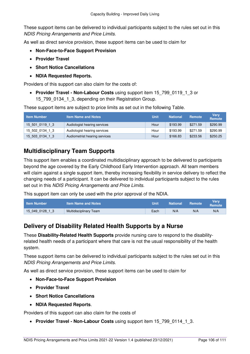These support items can be delivered to individual participants subject to the rules set out in this NDIS Pricing Arrangements and Price Limits.

As well as direct service provision, these support items can be used to claim for

- **[Non-Face-to-Face Support Provision](#page-16-0)**
- **[Provider Travel](#page-17-0)**
- **[Short Notice Cancellations](#page-21-0)**
- **[NDIA Requested Reports.](#page-22-1)**

Providers of this support can also claim for the costs of:

 **[Provider Travel - Non-Labour Costs](#page-18-0)** using support item 15\_799\_0119\_1\_3 or 15\_799\_0134\_1\_3, depending on their Registration Group.

These support items are subject to price limits as set out in the following Table.

| <b>Item Number</b> | <b>Item Name and Notes</b>    | <b>Unit</b> | <b>National</b> | <b>Remote</b> | <b>Verv</b><br>Remote |
|--------------------|-------------------------------|-------------|-----------------|---------------|-----------------------|
| 15 501 0119 1 3    | Audiologist hearing services  | Hour        | \$193.99        | \$271.59      | \$290.99              |
| 15 502 0134 1 3    | Audiologist hearing services  | Hour        | \$193.99        | \$271.59      | \$290.99              |
| 15 503 0134 1 3    | Audiometrist hearing services | Hour        | \$166.83        | \$233.56      | \$250.25              |

### **Multidisciplinary Team Supports**

This support item enables a coordinated multidisciplinary approach to be delivered to participants beyond the age covered by the Early Childhood Early Intervention approach. All team members will claim against a single support item, thereby increasing flexibility in service delivery to reflect the changing needs of a participant. It can be delivered to individual participants subject to the rules set out in this NDIS Pricing Arrangements and Price Limits.

This support item can only be used with the prior approval of the NDIA.

| <b>Item Number</b> | l Item Name and Notes <b>\</b> | Unit | <b>National</b> | <b>Remote</b> | Verv<br>Remote |
|--------------------|--------------------------------|------|-----------------|---------------|----------------|
| 15 049 0128 1 3    | Multidisciplinary Team         | Each | N/A             | N/A           | N/A            |

## **Delivery of Disability Related Health Supports by a Nurse**

These **[Disability-Related Health Supports](#page-35-0)** provide nursing care to respond to the disabilityrelated health needs of a participant where that care is not the usual responsibility of the health system.

These support items can be delivered to individual participants subject to the rules set out in this NDIS Pricing Arrangements and Price Limits.

As well as direct service provision, these support items can be used to claim for

- **[Non-Face-to-Face Support Provision](#page-16-0)**
- **[Provider Travel](#page-17-0)**
- **[Short Notice Cancellations](#page-21-0)**
- **[NDIA Requested Reports](#page-22-1)**.

Providers of this support can also claim for the costs of

**[Provider Travel - Non-Labour Costs](#page-18-0)** using support item 15\_799\_0114\_1\_3.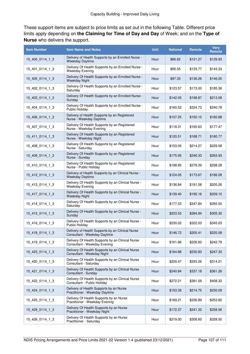These support items are subject to price limits as set out in the following Table. Different price limits apply depending on **the [Claiming for Time of Day and Day](#page-14-0)** of Week; and on the **[Type of](#page-36-0)  [Nurse](#page-36-0)** who delivers the support.

| <b>Item Number</b> | <b>Item Name and Notes</b>                                                       | <b>Unit</b> | <b>National</b> | Remote   | <b>Very</b><br>Remote |
|--------------------|----------------------------------------------------------------------------------|-------------|-----------------|----------|-----------------------|
| 15_400_0114_1_3    | Delivery of Health Supports by an Enrolled Nurse -<br>Weekday Daytime            | Hour        | \$86.62         | \$121.27 | \$129.93              |
| 15_401_0114_1_3    | Delivery Of Health Supports by an Enrolled Nurse -<br><b>Weekday Evening</b>     | Hour        | \$95.55         | \$133.77 | \$143.33              |
| 15_405_0114_1_3    | Delivery Of Health Supports by an Enrolled Nurse -<br><b>Weekday Night</b>       | Hour        | \$97.33         | \$136.26 | \$146.00              |
| 15_402_0114_1_3    | Delivery Of Health Supports by an Enrolled Nurse -<br>Saturdav                   | Hour        | \$123.57        | \$173.00 | \$185.36              |
| 15_403_0114_1_3    | Delivery Of Health Supports by an Enrolled Nurse -<br>Sunday                     | Hour        | \$142.05        | \$198.87 | \$213.08              |
| 15_404_0114_1_3    | Delivery Of Health Supports by an Enrolled Nurse -<br>Public Holiday.            | Hour        | \$160.52        | \$224.73 | \$240.78              |
| 15_406_0114_1_3    | Delivery of Health Supports by an Registered<br>Nurse - Weekday Daytime          | Hour        | \$107.25        | \$150.15 | \$160.88              |
| 15_407_0114_1_3    | Delivery Of Health Supports by an Registered<br>Nurse - Weekday Evening          | Hour        | \$118.31        | \$165.63 | \$177.47              |
| 15_411_0114_1_3    | Delivery Of Health Supports by an Registered<br>Nurse - Weekday Night            | Hour        | \$120.51        | \$168.71 | \$180.77              |
| 15_408_0114_1_3    | Delivery Of Health Supports by an Registered<br>Nurse - Saturday                 | Hour        | \$153.05        | \$214.27 | \$229.58              |
| 15_409_0114_1_3    | Delivery Of Health Supports by an Registered<br>Nurse - Sunday                   | Hour        | \$175.95        | \$246.33 | \$263.93              |
| 15 410 0114 1 3    | Delivery Of Health Supports by an Registered<br>Nurse - Public Holiday           | Hour        | \$198.85        | \$278.39 | \$298.28              |
| 15_412_0114_1_3    | Delivery of Health Supports by an Clinical Nurse -<br>Weekday Daytime            | Hour        | \$124.05        | \$173.67 | \$186.08              |
| 15_413_0114_1_3    | Delivery Of Health Supports by an Clinical Nurse -<br><b>Weekday Evening</b>     | Hour        | \$136.84        | \$191.58 | \$205.26              |
| 15_417_0114_1_3    | Delivery Of Health Supports by an Clinical Nurse -<br><b>Weekday Night</b>       | Hour        | \$139.40        | \$195.16 | \$209.10              |
| 15_414_0114_1_3    | Delivery Of Health Supports by an Clinical Nurse -<br>Saturday                   | Hour        | \$177.03        | \$247.84 | \$265.55              |
| 15_415_0114_1_3    | Delivery Of Health Supports by an Clinical Nurse -<br>Sunday                     | Hour        | \$203.53        | \$284.94 | \$305.30              |
| 15_416_0114_1_3    | Delivery Of Health Supports by an Clinical Nurse -<br><b>Public Holiday</b>      | Hour        | \$230.02        | \$322.03 | \$345.03              |
| 15 418 0114 1 3    | Delivery of Health Supports by an Clinical Nurse<br>Consultant - Weekday Daytime | Hour        | \$146.72        | \$205.41 | \$220.08              |
| 15_419_0114_1_3    | Delivery Of Health Supports by an Clinical Nurse<br>Consultant - Weekday Evening | Hour        | \$161.86        | \$226.60 | \$242.79              |
| 15_423_0114_1_3    | Delivery Of Health Supports by an Clinical Nurse<br>Consultant - Weekday Night   | Hour        | \$164.88        | \$230.83 | \$247.32              |
| 15_420_0114_1_3    | Delivery Of Health Supports by an Clinical Nurse<br>Consultant - Saturday        | Hour        | \$209.47        | \$293.26 | \$314.21              |
| 15 421 0114 1 3    | Delivery Of Health Supports by an Clinical Nurse<br>Consultant - Sunday          | Hour        | \$240.84        | \$337.18 | \$361.26              |
| 15_422_0114_1_3    | Delivery Of Health Supports by an Clinical Nurse<br>Consultant - Public Holiday  | Hour        | \$272.21        | \$381.09 | \$408.32              |
| 15 424 0114 1 3    | Delivery of Health Supports by an Nurse<br>Practitioner - Weekday Daytime        | Hour        | \$153.39        | \$214.75 | \$230.09              |
| 15_425_0114_1_3    | Delivery Of Health Supports by an Nurse<br>Practitioner - Weekday Evening        | Hour        | \$169.21        | \$236.89 | \$253.82              |
| 15_429_0114_1_3    | Delivery Of Health Supports by an Nurse<br>Practitioner - Weekday Night          | Hour        | \$172.37        | \$241.32 | \$258.56              |
| 15_426_0114_1_3    | Delivery Of Health Supports by an Nurse<br>Practitioner - Saturday               | Hour        | \$219.00        | \$306.60 | \$328.50              |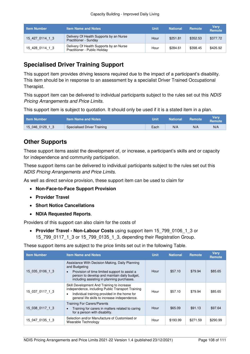| <b>Item Number</b> | <b>Item Name and Notes</b>                                               | Unit | <b>National</b> | <b>Remote</b> | <b>Verv</b><br><b>Remote</b> |
|--------------------|--------------------------------------------------------------------------|------|-----------------|---------------|------------------------------|
| 15 427 0114 1 3    | Delivery Of Health Supports by an Nurse<br>Practitioner - Sunday         | Hour | \$251.81        | \$352.53      | \$377.72                     |
| 15 428 0114 1 3    | Delivery Of Health Supports by an Nurse<br>Practitioner - Public Holiday | Hour | \$284.61        | \$398.45      | \$426.92                     |

# **Specialised Driver Training Support**

This support item provides driving lessons required due to the impact of a participant's disability. This item should be in response to an assessment by a specialist Driver Trained Occupational Therapist.

This support item can be delivered to individual participants subject to the rules set out this NDIS Pricing Arrangements and Price Limits.

This support item is subject to quotation. It should only be used if it is a stated item in a plan.

| <b>Item Number</b> | <b>Item Name and Notes</b>  | Unit | <b>National</b> | <b>Remote</b> | Verv<br><b>Remote</b> |
|--------------------|-----------------------------|------|-----------------|---------------|-----------------------|
| 15 046 0129 1 3    | Specialised Driver Training | Each | N/A             | N/A           | N/A                   |

# **Other Supports**

These support items assist the development of, or increase, a participant's skills and or capacity for independence and community participation.

These support items can be delivered to individual participants subject to the rules set out this NDIS Pricing Arrangements and Price Limits.

As well as direct service provision, these support item can be used to claim for

- **[Non-Face-to-Face Support Provision](#page-16-0)**
- **[Provider Travel](#page-17-0)**
- **[Short Notice Cancellations](#page-21-0)**
- **[NDIA Requested Reports](#page-22-1)**.

Providers of this support can also claim for the costs of

 **[Provider Travel - Non-Labour Costs](#page-18-0)** using support item 15\_799\_0106\_1\_3 or 15\_799\_0117\_1\_3 or 15\_799\_0135\_1\_3, depending their Registration Group.

| <b>Item Number</b> | <b>Item Name and Notes</b>                                                                                                                                                                                                   | <b>Unit</b> | <b>National</b> | <b>Remote</b> | <b>Verv</b><br><b>Remote</b> |
|--------------------|------------------------------------------------------------------------------------------------------------------------------------------------------------------------------------------------------------------------------|-------------|-----------------|---------------|------------------------------|
| 15 035 0106 1 3    | Assistance With Decision Making, Daily Planning<br>and Budgeting<br>Provision of time limited support to assist a<br>$\bullet$<br>person to develop and maintain daily budget,<br>including assisting in planning purchases. | Hour        | \$57.10         | \$79.94       | \$85.65                      |
| 15 037 0117 1 3    | Skill Development And Training to increase<br>independence, including Public Transport Training<br>Individual training provided in the home for<br>$\bullet$<br>general life skills to increase independence.                | Hour        | \$57.10         | \$79.94       | \$85.65                      |
| 15 038 0117 1 3    | <b>Training For Carers/Parents</b><br>Training for carers in matters related to caring<br>$\bullet$<br>for a person with disability.                                                                                         | Hour        | \$65.09         | \$91.13       | \$97.64                      |
| 15 047 0135 1 3    | Selection and/or Manufacture of Customised or<br>Wearable Technology                                                                                                                                                         | Hour        | \$193.99        | \$271.59      | \$290.99                     |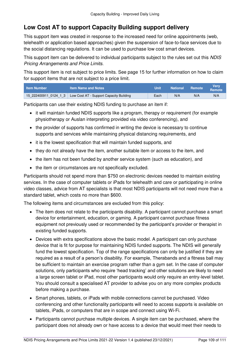## **Low Cost AT to support Capacity Building support delivery**

This support item was created in response to the increased need for online appointments (web, telehealth or application based approaches) given the suspension of face-to-face services due to the social distancing regulations. It can be used to purchase low cost smart devices.

This support item can be delivered to individual participants subject to the rules set out this NDIS Pricing Arrangements and Price Limits.

This support item is not subject to price limits. See page [15](#page-14-0) for further information on how to claim for support items that are not subject to a price limit.

| <b>Item Number</b> | <b>Item Name and Notes</b>                                      | Unit | <b>National</b> | Remote | Verv<br>Remote |
|--------------------|-----------------------------------------------------------------|------|-----------------|--------|----------------|
|                    | $15$ 222400911 0124 1 3 Low Cost AT - Support Capacity Building | Each | N/A             | N/A    | N/A            |

Participants can use their existing NDIS funding to purchase an item if:

- it will maintain funded NDIS supports like a program, therapy or requirement (for example physiotherapy or Auslan interpreting provided via video conferencing), and
- the provider of supports has confirmed in writing the device is necessary to continue supports and services while maintaining physical distancing requirements, and
- it is the lowest specification that will maintain funded supports, and
- they do not already have the item, another suitable item or access to the item, and
- the item has not been funded by another service system (such as education), and
- the item or circumstances are not specifically excluded.

Participants should not spend more than \$750 on electronic devices needed to maintain existing services. In the case of computer tablets or iPads for telehealth and care or participating in online video classes, advice from AT specialists is that most NDIS participants will not need more than a standard tablet, which costs no more than \$600.

The following items and circumstances are excluded from this policy:

- The item does not relate to the participants disability. A participant cannot purchase a smart device for entertainment, education, or gaming. A participant cannot purchase fitness equipment not previously used or recommended by the participant's provider or therapist in existing funded supports.
- Devices with extra specifications above the basic model. A participant can only purchase device that is fit for purpose for maintaining NDIS funded supports. The NDIS will generally fund the lowest specification. Top of the range specifications can only be justified if they are required as a result of a person's disability. For example, Therabands and a fitness ball may be sufficient to maintain an exercise program rather than a gym set. In the case of computer solutions, only participants who require 'head tracking' and other solutions are likely to need a large screen tablet or iPad, most other participants would only require an entry-level tablet. You should consult a specialised AT provider to advise you on any more complex products before making a purchase.
- Smart phones, tablets, or iPads with mobile connections cannot be purchased. Video conferencing and other functionality participants will need to access supports is available on tablets, iPads, or computers that are in scope and connect using Wi-Fi.
- Participants cannot purchase multiple devices. A single item can be purchased, where the participant does not already own or have access to a device that would meet their needs to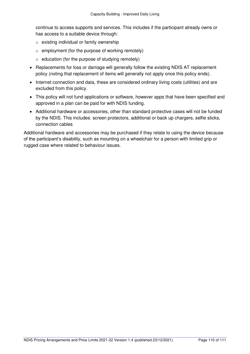continue to access supports and services. This includes if the participant already owns or has access to a suitable device through:

- o existing individual or family ownership
- $\circ$  employment (for the purpose of working remotely)
- $\circ$  education (for the purpose of studying remotely)
- Replacements for loss or damage will generally follow the existing NDIS AT replacement policy (noting that replacement of items will generally not apply once this policy ends).
- Internet connection and data, these are considered ordinary living costs (utilities) and are excluded from this policy.
- This policy will not fund applications or software, however apps that have been specified and approved in a plan can be paid for with NDIS funding.
- Additional hardware or accessories, other than standard protective cases will not be funded by the NDIS. This includes: screen protectors, additional or back up chargers, selfie sticks, connection cables

Additional hardware and accessories may be purchased if they relate to using the device because of the participant's disability, such as mounting on a wheelchair for a person with limited grip or rugged case where related to behaviour issues.